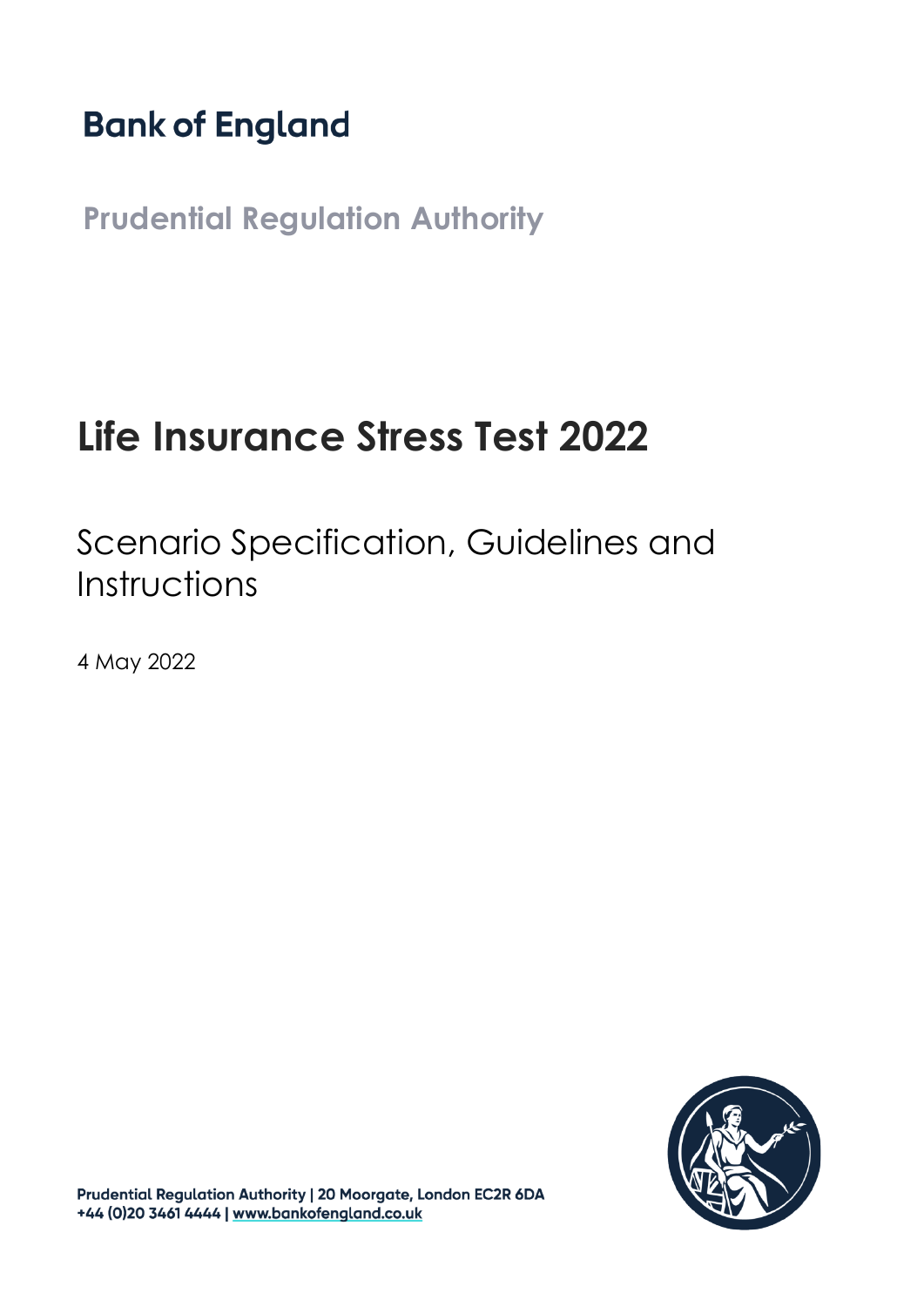# **Bank of England**

**Prudential Regulation Authority**

# **Life Insurance Stress Test 2022**

Scenario Specification, Guidelines and Instructions

4 May 2022



Prudential Regulation Authority | 20 Moorgate, London EC2R 6DA +44 (0)20 3461 4444 | www.bankofengland.co.uk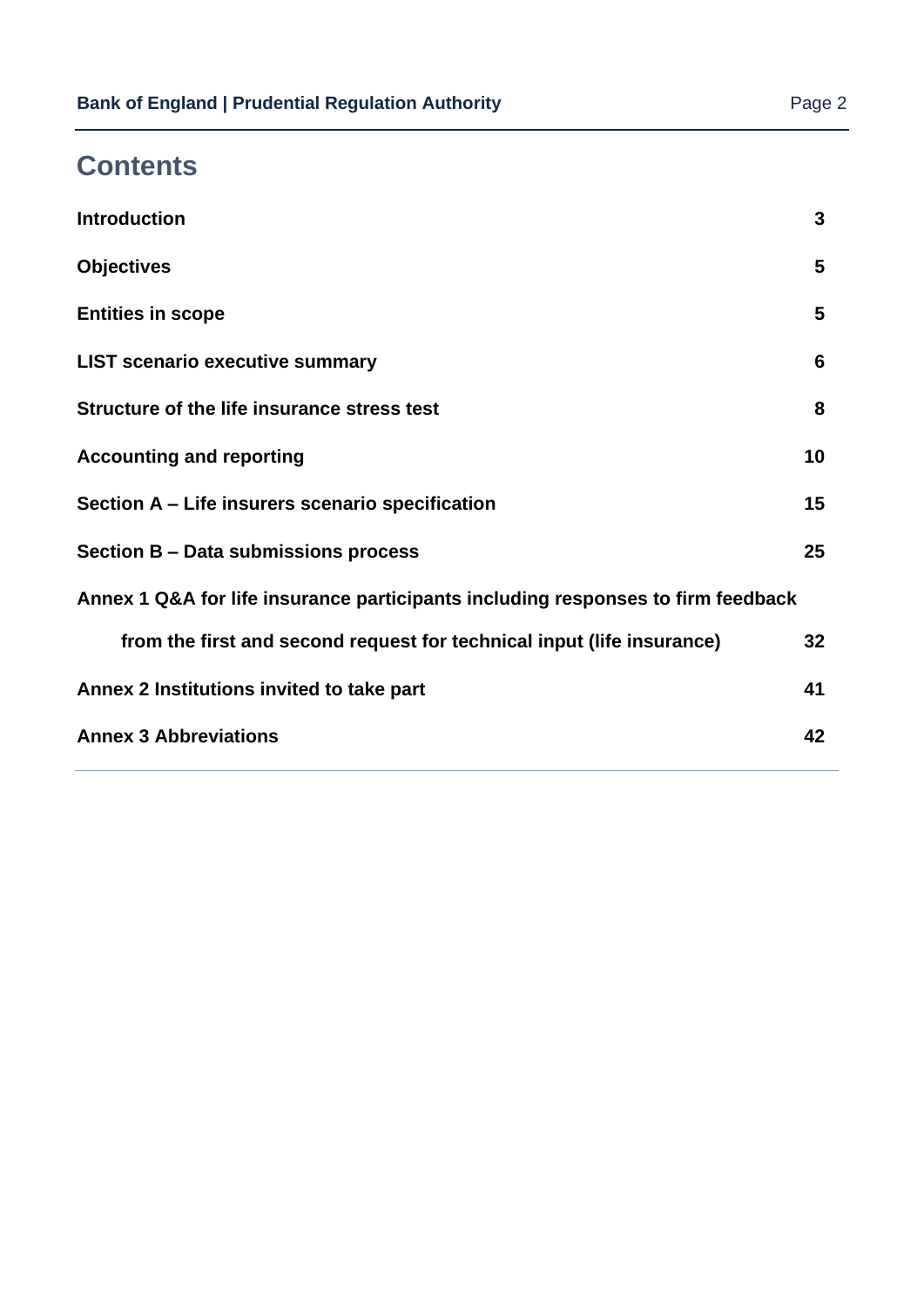# **Contents**

| <b>Introduction</b>                                                              | 3  |
|----------------------------------------------------------------------------------|----|
| <b>Objectives</b>                                                                | 5  |
| <b>Entities in scope</b>                                                         | 5  |
| <b>LIST scenario executive summary</b>                                           | 6  |
| Structure of the life insurance stress test                                      | 8  |
| <b>Accounting and reporting</b>                                                  | 10 |
| Section A - Life insurers scenario specification                                 | 15 |
| Section B - Data submissions process                                             | 25 |
| Annex 1 Q&A for life insurance participants including responses to firm feedback |    |
| from the first and second request for technical input (life insurance)           | 32 |
| Annex 2 Institutions invited to take part                                        | 41 |
| <b>Annex 3 Abbreviations</b>                                                     | 42 |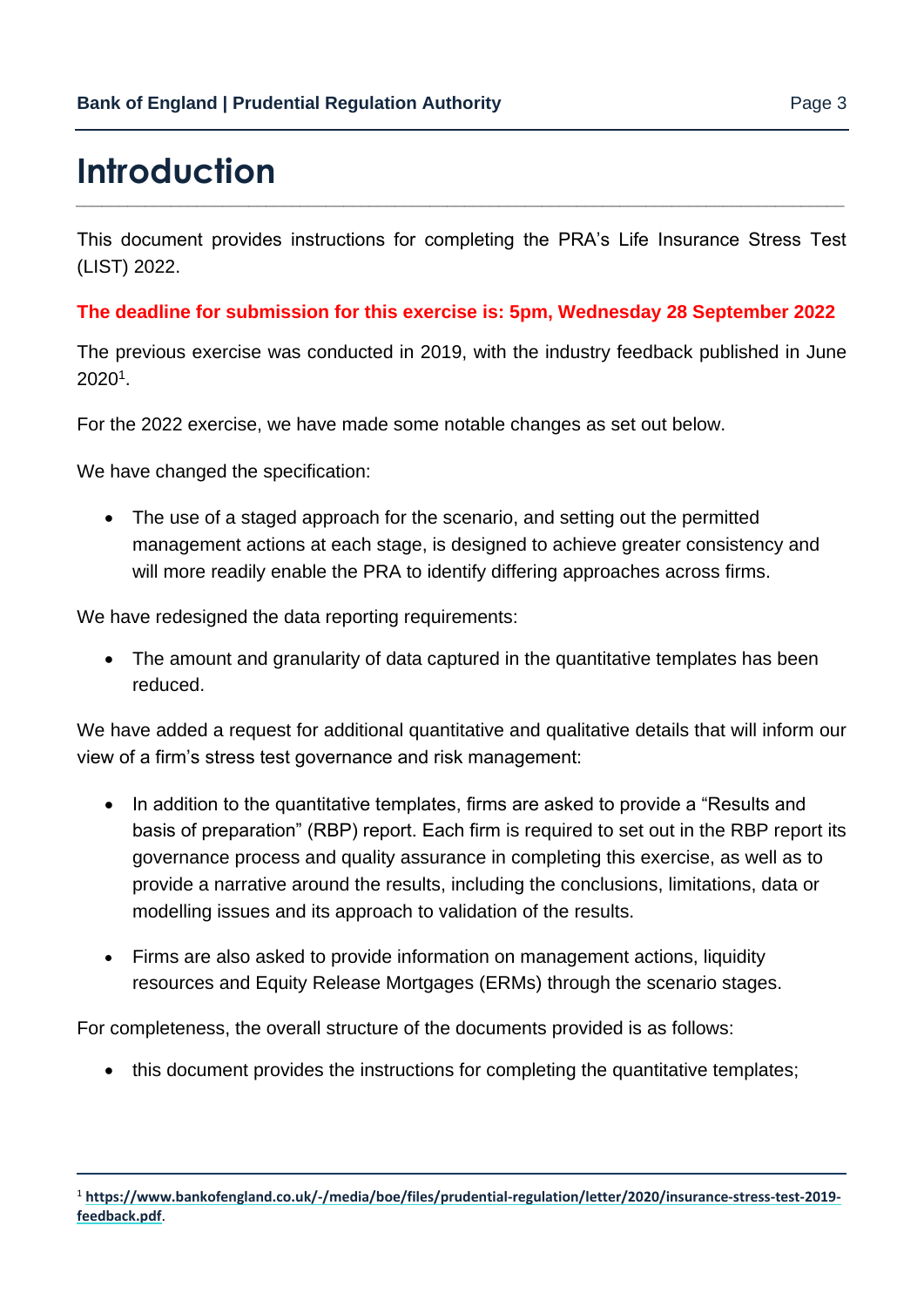# <span id="page-2-0"></span>**Introduction**

This document provides instructions for completing the PRA's Life Insurance Stress Test (LIST) 2022.

*\_\_\_\_\_\_\_\_\_\_\_\_\_\_\_\_\_\_\_\_\_\_\_\_\_\_\_\_\_\_\_\_\_\_\_\_\_\_\_\_\_\_\_\_\_\_\_\_\_\_\_\_\_\_\_\_\_\_\_\_\_\_\_\_\_\_\_\_\_\_\_\_\_\_\_\_\_\_\_\_\_\_\_\_\_\_\_\_\_*

#### **The deadline for submission for this exercise is: 5pm, Wednesday 28 September 2022**

The previous exercise was conducted in 2019, with the industry feedback published in June 2020<sup>1</sup> .

For the 2022 exercise, we have made some notable changes as set out below.

We have changed the specification:

• The use of a staged approach for the scenario, and setting out the permitted management actions at each stage, is designed to achieve greater consistency and will more readily enable the PRA to identify differing approaches across firms.

We have redesigned the data reporting requirements:

• The amount and granularity of data captured in the quantitative templates has been reduced.

We have added a request for additional quantitative and qualitative details that will inform our view of a firm's stress test governance and risk management:

- In addition to the quantitative templates, firms are asked to provide a "Results and basis of preparation" (RBP) report. Each firm is required to set out in the RBP report its governance process and quality assurance in completing this exercise, as well as to provide a narrative around the results, including the conclusions, limitations, data or modelling issues and its approach to validation of the results.
- Firms are also asked to provide information on management actions, liquidity resources and Equity Release Mortgages (ERMs) through the scenario stages.

For completeness, the overall structure of the documents provided is as follows:

• this document provides the instructions for completing the quantitative templates;

<sup>1</sup> **[https://www.bankofengland.co.uk/-/media/boe/files/prudential-regulation/letter/2020/insurance-stress-test-2019](https://www.bankofengland.co.uk/-/media/boe/files/prudential-regulation/letter/2020/insurance-stress-test-2019-feedback.pdf) [feedback.pdf](https://www.bankofengland.co.uk/-/media/boe/files/prudential-regulation/letter/2020/insurance-stress-test-2019-feedback.pdf)**.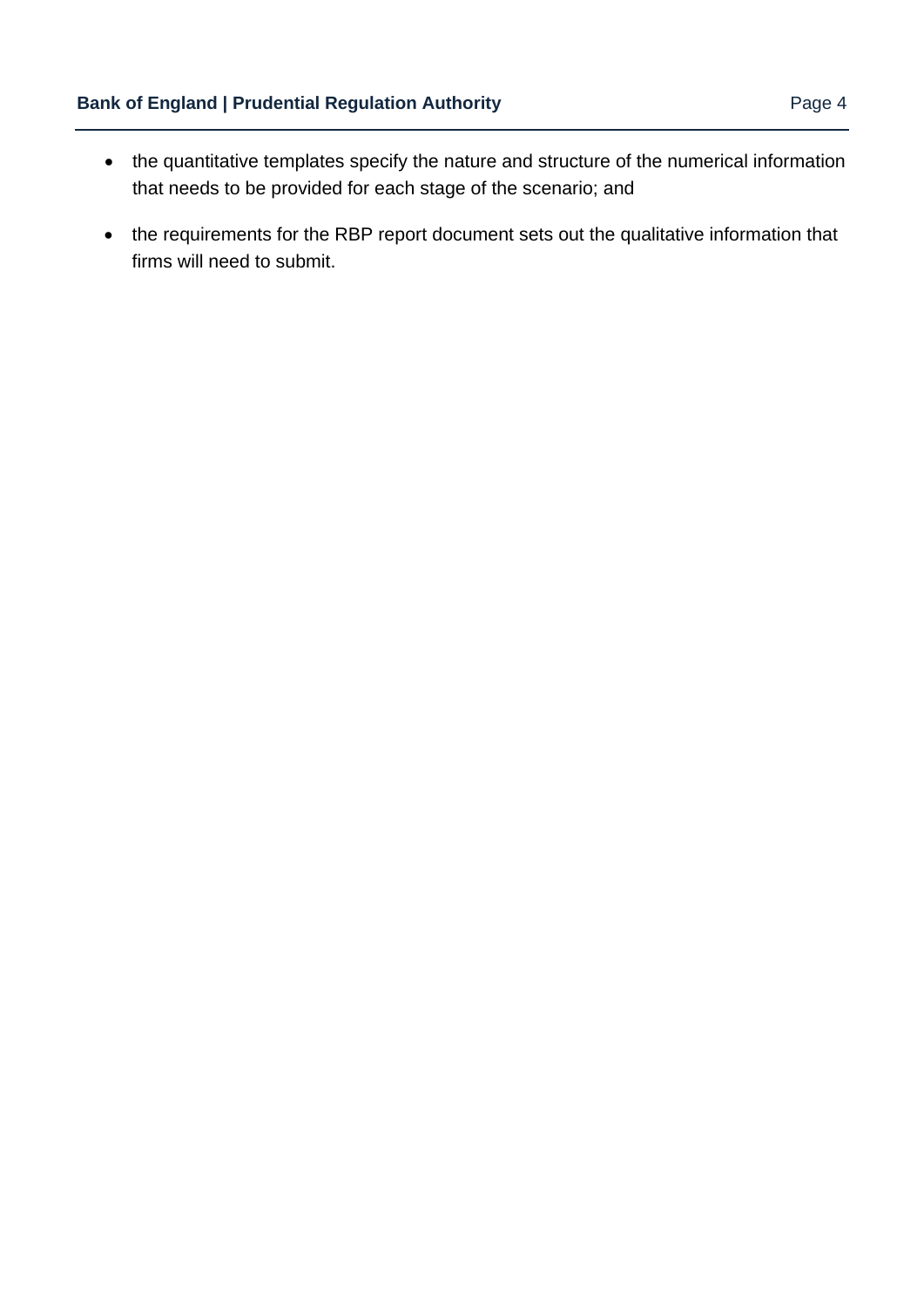- the quantitative templates specify the nature and structure of the numerical information that needs to be provided for each stage of the scenario; and
- the requirements for the RBP report document sets out the qualitative information that firms will need to submit.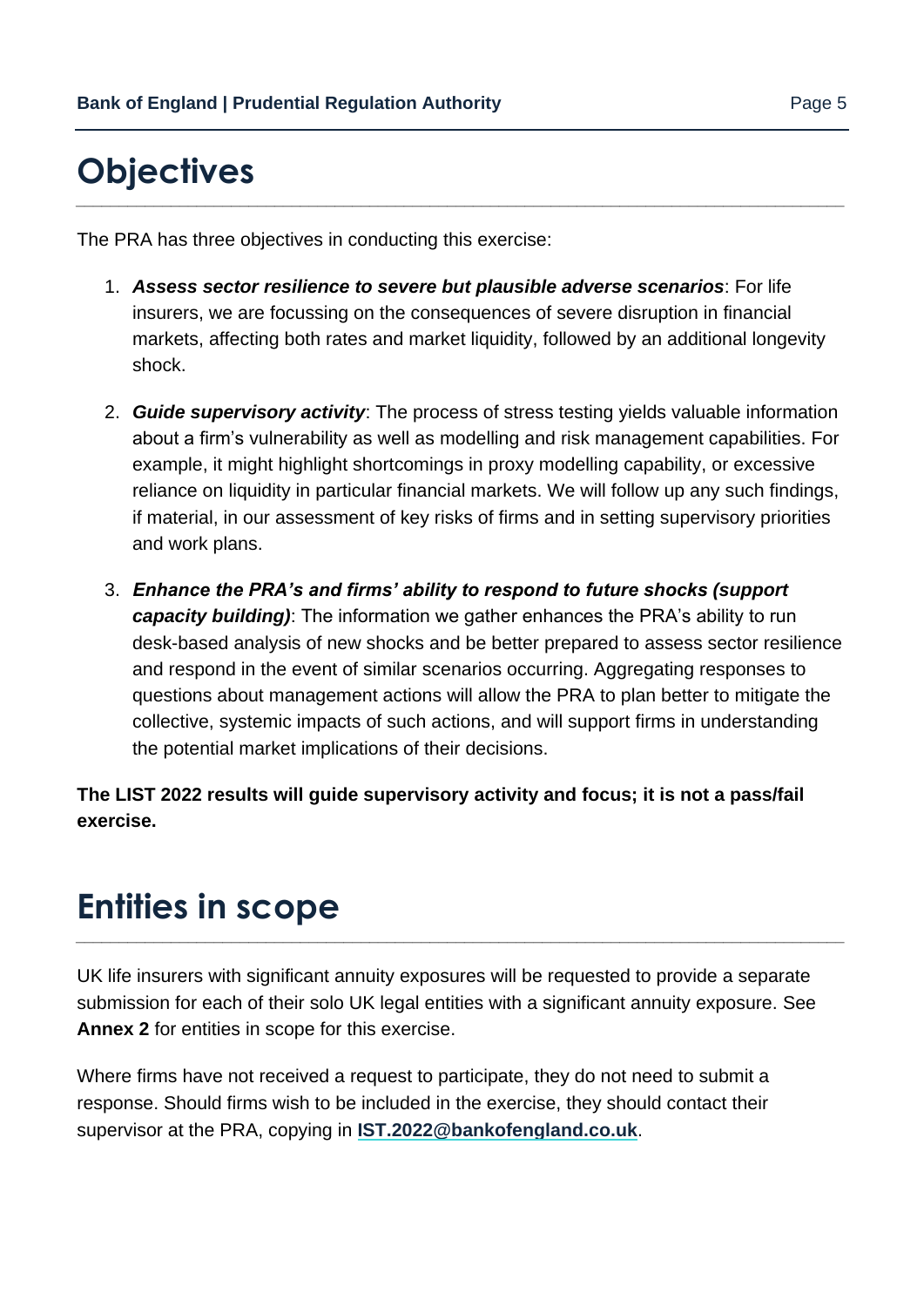# <span id="page-4-0"></span>**Objectives**

The PRA has three objectives in conducting this exercise:

1. *Assess sector resilience to severe but plausible adverse scenarios*: For life insurers, we are focussing on the consequences of severe disruption in financial markets, affecting both rates and market liquidity, followed by an additional longevity shock.

*\_\_\_\_\_\_\_\_\_\_\_\_\_\_\_\_\_\_\_\_\_\_\_\_\_\_\_\_\_\_\_\_\_\_\_\_\_\_\_\_\_\_\_\_\_\_\_\_\_\_\_\_\_\_\_\_\_\_\_\_\_\_\_\_\_\_\_\_\_\_\_\_\_\_\_\_\_\_\_\_\_\_\_\_\_\_\_\_\_*

- 2. *Guide supervisory activity*: The process of stress testing yields valuable information about a firm's vulnerability as well as modelling and risk management capabilities. For example, it might highlight shortcomings in proxy modelling capability, or excessive reliance on liquidity in particular financial markets. We will follow up any such findings, if material, in our assessment of key risks of firms and in setting supervisory priorities and work plans.
- 3. *Enhance the PRA's and firms' ability to respond to future shocks (support capacity building)*: The information we gather enhances the PRA's ability to run desk-based analysis of new shocks and be better prepared to assess sector resilience and respond in the event of similar scenarios occurring. Aggregating responses to questions about management actions will allow the PRA to plan better to mitigate the collective, systemic impacts of such actions, and will support firms in understanding the potential market implications of their decisions.

**The LIST 2022 results will guide supervisory activity and focus; it is not a pass/fail exercise.**

# <span id="page-4-1"></span>**Entities in scope**

UK life insurers with significant annuity exposures will be requested to provide a separate submission for each of their solo UK legal entities with a significant annuity exposure. See **Annex 2** for entities in scope for this exercise.

*\_\_\_\_\_\_\_\_\_\_\_\_\_\_\_\_\_\_\_\_\_\_\_\_\_\_\_\_\_\_\_\_\_\_\_\_\_\_\_\_\_\_\_\_\_\_\_\_\_\_\_\_\_\_\_\_\_\_\_\_\_\_\_\_\_\_\_\_\_\_\_\_\_\_\_\_\_\_\_\_\_\_\_\_\_\_\_\_\_*

Where firms have not received a request to participate, they do not need to submit a response. Should firms wish to be included in the exercise, they should contact their supervisor at the PRA, copying in **[IST.2022@bankofengland.co.uk](mailto:IST.2022@bankofengland.co.uk)**.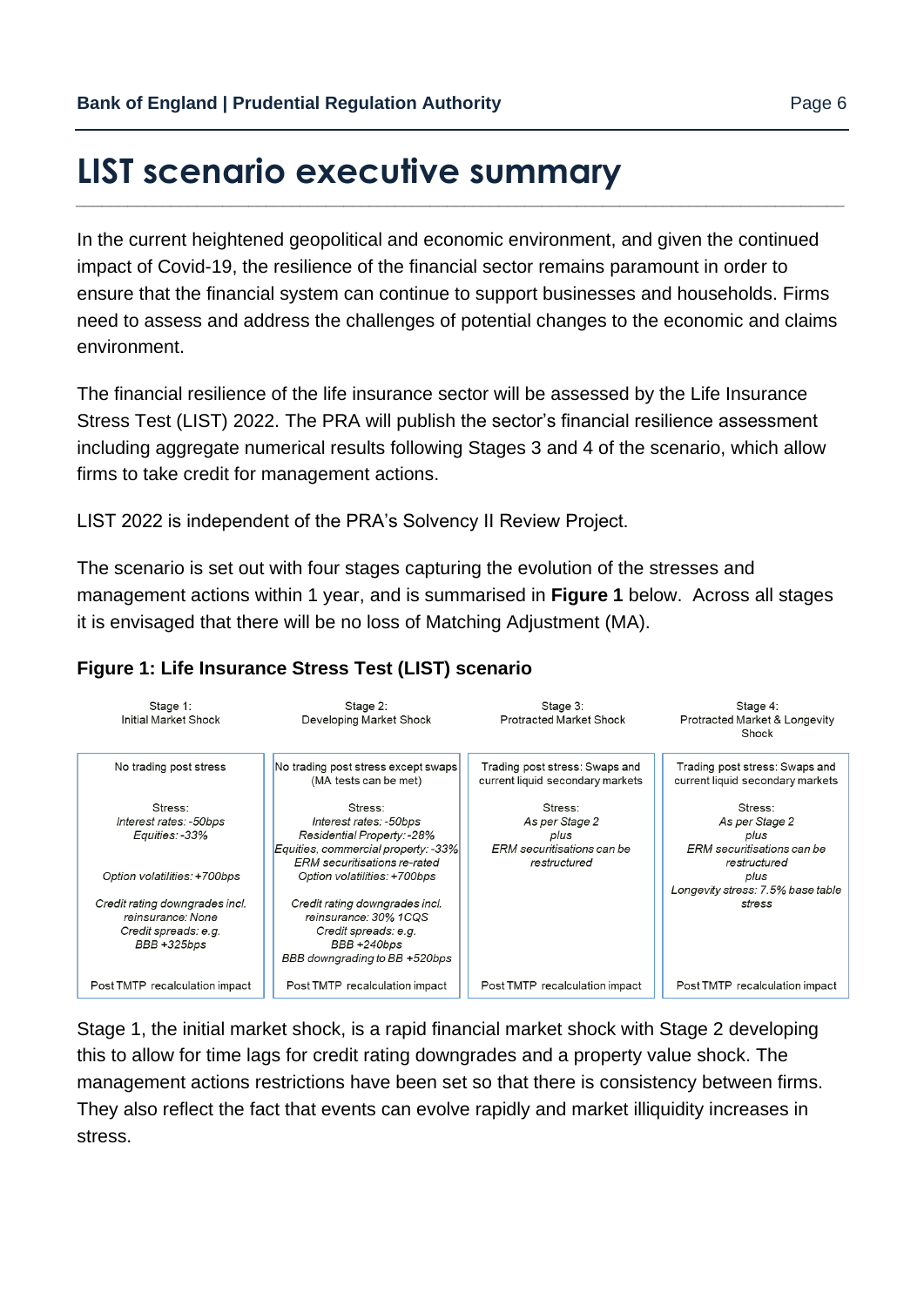# <span id="page-5-0"></span>**LIST scenario executive summary**

In the current heightened geopolitical and economic environment, and given the continued impact of Covid-19, the resilience of the financial sector remains paramount in order to ensure that the financial system can continue to support businesses and households. Firms need to assess and address the challenges of potential changes to the economic and claims environment.

*\_\_\_\_\_\_\_\_\_\_\_\_\_\_\_\_\_\_\_\_\_\_\_\_\_\_\_\_\_\_\_\_\_\_\_\_\_\_\_\_\_\_\_\_\_\_\_\_\_\_\_\_\_\_\_\_\_\_\_\_\_\_\_\_\_\_\_\_\_\_\_\_\_\_\_\_\_\_\_\_\_\_\_\_\_\_\_\_\_*

The financial resilience of the life insurance sector will be assessed by the Life Insurance Stress Test (LIST) 2022. The PRA will publish the sector's financial resilience assessment including aggregate numerical results following Stages 3 and 4 of the scenario, which allow firms to take credit for management actions.

LIST 2022 is independent of the PRA's Solvency II Review Project.

The scenario is set out with four stages capturing the evolution of the stresses and management actions within 1 year, and is summarised in **Figure 1** below. Across all stages it is envisaged that there will be no loss of Matching Adjustment (MA).

#### Stage 4: Stage 1: Stage 2: Stage 3: Initial Market Shock Developing Market Shock Profracted Market Shock Protracted Market & Longevity Shock No trading post stress No trading post stress except swaps Trading post stress: Swaps and Trading post stress: Swaps and (MA tests can be met) current liquid secondary markets current liquid secondary markets Stress: Stress: Stress: Stress: Interest rates: -50bps Interest rates: -50bps As per Stage 2 As per Stage 2 Residential Property: - 28% Equities: -33% plus plus Equities, commercial property: -33% ERM securitisations can be ERM securitisations can be ERM securitisations re-rated restructured restructured Option volatilities: +700bps plus Option volatilities: +700bps Longevity stress: 7.5% base table Credit rating downgrades incl. Credit rating downgrades incl. stress reinsurance: None reinsurance: 30% 1COS Credit spreads: e.g. Credit spreads: e.g. BBB +325bps BBB +240bps BBB downgrading to BB +520bps Post TMTP recalculation impact Post TMTP recalculation impact Post TMTP recalculation impact Post TMTP recalculation impact

#### **Figure 1: Life Insurance Stress Test (LIST) scenario**

Stage 1, the initial market shock, is a rapid financial market shock with Stage 2 developing this to allow for time lags for credit rating downgrades and a property value shock. The management actions restrictions have been set so that there is consistency between firms. They also reflect the fact that events can evolve rapidly and market illiquidity increases in stress.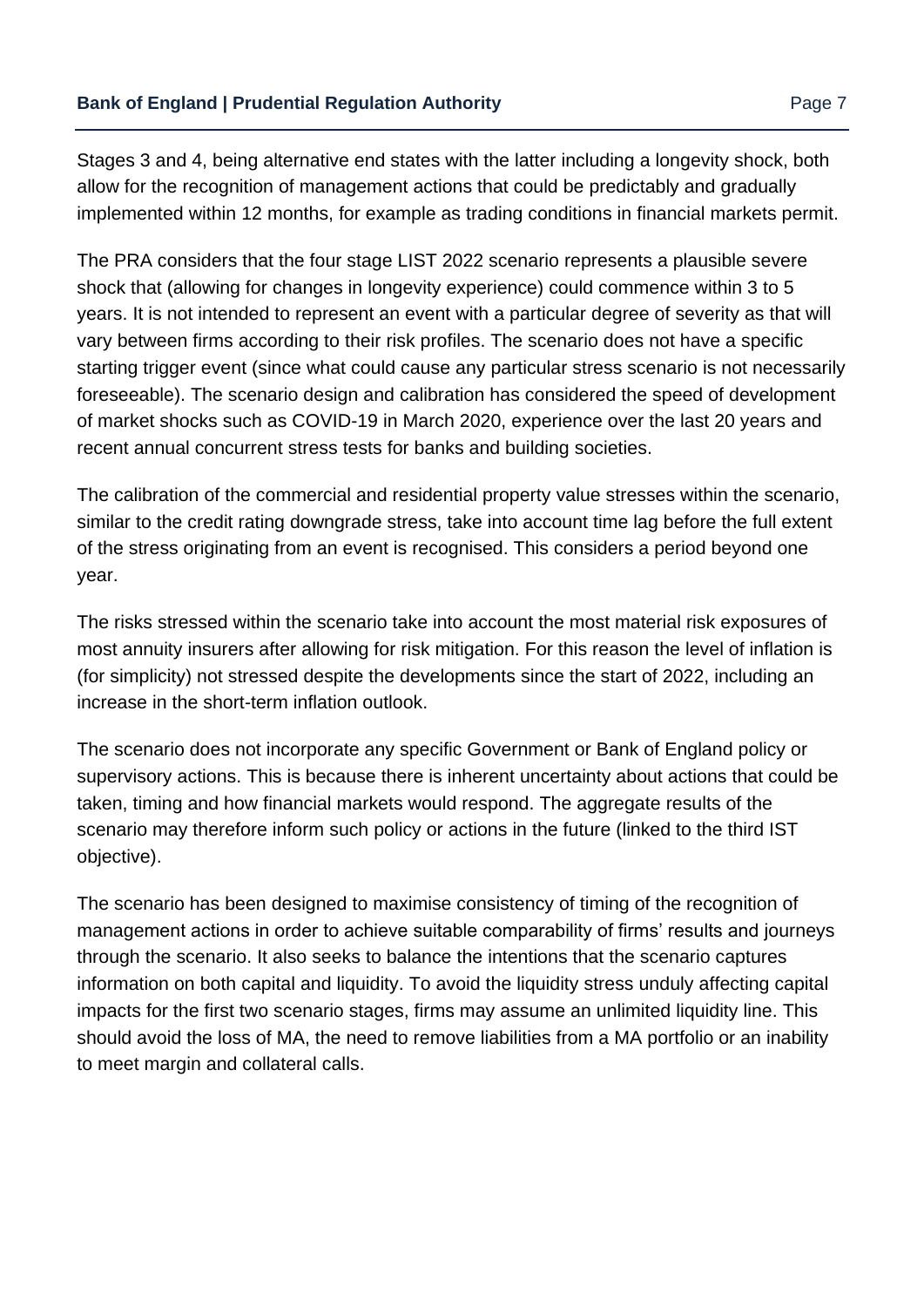Stages 3 and 4, being alternative end states with the latter including a longevity shock, both allow for the recognition of management actions that could be predictably and gradually implemented within 12 months, for example as trading conditions in financial markets permit.

The PRA considers that the four stage LIST 2022 scenario represents a plausible severe shock that (allowing for changes in longevity experience) could commence within 3 to 5 years. It is not intended to represent an event with a particular degree of severity as that will vary between firms according to their risk profiles. The scenario does not have a specific starting trigger event (since what could cause any particular stress scenario is not necessarily foreseeable). The scenario design and calibration has considered the speed of development of market shocks such as COVID-19 in March 2020, experience over the last 20 years and recent annual concurrent stress tests for banks and building societies.

The calibration of the commercial and residential property value stresses within the scenario, similar to the credit rating downgrade stress, take into account time lag before the full extent of the stress originating from an event is recognised. This considers a period beyond one year.

The risks stressed within the scenario take into account the most material risk exposures of most annuity insurers after allowing for risk mitigation. For this reason the level of inflation is (for simplicity) not stressed despite the developments since the start of 2022, including an increase in the short-term inflation outlook.

The scenario does not incorporate any specific Government or Bank of England policy or supervisory actions. This is because there is inherent uncertainty about actions that could be taken, timing and how financial markets would respond. The aggregate results of the scenario may therefore inform such policy or actions in the future (linked to the third IST objective).

The scenario has been designed to maximise consistency of timing of the recognition of management actions in order to achieve suitable comparability of firms' results and journeys through the scenario. It also seeks to balance the intentions that the scenario captures information on both capital and liquidity. To avoid the liquidity stress unduly affecting capital impacts for the first two scenario stages, firms may assume an unlimited liquidity line. This should avoid the loss of MA, the need to remove liabilities from a MA portfolio or an inability to meet margin and collateral calls.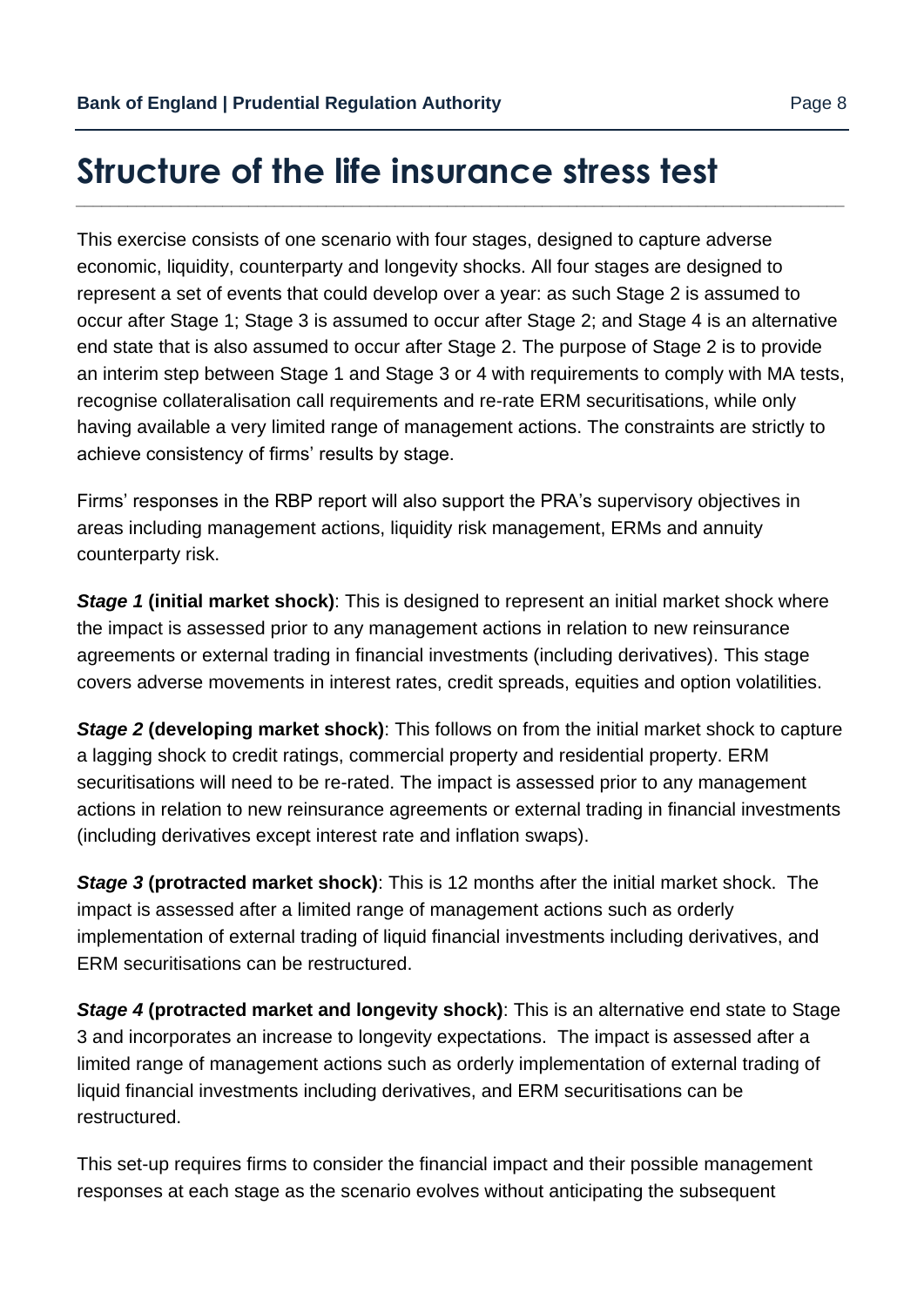# <span id="page-7-0"></span>**Structure of the life insurance stress test**

This exercise consists of one scenario with four stages, designed to capture adverse economic, liquidity, counterparty and longevity shocks. All four stages are designed to represent a set of events that could develop over a year: as such Stage 2 is assumed to occur after Stage 1; Stage 3 is assumed to occur after Stage 2; and Stage 4 is an alternative end state that is also assumed to occur after Stage 2. The purpose of Stage 2 is to provide an interim step between Stage 1 and Stage 3 or 4 with requirements to comply with MA tests, recognise collateralisation call requirements and re-rate ERM securitisations, while only having available a very limited range of management actions. The constraints are strictly to achieve consistency of firms' results by stage.

*\_\_\_\_\_\_\_\_\_\_\_\_\_\_\_\_\_\_\_\_\_\_\_\_\_\_\_\_\_\_\_\_\_\_\_\_\_\_\_\_\_\_\_\_\_\_\_\_\_\_\_\_\_\_\_\_\_\_\_\_\_\_\_\_\_\_\_\_\_\_\_\_\_\_\_\_\_\_\_\_\_\_\_\_\_\_\_\_\_*

Firms' responses in the RBP report will also support the PRA's supervisory objectives in areas including management actions, liquidity risk management, ERMs and annuity counterparty risk.

**Stage 1 (initial market shock)**: This is designed to represent an initial market shock where the impact is assessed prior to any management actions in relation to new reinsurance agreements or external trading in financial investments (including derivatives). This stage covers adverse movements in interest rates, credit spreads, equities and option volatilities.

*Stage 2* **(developing market shock)**: This follows on from the initial market shock to capture a lagging shock to credit ratings, commercial property and residential property. ERM securitisations will need to be re-rated. The impact is assessed prior to any management actions in relation to new reinsurance agreements or external trading in financial investments (including derivatives except interest rate and inflation swaps).

*Stage 3* **(protracted market shock)**: This is 12 months after the initial market shock. The impact is assessed after a limited range of management actions such as orderly implementation of external trading of liquid financial investments including derivatives, and ERM securitisations can be restructured.

*Stage 4* **(protracted market and longevity shock)**: This is an alternative end state to Stage 3 and incorporates an increase to longevity expectations. The impact is assessed after a limited range of management actions such as orderly implementation of external trading of liquid financial investments including derivatives, and ERM securitisations can be restructured.

This set-up requires firms to consider the financial impact and their possible management responses at each stage as the scenario evolves without anticipating the subsequent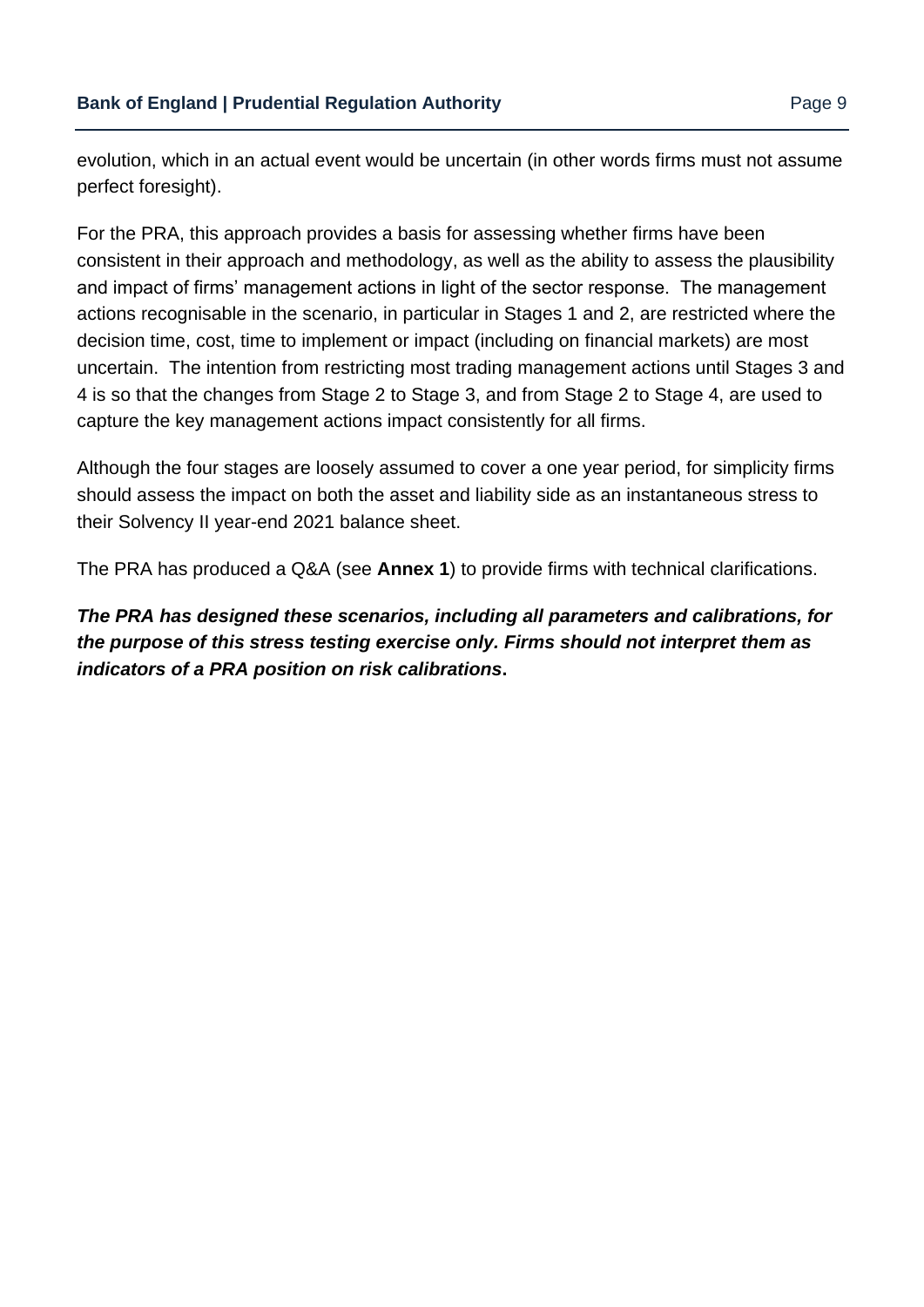evolution, which in an actual event would be uncertain (in other words firms must not assume perfect foresight).

For the PRA, this approach provides a basis for assessing whether firms have been consistent in their approach and methodology, as well as the ability to assess the plausibility and impact of firms' management actions in light of the sector response. The management actions recognisable in the scenario, in particular in Stages 1 and 2, are restricted where the decision time, cost, time to implement or impact (including on financial markets) are most uncertain. The intention from restricting most trading management actions until Stages 3 and 4 is so that the changes from Stage 2 to Stage 3, and from Stage 2 to Stage 4, are used to capture the key management actions impact consistently for all firms.

Although the four stages are loosely assumed to cover a one year period, for simplicity firms should assess the impact on both the asset and liability side as an instantaneous stress to their Solvency II year-end 2021 balance sheet.

The PRA has produced a Q&A (see **Annex 1**) to provide firms with technical clarifications.

*The PRA has designed these scenarios, including all parameters and calibrations, for the purpose of this stress testing exercise only. Firms should not interpret them as indicators of a PRA position on risk calibrations***.**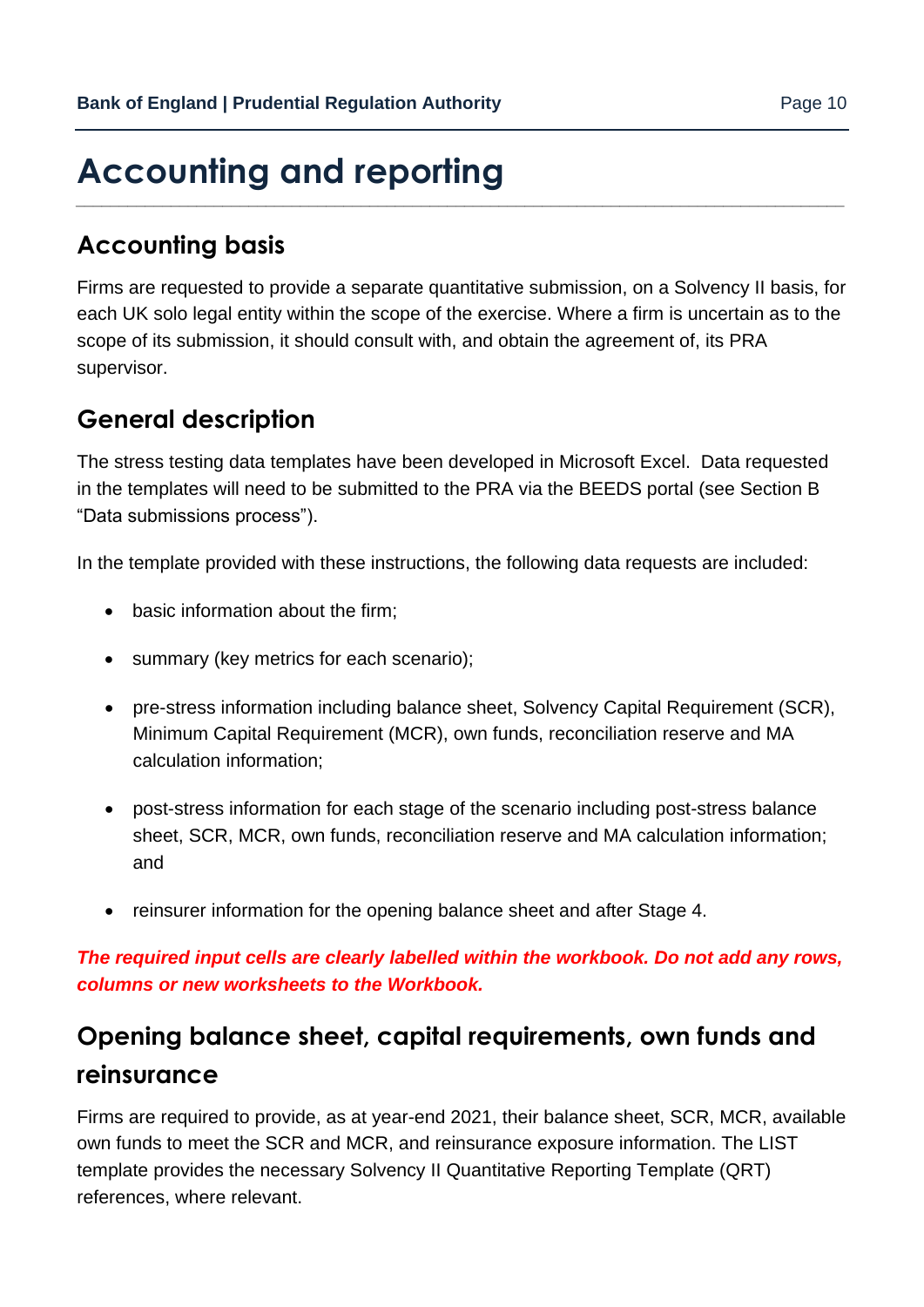### <span id="page-9-0"></span>**Accounting and reporting** *\_\_\_\_\_\_\_\_\_\_\_\_\_\_\_\_\_\_\_\_\_\_\_\_\_\_\_\_\_\_\_\_\_\_\_\_\_\_\_\_\_\_\_\_\_\_\_\_\_\_\_\_\_\_\_\_\_\_\_\_\_\_\_\_\_\_\_\_\_\_\_\_\_\_\_\_\_\_\_\_\_\_\_\_\_\_\_\_\_*

# **Accounting basis**

Firms are requested to provide a separate quantitative submission, on a Solvency II basis, for each UK solo legal entity within the scope of the exercise. Where a firm is uncertain as to the scope of its submission, it should consult with, and obtain the agreement of, its PRA supervisor.

## **General description**

The stress testing data templates have been developed in Microsoft Excel. Data requested in the templates will need to be submitted to the PRA via the BEEDS portal (see Section B "Data submissions process").

In the template provided with these instructions, the following data requests are included:

- basic information about the firm;
- summary (key metrics for each scenario);
- pre-stress information including balance sheet, Solvency Capital Requirement (SCR), Minimum Capital Requirement (MCR), own funds, reconciliation reserve and MA calculation information;
- post-stress information for each stage of the scenario including post-stress balance sheet, SCR, MCR, own funds, reconciliation reserve and MA calculation information; and
- reinsurer information for the opening balance sheet and after Stage 4.

*The required input cells are clearly labelled within the workbook. Do not add any rows, columns or new worksheets to the Workbook.*

# **Opening balance sheet, capital requirements, own funds and reinsurance**

Firms are required to provide, as at year-end 2021, their balance sheet, SCR, MCR, available own funds to meet the SCR and MCR, and reinsurance exposure information. The LIST template provides the necessary Solvency II Quantitative Reporting Template (QRT) references, where relevant.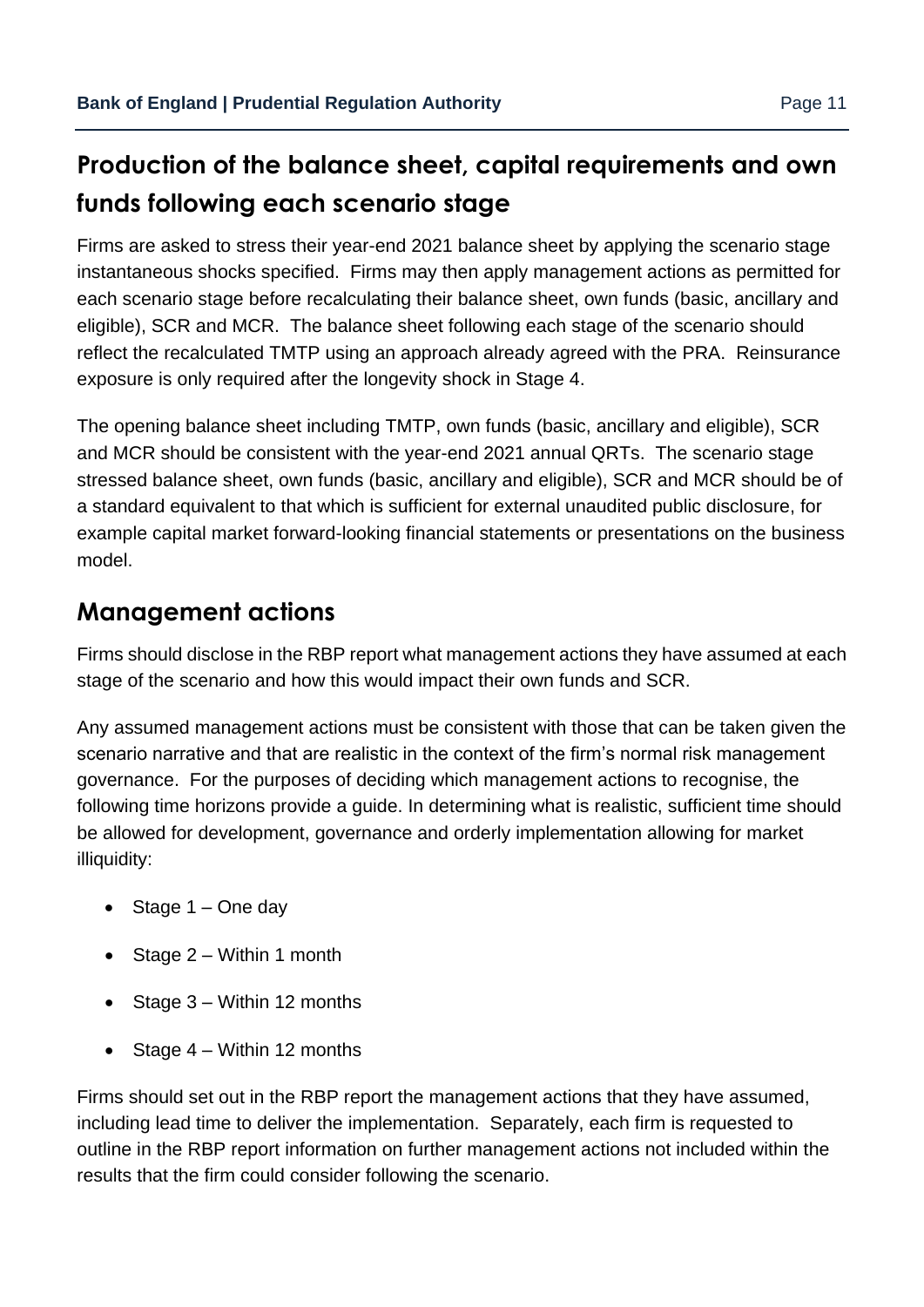# **Production of the balance sheet, capital requirements and own funds following each scenario stage**

Firms are asked to stress their year-end 2021 balance sheet by applying the scenario stage instantaneous shocks specified. Firms may then apply management actions as permitted for each scenario stage before recalculating their balance sheet, own funds (basic, ancillary and eligible), SCR and MCR. The balance sheet following each stage of the scenario should reflect the recalculated TMTP using an approach already agreed with the PRA. Reinsurance exposure is only required after the longevity shock in Stage 4.

The opening balance sheet including TMTP, own funds (basic, ancillary and eligible), SCR and MCR should be consistent with the year-end 2021 annual QRTs. The scenario stage stressed balance sheet, own funds (basic, ancillary and eligible), SCR and MCR should be of a standard equivalent to that which is sufficient for external unaudited public disclosure, for example capital market forward-looking financial statements or presentations on the business model.

# **Management actions**

Firms should disclose in the RBP report what management actions they have assumed at each stage of the scenario and how this would impact their own funds and SCR.

Any assumed management actions must be consistent with those that can be taken given the scenario narrative and that are realistic in the context of the firm's normal risk management governance. For the purposes of deciding which management actions to recognise, the following time horizons provide a guide. In determining what is realistic, sufficient time should be allowed for development, governance and orderly implementation allowing for market illiquidity:

- Stage  $1 -$  One day
- Stage  $2 -$  Within 1 month
- Stage 3 Within 12 months
- Stage  $4 -$  Within 12 months

Firms should set out in the RBP report the management actions that they have assumed, including lead time to deliver the implementation. Separately, each firm is requested to outline in the RBP report information on further management actions not included within the results that the firm could consider following the scenario.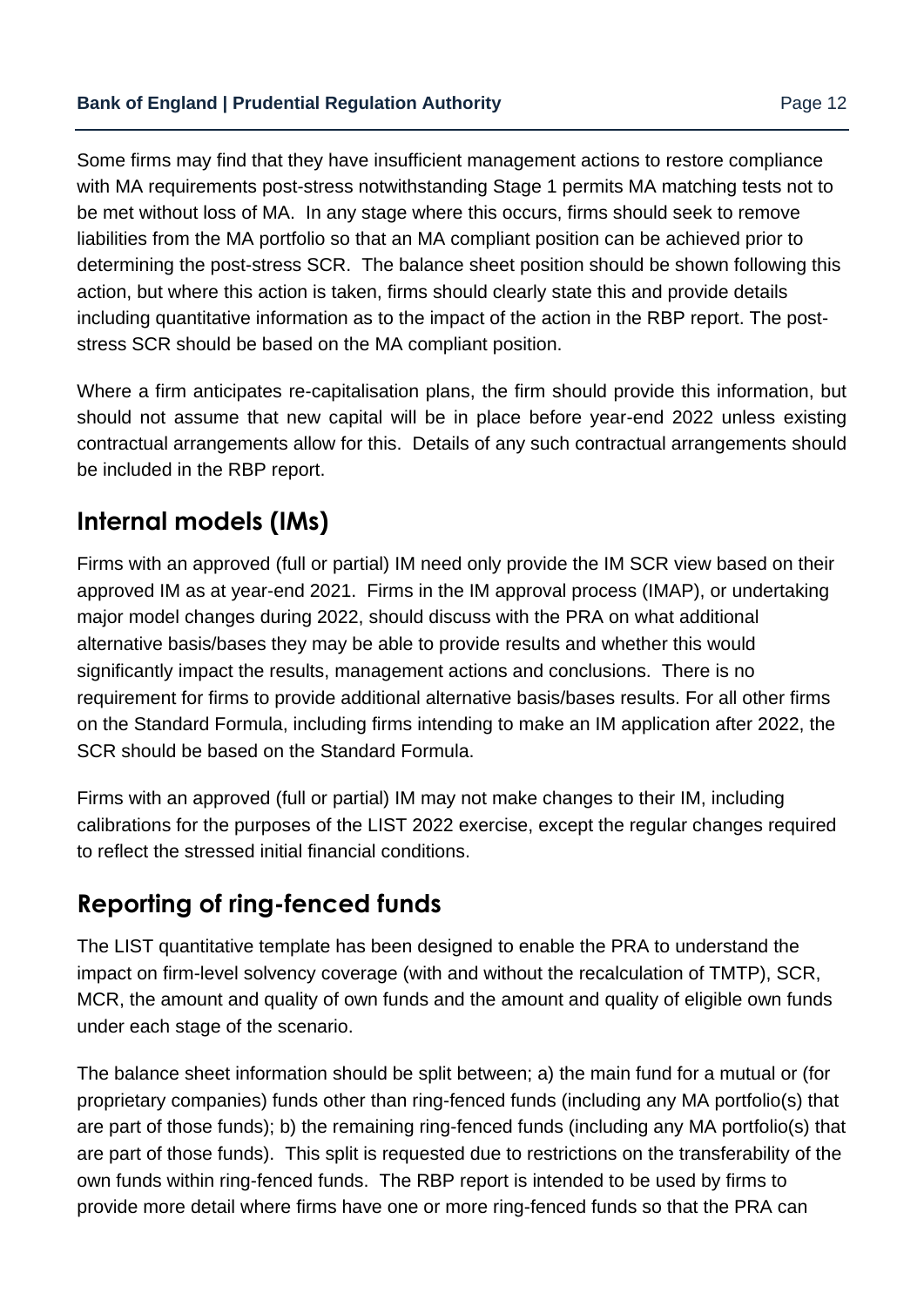Some firms may find that they have insufficient management actions to restore compliance with MA requirements post-stress notwithstanding Stage 1 permits MA matching tests not to be met without loss of MA. In any stage where this occurs, firms should seek to remove liabilities from the MA portfolio so that an MA compliant position can be achieved prior to determining the post-stress SCR. The balance sheet position should be shown following this action, but where this action is taken, firms should clearly state this and provide details including quantitative information as to the impact of the action in the RBP report. The poststress SCR should be based on the MA compliant position.

Where a firm anticipates re-capitalisation plans, the firm should provide this information, but should not assume that new capital will be in place before year-end 2022 unless existing contractual arrangements allow for this. Details of any such contractual arrangements should be included in the RBP report.

# **Internal models (IMs)**

Firms with an approved (full or partial) IM need only provide the IM SCR view based on their approved IM as at year-end 2021. Firms in the IM approval process (IMAP), or undertaking major model changes during 2022, should discuss with the PRA on what additional alternative basis/bases they may be able to provide results and whether this would significantly impact the results, management actions and conclusions. There is no requirement for firms to provide additional alternative basis/bases results. For all other firms on the Standard Formula, including firms intending to make an IM application after 2022, the SCR should be based on the Standard Formula.

Firms with an approved (full or partial) IM may not make changes to their IM, including calibrations for the purposes of the LIST 2022 exercise, except the regular changes required to reflect the stressed initial financial conditions.

# **Reporting of ring-fenced funds**

The LIST quantitative template has been designed to enable the PRA to understand the impact on firm-level solvency coverage (with and without the recalculation of TMTP), SCR, MCR, the amount and quality of own funds and the amount and quality of eligible own funds under each stage of the scenario.

The balance sheet information should be split between; a) the main fund for a mutual or (for proprietary companies) funds other than ring-fenced funds (including any MA portfolio(s) that are part of those funds); b) the remaining ring-fenced funds (including any MA portfolio(s) that are part of those funds). This split is requested due to restrictions on the transferability of the own funds within ring-fenced funds. The RBP report is intended to be used by firms to provide more detail where firms have one or more ring-fenced funds so that the PRA can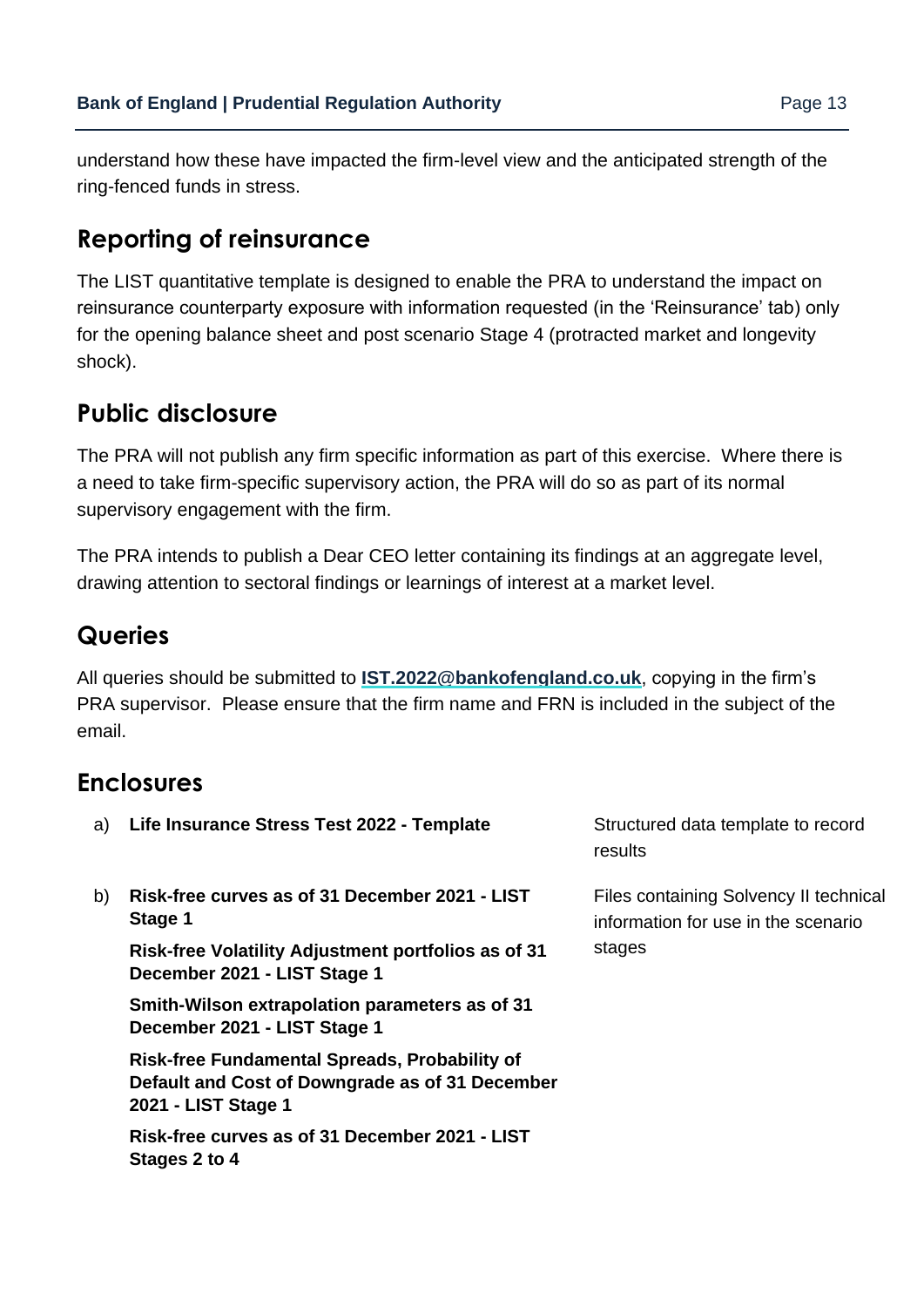understand how these have impacted the firm-level view and the anticipated strength of the ring-fenced funds in stress.

# **Reporting of reinsurance**

The LIST quantitative template is designed to enable the PRA to understand the impact on reinsurance counterparty exposure with information requested (in the 'Reinsurance' tab) only for the opening balance sheet and post scenario Stage 4 (protracted market and longevity shock).

# **Public disclosure**

The PRA will not publish any firm specific information as part of this exercise. Where there is a need to take firm-specific supervisory action, the PRA will do so as part of its normal supervisory engagement with the firm.

The PRA intends to publish a Dear CEO letter containing its findings at an aggregate level, drawing attention to sectoral findings or learnings of interest at a market level.

# **Queries**

All queries should be submitted to **[IST.2022@bankofengland.co.uk](mailto:IST.2022@bankofengland.co.uk)**, copying in the firm's PRA supervisor. Please ensure that the firm name and FRN is included in the subject of the email.

# **Enclosures**

| a) | Life Insurance Stress Test 2022 - Template                                                                              | Structured data template to record<br>results                                 |
|----|-------------------------------------------------------------------------------------------------------------------------|-------------------------------------------------------------------------------|
| b) | Risk-free curves as of 31 December 2021 - LIST<br>Stage 1                                                               | Files containing Solvency II technical<br>information for use in the scenario |
|    | <b>Risk-free Volatility Adjustment portfolios as of 31</b><br>December 2021 - LIST Stage 1                              | stages                                                                        |
|    | Smith-Wilson extrapolation parameters as of 31<br>December 2021 - LIST Stage 1                                          |                                                                               |
|    | Risk-free Fundamental Spreads, Probability of<br>Default and Cost of Downgrade as of 31 December<br>2021 - LIST Stage 1 |                                                                               |
|    | Risk-free curves as of 31 December 2021 - LIST<br>Stages 2 to 4                                                         |                                                                               |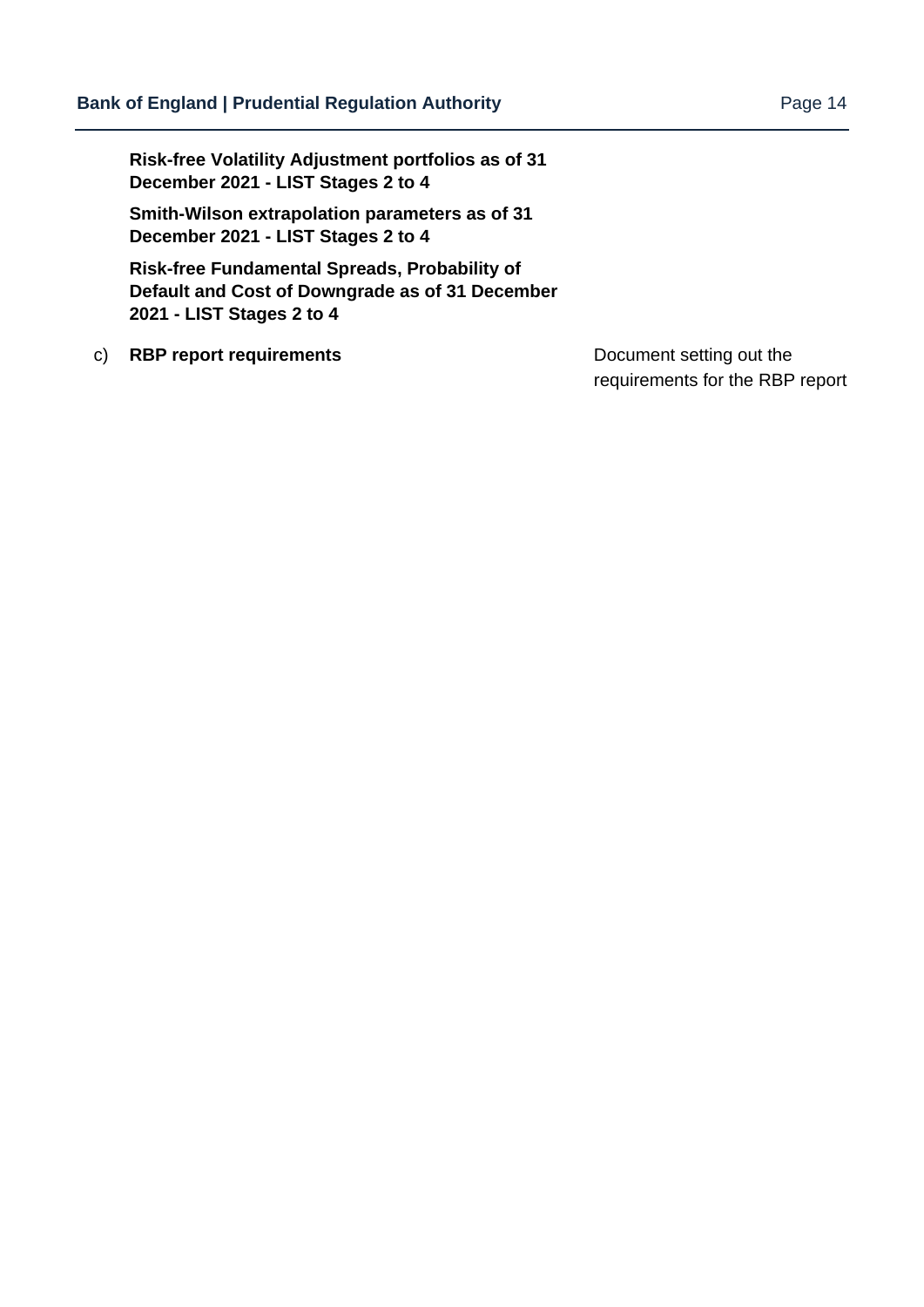**Risk-free Volatility Adjustment portfolios as of 31 December 2021 - LIST Stages 2 to 4**

**Smith-Wilson extrapolation parameters as of 31 December 2021 - LIST Stages 2 to 4**

**Risk-free Fundamental Spreads, Probability of Default and Cost of Downgrade as of 31 December 2021 - LIST Stages 2 to 4**

c) **RBP report requirements** Document setting out the

requirements for the RBP report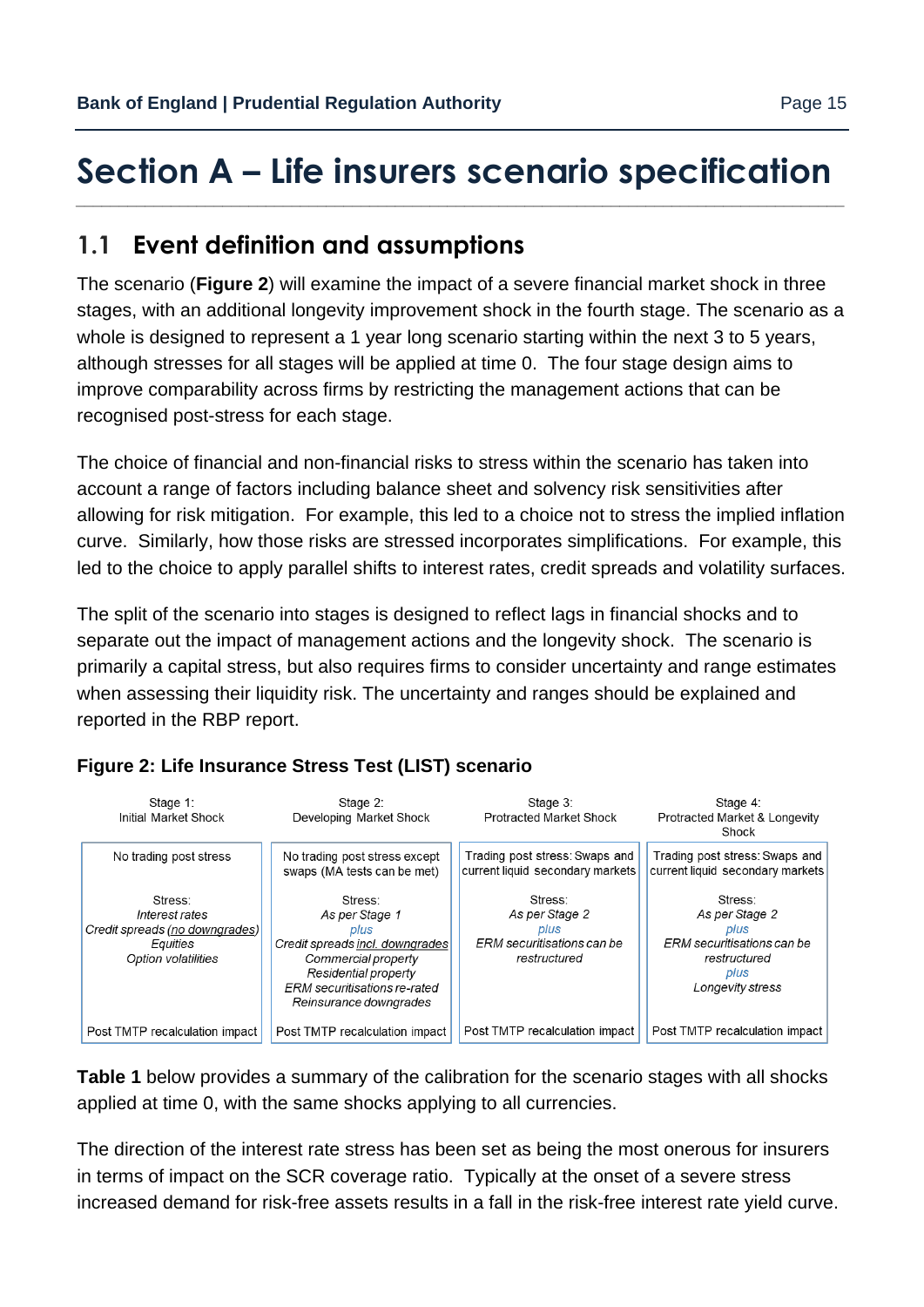## <span id="page-14-0"></span>**Section A – Life insurers scenario specification** *\_\_\_\_\_\_\_\_\_\_\_\_\_\_\_\_\_\_\_\_\_\_\_\_\_\_\_\_\_\_\_\_\_\_\_\_\_\_\_\_\_\_\_\_\_\_\_\_\_\_\_\_\_\_\_\_\_\_\_\_\_\_\_\_\_\_\_\_\_\_\_\_\_\_\_\_\_\_\_\_\_\_\_\_\_\_\_\_\_*

# **1.1 Event definition and assumptions**

The scenario (**Figure 2**) will examine the impact of a severe financial market shock in three stages, with an additional longevity improvement shock in the fourth stage. The scenario as a whole is designed to represent a 1 year long scenario starting within the next 3 to 5 years, although stresses for all stages will be applied at time 0. The four stage design aims to improve comparability across firms by restricting the management actions that can be recognised post-stress for each stage.

The choice of financial and non-financial risks to stress within the scenario has taken into account a range of factors including balance sheet and solvency risk sensitivities after allowing for risk mitigation. For example, this led to a choice not to stress the implied inflation curve. Similarly, how those risks are stressed incorporates simplifications. For example, this led to the choice to apply parallel shifts to interest rates, credit spreads and volatility surfaces.

The split of the scenario into stages is designed to reflect lags in financial shocks and to separate out the impact of management actions and the longevity shock. The scenario is primarily a capital stress, but also requires firms to consider uncertainty and range estimates when assessing their liquidity risk. The uncertainty and ranges should be explained and reported in the RBP report.



### **Figure 2: Life Insurance Stress Test (LIST) scenario**

**Table 1** below provides a summary of the calibration for the scenario stages with all shocks applied at time 0, with the same shocks applying to all currencies.

The direction of the interest rate stress has been set as being the most onerous for insurers in terms of impact on the SCR coverage ratio. Typically at the onset of a severe stress increased demand for risk-free assets results in a fall in the risk-free interest rate yield curve.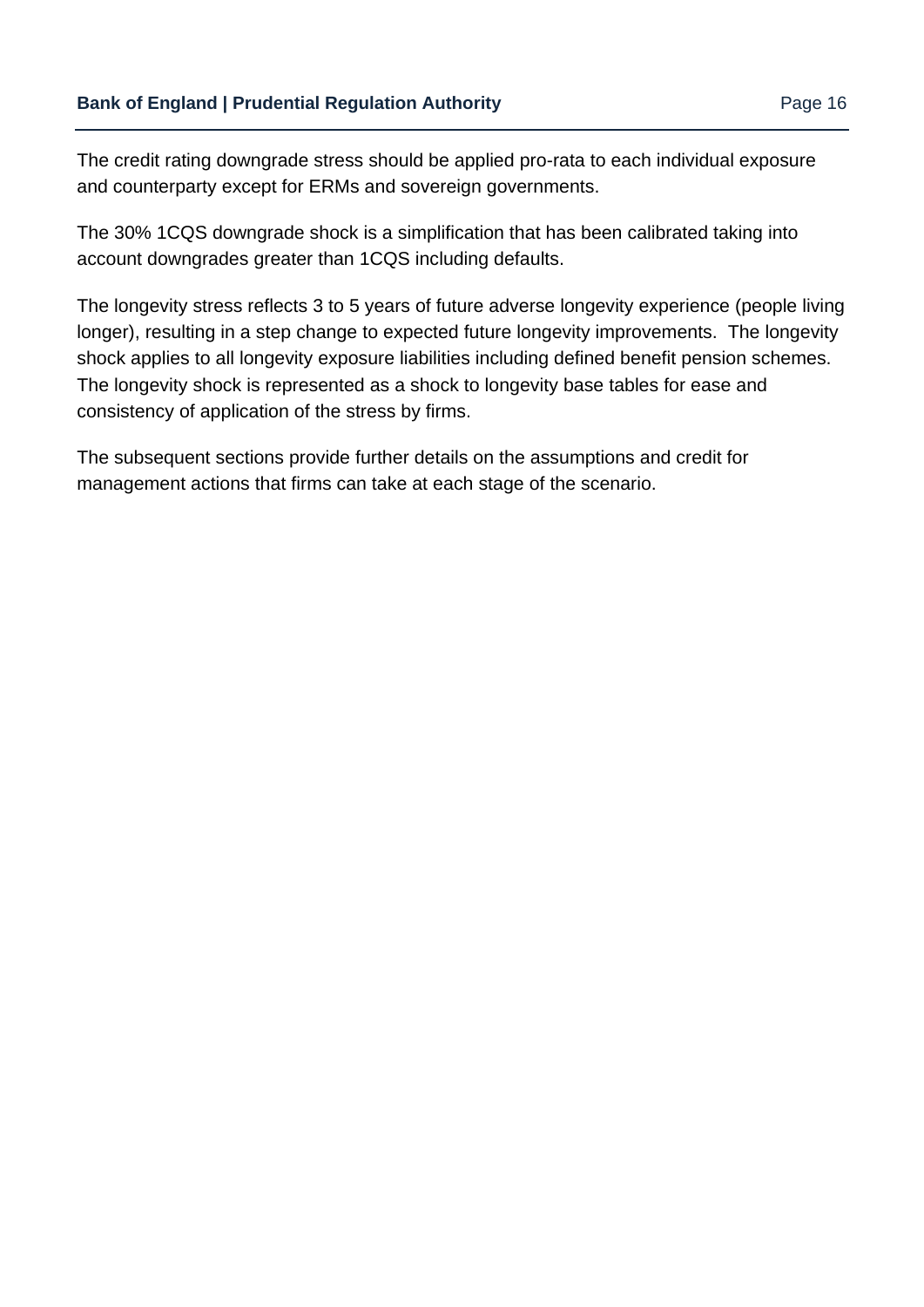The credit rating downgrade stress should be applied pro-rata to each individual exposure and counterparty except for ERMs and sovereign governments.

The 30% 1CQS downgrade shock is a simplification that has been calibrated taking into account downgrades greater than 1CQS including defaults.

The longevity stress reflects 3 to 5 years of future adverse longevity experience (people living longer), resulting in a step change to expected future longevity improvements. The longevity shock applies to all longevity exposure liabilities including defined benefit pension schemes. The longevity shock is represented as a shock to longevity base tables for ease and consistency of application of the stress by firms.

The subsequent sections provide further details on the assumptions and credit for management actions that firms can take at each stage of the scenario.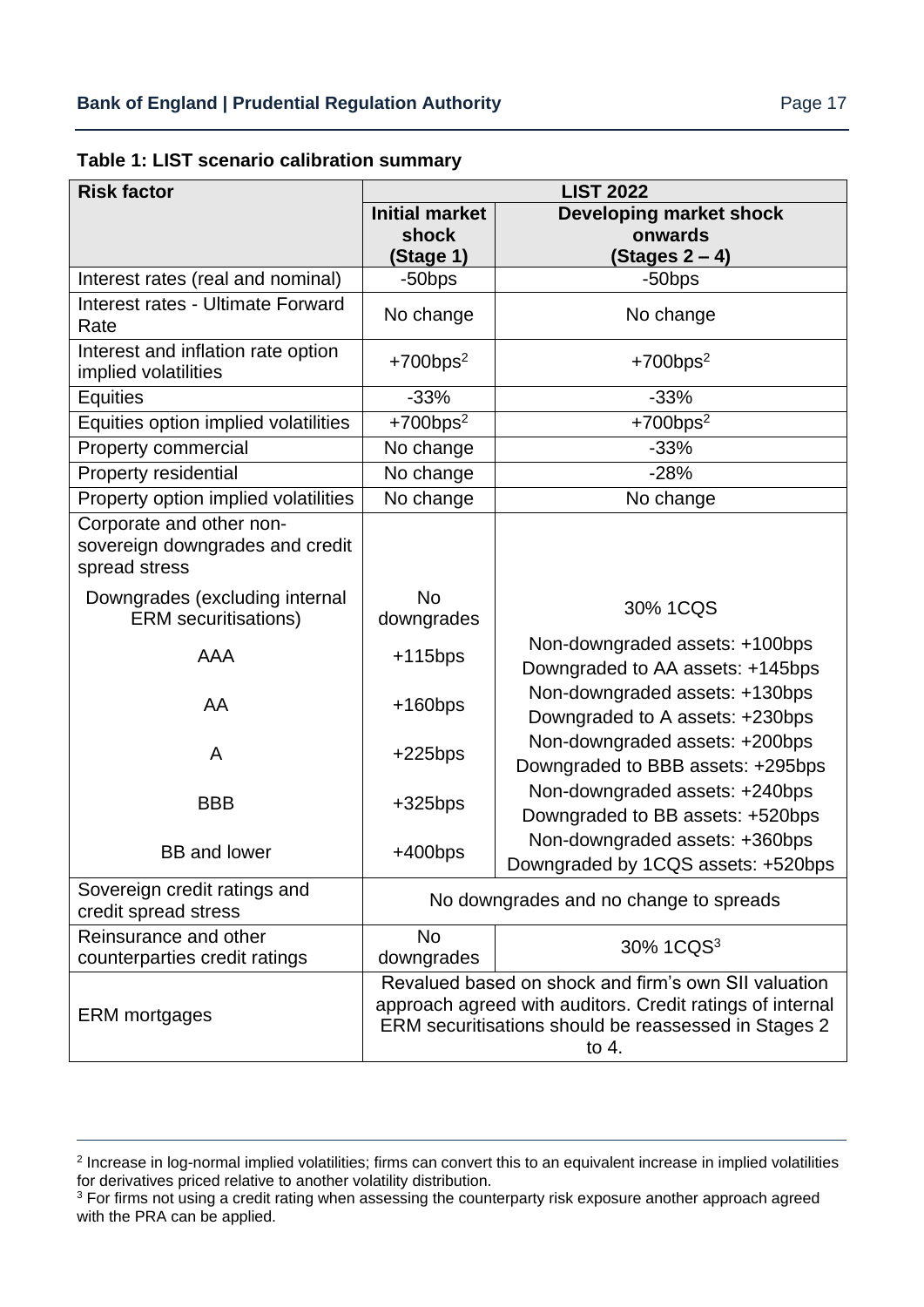| Table 1: LIST scenario calibration summary |  |  |  |
|--------------------------------------------|--|--|--|
|--------------------------------------------|--|--|--|

| <b>Risk factor</b>                                                           | <b>LIST 2022</b>        |                                                                                                                                                                                      |
|------------------------------------------------------------------------------|-------------------------|--------------------------------------------------------------------------------------------------------------------------------------------------------------------------------------|
|                                                                              | <b>Initial market</b>   | <b>Developing market shock</b>                                                                                                                                                       |
|                                                                              | shock<br>(Stage 1)      | onwards<br>(Stages 2 – 4)                                                                                                                                                            |
| Interest rates (real and nominal)                                            | $-50$ bps               | -50bps                                                                                                                                                                               |
| Interest rates - Ultimate Forward<br>Rate                                    | No change               | No change                                                                                                                                                                            |
| Interest and inflation rate option<br>implied volatilities                   | $+700bps2$              | $+700bps2$                                                                                                                                                                           |
| Equities                                                                     | $-33%$                  | $-33%$                                                                                                                                                                               |
| Equities option implied volatilities                                         | $+700bps2$              | $+700bps2$                                                                                                                                                                           |
| <b>Property commercial</b>                                                   | No change               | $-33%$                                                                                                                                                                               |
| Property residential                                                         | No change               | $-28%$                                                                                                                                                                               |
| Property option implied volatilities                                         | No change               | No change                                                                                                                                                                            |
| Corporate and other non-<br>sovereign downgrades and credit<br>spread stress |                         |                                                                                                                                                                                      |
| Downgrades (excluding internal<br><b>ERM</b> securitisations)                | <b>No</b><br>downgrades | 30% 1CQS                                                                                                                                                                             |
| <b>AAA</b>                                                                   | $+115bps$               | Non-downgraded assets: +100bps<br>Downgraded to AA assets: +145bps                                                                                                                   |
| AA                                                                           | $+160bps$               | Non-downgraded assets: +130bps<br>Downgraded to A assets: +230bps                                                                                                                    |
| A                                                                            | $+225bps$               | Non-downgraded assets: +200bps<br>Downgraded to BBB assets: +295bps                                                                                                                  |
| <b>BBB</b>                                                                   | $+325$ bps              | Non-downgraded assets: +240bps<br>Downgraded to BB assets: +520bps                                                                                                                   |
| <b>BB</b> and lower                                                          | $+400bps$               | Non-downgraded assets: +360bps<br>Downgraded by 1CQS assets: +520bps                                                                                                                 |
| Sovereign credit ratings and<br>credit spread stress                         |                         | No downgrades and no change to spreads                                                                                                                                               |
| Reinsurance and other<br>counterparties credit ratings                       | <b>No</b><br>downgrades | 30% 1CQS <sup>3</sup>                                                                                                                                                                |
| <b>ERM</b> mortgages                                                         |                         | Revalued based on shock and firm's own SII valuation<br>approach agreed with auditors. Credit ratings of internal<br>ERM securitisations should be reassessed in Stages 2<br>to $4.$ |

<sup>&</sup>lt;sup>2</sup> Increase in log-normal implied volatilities; firms can convert this to an equivalent increase in implied volatilities for derivatives priced relative to another volatility distribution.

<sup>&</sup>lt;sup>3</sup> For firms not using a credit rating when assessing the counterparty risk exposure another approach agreed with the PRA can be applied.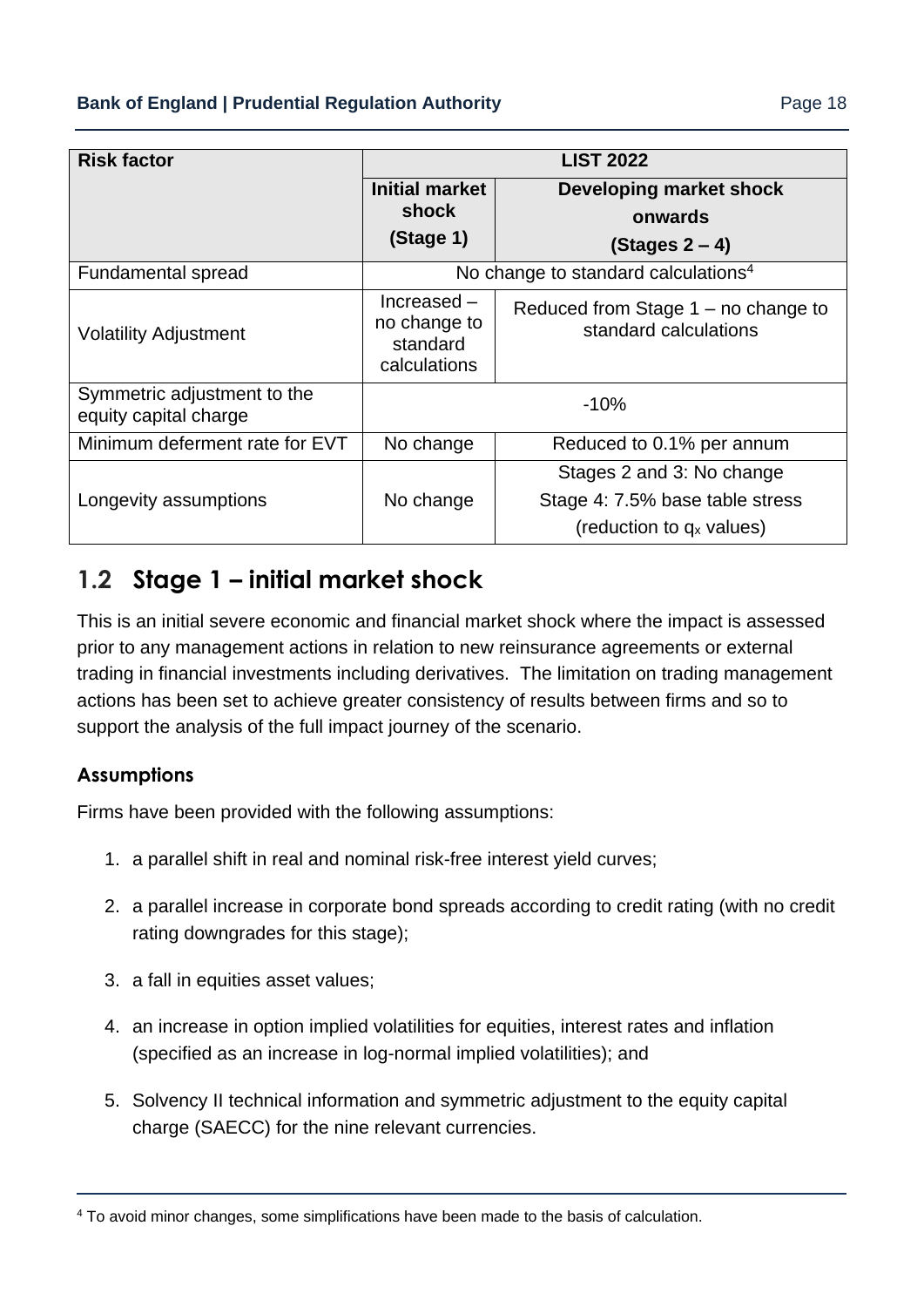| <b>Risk factor</b>                                   | <b>LIST 2022</b>                                         |                                                                                                      |
|------------------------------------------------------|----------------------------------------------------------|------------------------------------------------------------------------------------------------------|
|                                                      | <b>Initial market</b><br>shock                           | <b>Developing market shock</b><br>onwards                                                            |
|                                                      | (Stage 1)                                                | (Stages 2 – 4)                                                                                       |
| Fundamental spread                                   |                                                          | No change to standard calculations <sup>4</sup>                                                      |
| <b>Volatility Adjustment</b>                         | $Increase -$<br>no change to<br>standard<br>calculations | Reduced from Stage $1 - no$ change to<br>standard calculations                                       |
| Symmetric adjustment to the<br>equity capital charge |                                                          | $-10%$                                                                                               |
| Minimum deferment rate for EVT                       | No change                                                | Reduced to 0.1% per annum                                                                            |
| Longevity assumptions                                | No change                                                | Stages 2 and 3: No change<br>Stage 4: 7.5% base table stress<br>(reduction to q <sub>x</sub> values) |

# **1.2 Stage 1 – initial market shock**

This is an initial severe economic and financial market shock where the impact is assessed prior to any management actions in relation to new reinsurance agreements or external trading in financial investments including derivatives. The limitation on trading management actions has been set to achieve greater consistency of results between firms and so to support the analysis of the full impact journey of the scenario.

#### **Assumptions**

Firms have been provided with the following assumptions:

- 1. a parallel shift in real and nominal risk-free interest yield curves;
- 2. a parallel increase in corporate bond spreads according to credit rating (with no credit rating downgrades for this stage);
- 3. a fall in equities asset values;
- 4. an increase in option implied volatilities for equities, interest rates and inflation (specified as an increase in log-normal implied volatilities); and
- 5. Solvency II technical information and symmetric adjustment to the equity capital charge (SAECC) for the nine relevant currencies.

<sup>4</sup> To avoid minor changes, some simplifications have been made to the basis of calculation.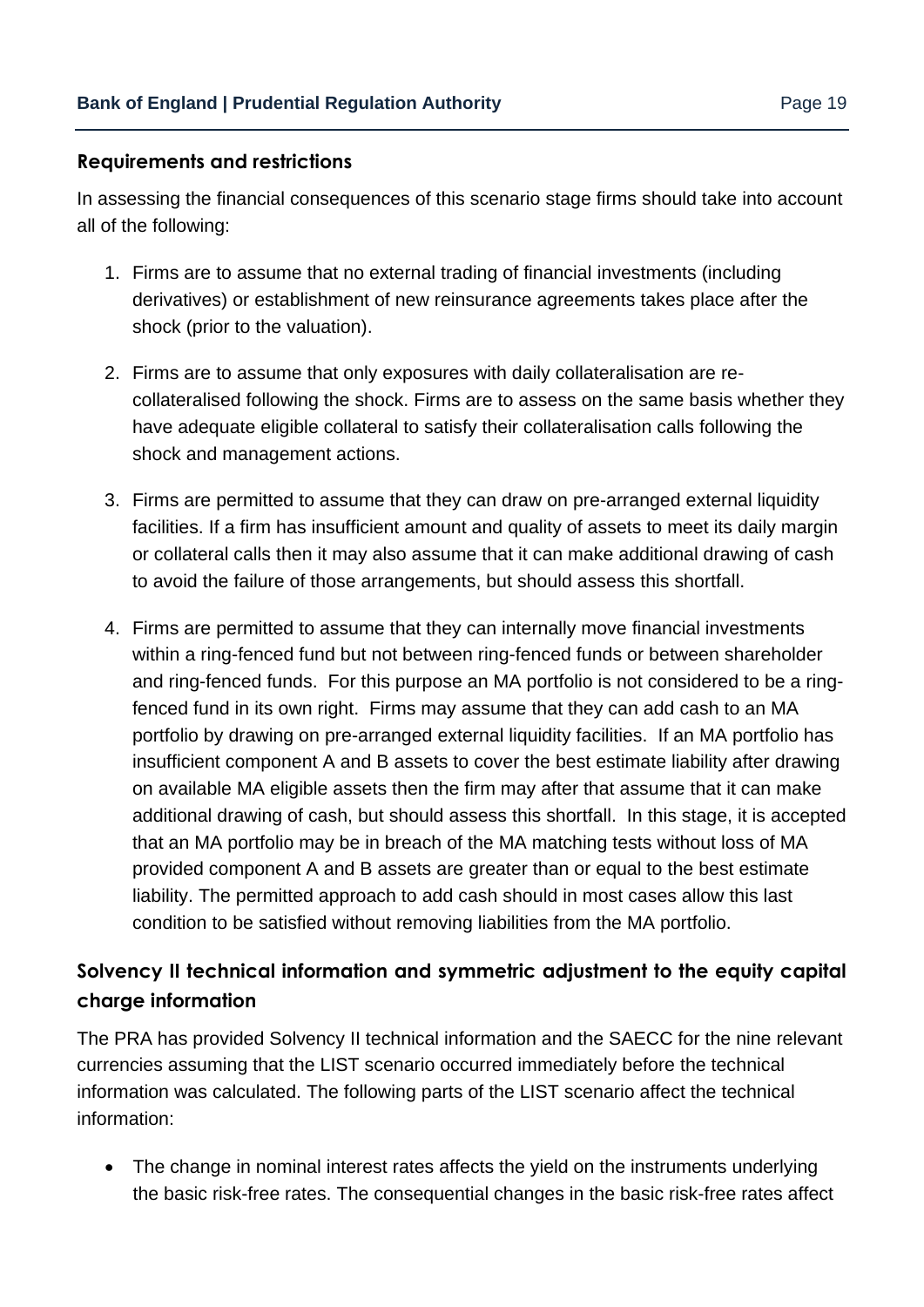#### **Requirements and restrictions**

In assessing the financial consequences of this scenario stage firms should take into account all of the following:

- 1. Firms are to assume that no external trading of financial investments (including derivatives) or establishment of new reinsurance agreements takes place after the shock (prior to the valuation).
- 2. Firms are to assume that only exposures with daily collateralisation are recollateralised following the shock. Firms are to assess on the same basis whether they have adequate eligible collateral to satisfy their collateralisation calls following the shock and management actions.
- 3. Firms are permitted to assume that they can draw on pre-arranged external liquidity facilities. If a firm has insufficient amount and quality of assets to meet its daily margin or collateral calls then it may also assume that it can make additional drawing of cash to avoid the failure of those arrangements, but should assess this shortfall.
- 4. Firms are permitted to assume that they can internally move financial investments within a ring-fenced fund but not between ring-fenced funds or between shareholder and ring-fenced funds. For this purpose an MA portfolio is not considered to be a ringfenced fund in its own right. Firms may assume that they can add cash to an MA portfolio by drawing on pre-arranged external liquidity facilities. If an MA portfolio has insufficient component A and B assets to cover the best estimate liability after drawing on available MA eligible assets then the firm may after that assume that it can make additional drawing of cash, but should assess this shortfall. In this stage, it is accepted that an MA portfolio may be in breach of the MA matching tests without loss of MA provided component A and B assets are greater than or equal to the best estimate liability. The permitted approach to add cash should in most cases allow this last condition to be satisfied without removing liabilities from the MA portfolio.

### **Solvency II technical information and symmetric adjustment to the equity capital charge information**

The PRA has provided Solvency II technical information and the SAECC for the nine relevant currencies assuming that the LIST scenario occurred immediately before the technical information was calculated. The following parts of the LIST scenario affect the technical information:

• The change in nominal interest rates affects the yield on the instruments underlying the basic risk-free rates. The consequential changes in the basic risk-free rates affect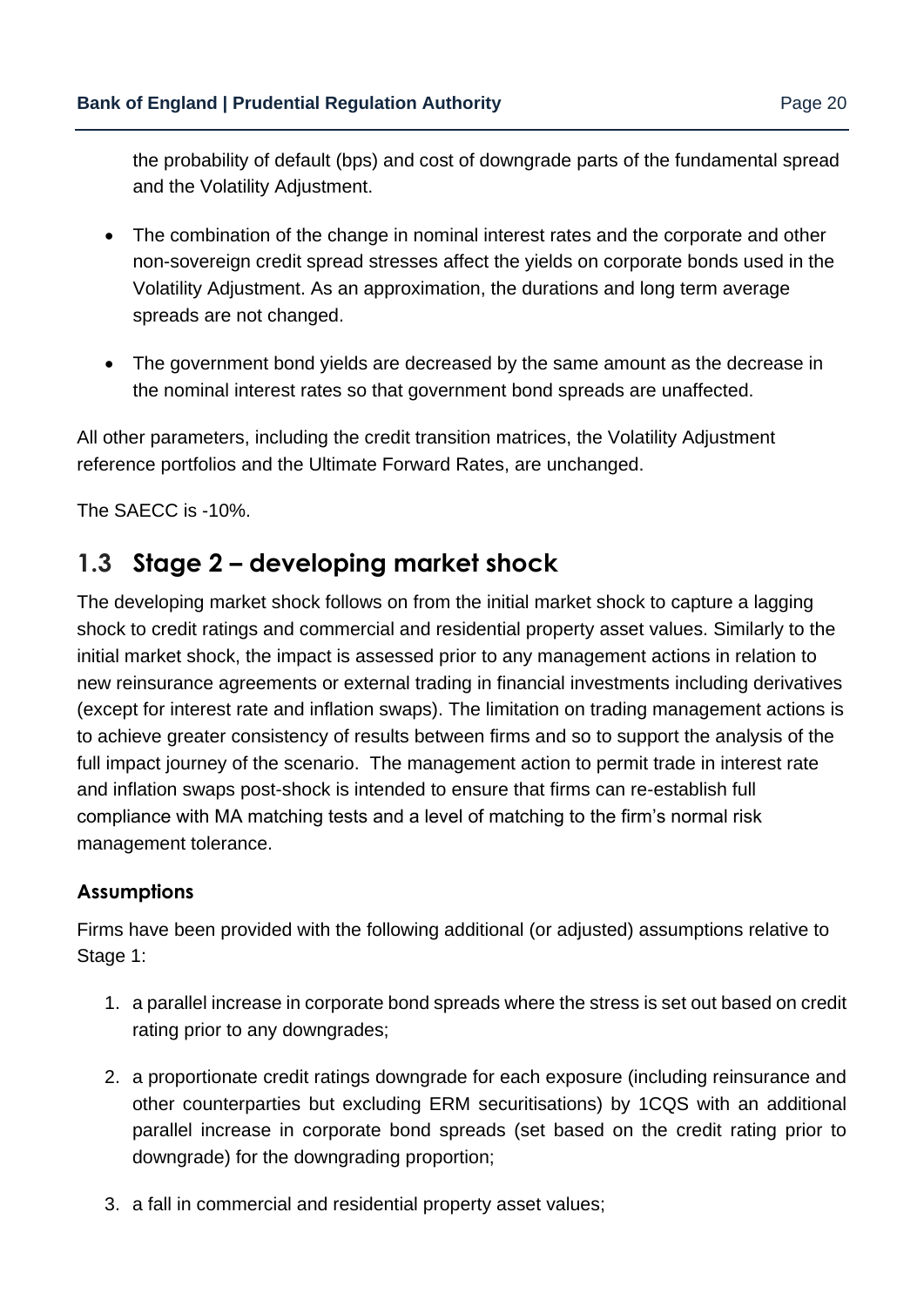the probability of default (bps) and cost of downgrade parts of the fundamental spread and the Volatility Adjustment.

- The combination of the change in nominal interest rates and the corporate and other non-sovereign credit spread stresses affect the yields on corporate bonds used in the Volatility Adjustment. As an approximation, the durations and long term average spreads are not changed.
- The government bond yields are decreased by the same amount as the decrease in the nominal interest rates so that government bond spreads are unaffected.

All other parameters, including the credit transition matrices, the Volatility Adjustment reference portfolios and the Ultimate Forward Rates, are unchanged.

The SAECC is -10%.

# **1.3 Stage 2 – developing market shock**

The developing market shock follows on from the initial market shock to capture a lagging shock to credit ratings and commercial and residential property asset values. Similarly to the initial market shock, the impact is assessed prior to any management actions in relation to new reinsurance agreements or external trading in financial investments including derivatives (except for interest rate and inflation swaps). The limitation on trading management actions is to achieve greater consistency of results between firms and so to support the analysis of the full impact journey of the scenario. The management action to permit trade in interest rate and inflation swaps post-shock is intended to ensure that firms can re-establish full compliance with MA matching tests and a level of matching to the firm's normal risk management tolerance.

#### **Assumptions**

Firms have been provided with the following additional (or adjusted) assumptions relative to Stage 1:

- 1. a parallel increase in corporate bond spreads where the stress is set out based on credit rating prior to any downgrades;
- 2. a proportionate credit ratings downgrade for each exposure (including reinsurance and other counterparties but excluding ERM securitisations) by 1CQS with an additional parallel increase in corporate bond spreads (set based on the credit rating prior to downgrade) for the downgrading proportion;
- 3. a fall in commercial and residential property asset values;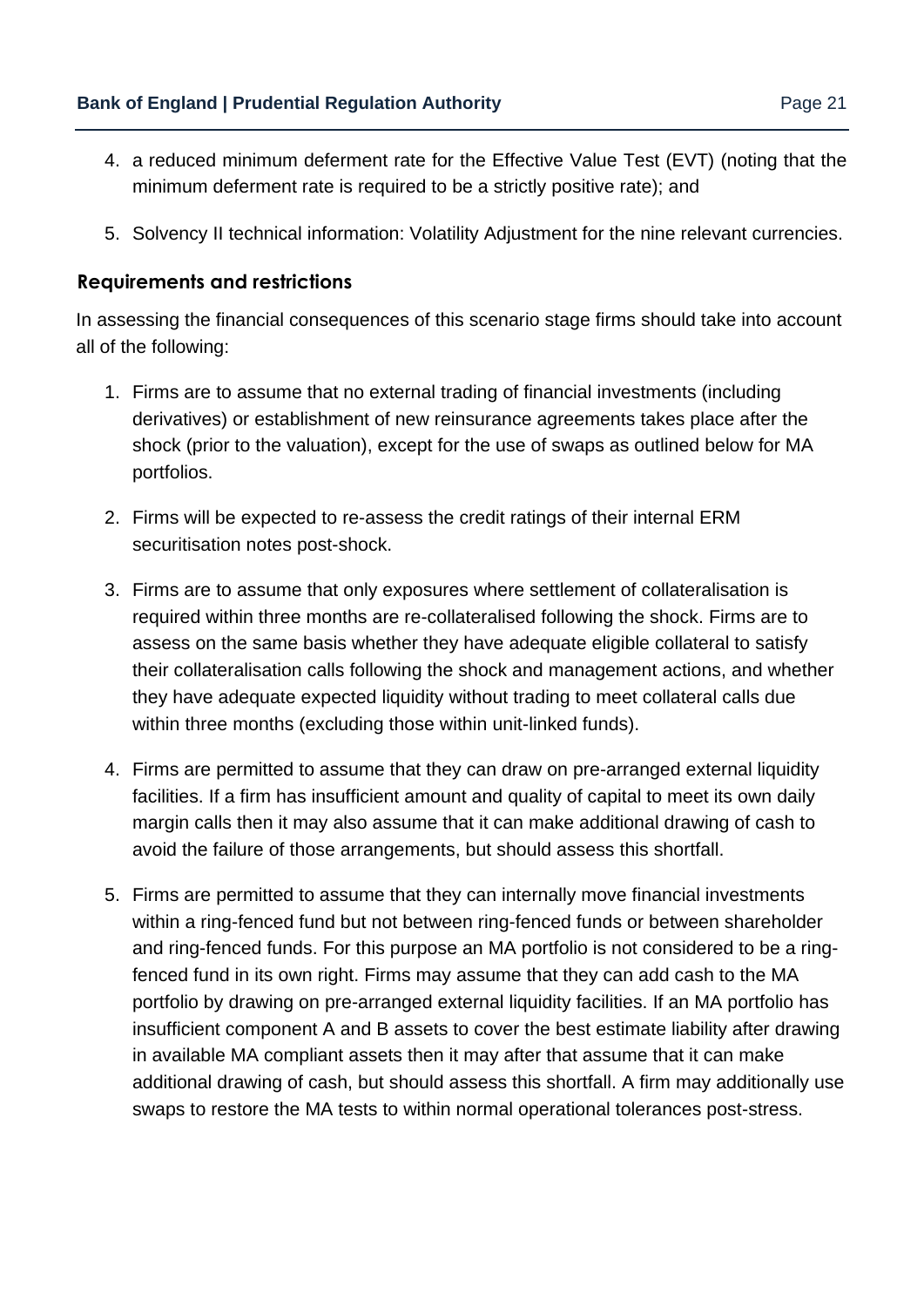- 4. a reduced minimum deferment rate for the Effective Value Test (EVT) (noting that the minimum deferment rate is required to be a strictly positive rate); and
- 5. Solvency II technical information: Volatility Adjustment for the nine relevant currencies.

#### **Requirements and restrictions**

In assessing the financial consequences of this scenario stage firms should take into account all of the following:

- 1. Firms are to assume that no external trading of financial investments (including derivatives) or establishment of new reinsurance agreements takes place after the shock (prior to the valuation), except for the use of swaps as outlined below for MA portfolios.
- 2. Firms will be expected to re-assess the credit ratings of their internal ERM securitisation notes post-shock.
- 3. Firms are to assume that only exposures where settlement of collateralisation is required within three months are re-collateralised following the shock. Firms are to assess on the same basis whether they have adequate eligible collateral to satisfy their collateralisation calls following the shock and management actions, and whether they have adequate expected liquidity without trading to meet collateral calls due within three months (excluding those within unit-linked funds).
- 4. Firms are permitted to assume that they can draw on pre-arranged external liquidity facilities. If a firm has insufficient amount and quality of capital to meet its own daily margin calls then it may also assume that it can make additional drawing of cash to avoid the failure of those arrangements, but should assess this shortfall.
- 5. Firms are permitted to assume that they can internally move financial investments within a ring-fenced fund but not between ring-fenced funds or between shareholder and ring-fenced funds. For this purpose an MA portfolio is not considered to be a ringfenced fund in its own right. Firms may assume that they can add cash to the MA portfolio by drawing on pre-arranged external liquidity facilities. If an MA portfolio has insufficient component A and B assets to cover the best estimate liability after drawing in available MA compliant assets then it may after that assume that it can make additional drawing of cash, but should assess this shortfall. A firm may additionally use swaps to restore the MA tests to within normal operational tolerances post-stress.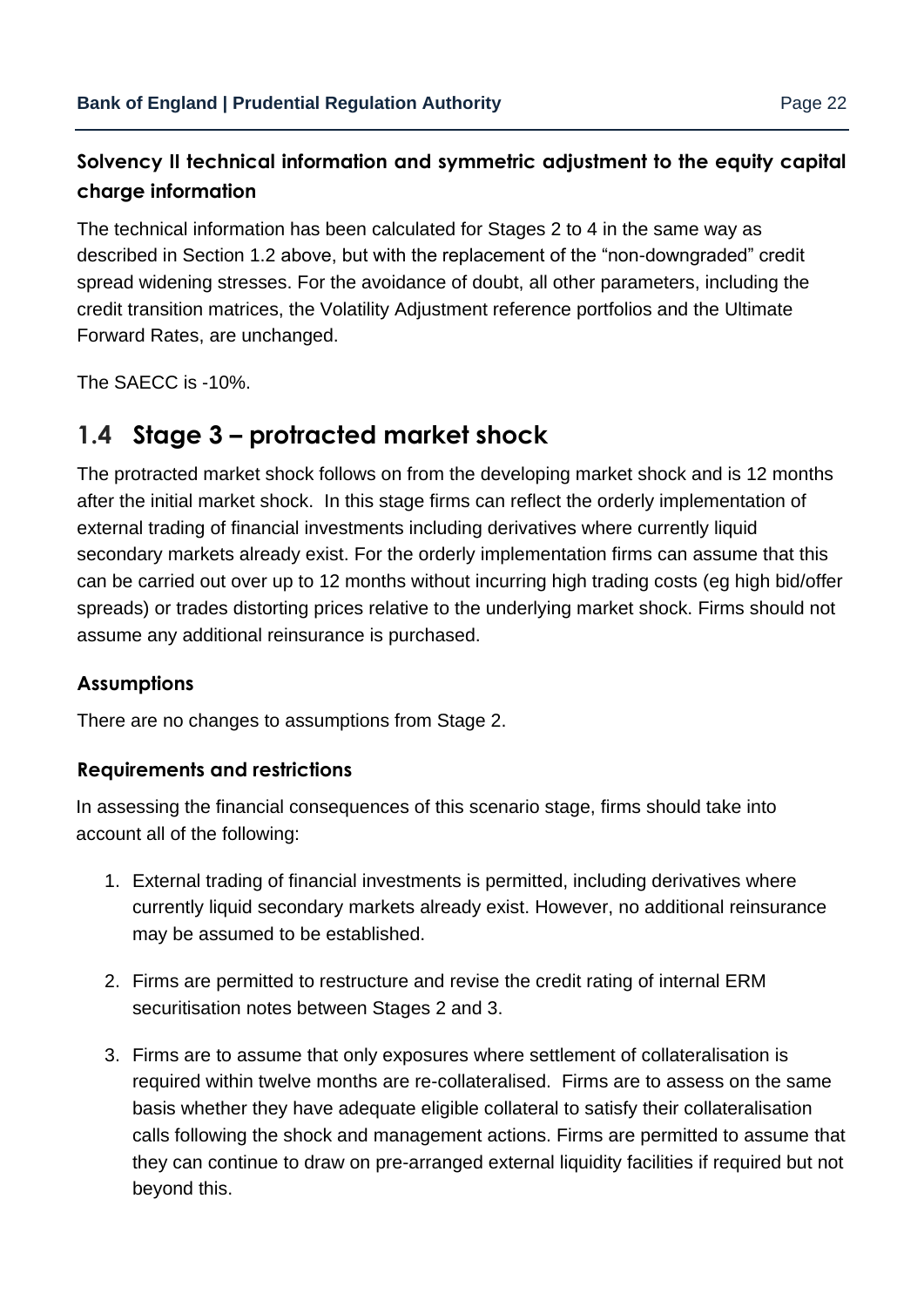### **Solvency II technical information and symmetric adjustment to the equity capital charge information**

The technical information has been calculated for Stages 2 to 4 in the same way as described in Section 1.2 above, but with the replacement of the "non-downgraded" credit spread widening stresses. For the avoidance of doubt, all other parameters, including the credit transition matrices, the Volatility Adjustment reference portfolios and the Ultimate Forward Rates, are unchanged.

The SAECC is -10%.

# **1.4 Stage 3 – protracted market shock**

The protracted market shock follows on from the developing market shock and is 12 months after the initial market shock. In this stage firms can reflect the orderly implementation of external trading of financial investments including derivatives where currently liquid secondary markets already exist. For the orderly implementation firms can assume that this can be carried out over up to 12 months without incurring high trading costs (eg high bid/offer spreads) or trades distorting prices relative to the underlying market shock. Firms should not assume any additional reinsurance is purchased.

#### **Assumptions**

There are no changes to assumptions from Stage 2.

#### **Requirements and restrictions**

In assessing the financial consequences of this scenario stage, firms should take into account all of the following:

- 1. External trading of financial investments is permitted, including derivatives where currently liquid secondary markets already exist. However, no additional reinsurance may be assumed to be established.
- 2. Firms are permitted to restructure and revise the credit rating of internal ERM securitisation notes between Stages 2 and 3.
- 3. Firms are to assume that only exposures where settlement of collateralisation is required within twelve months are re-collateralised. Firms are to assess on the same basis whether they have adequate eligible collateral to satisfy their collateralisation calls following the shock and management actions. Firms are permitted to assume that they can continue to draw on pre-arranged external liquidity facilities if required but not beyond this.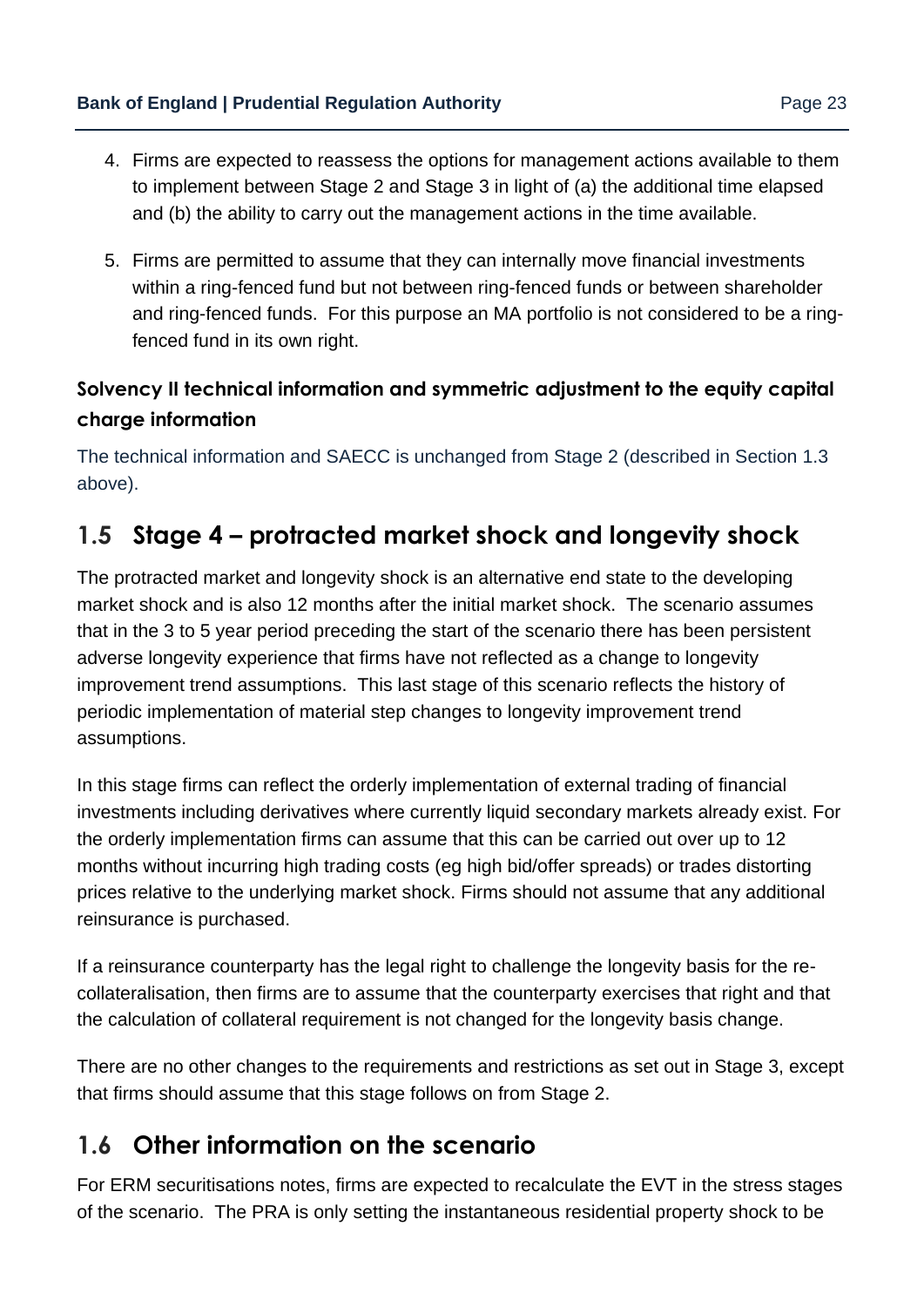- 4. Firms are expected to reassess the options for management actions available to them to implement between Stage 2 and Stage 3 in light of (a) the additional time elapsed and (b) the ability to carry out the management actions in the time available.
- 5. Firms are permitted to assume that they can internally move financial investments within a ring-fenced fund but not between ring-fenced funds or between shareholder and ring-fenced funds. For this purpose an MA portfolio is not considered to be a ringfenced fund in its own right.

### **Solvency II technical information and symmetric adjustment to the equity capital charge information**

The technical information and SAECC is unchanged from Stage 2 (described in Section 1.3 above).

# **1.5 Stage 4 – protracted market shock and longevity shock**

The protracted market and longevity shock is an alternative end state to the developing market shock and is also 12 months after the initial market shock. The scenario assumes that in the 3 to 5 year period preceding the start of the scenario there has been persistent adverse longevity experience that firms have not reflected as a change to longevity improvement trend assumptions. This last stage of this scenario reflects the history of periodic implementation of material step changes to longevity improvement trend assumptions.

In this stage firms can reflect the orderly implementation of external trading of financial investments including derivatives where currently liquid secondary markets already exist. For the orderly implementation firms can assume that this can be carried out over up to 12 months without incurring high trading costs (eg high bid/offer spreads) or trades distorting prices relative to the underlying market shock. Firms should not assume that any additional reinsurance is purchased.

If a reinsurance counterparty has the legal right to challenge the longevity basis for the recollateralisation, then firms are to assume that the counterparty exercises that right and that the calculation of collateral requirement is not changed for the longevity basis change.

There are no other changes to the requirements and restrictions as set out in Stage 3, except that firms should assume that this stage follows on from Stage 2.

# **1.6 Other information on the scenario**

For ERM securitisations notes, firms are expected to recalculate the EVT in the stress stages of the scenario. The PRA is only setting the instantaneous residential property shock to be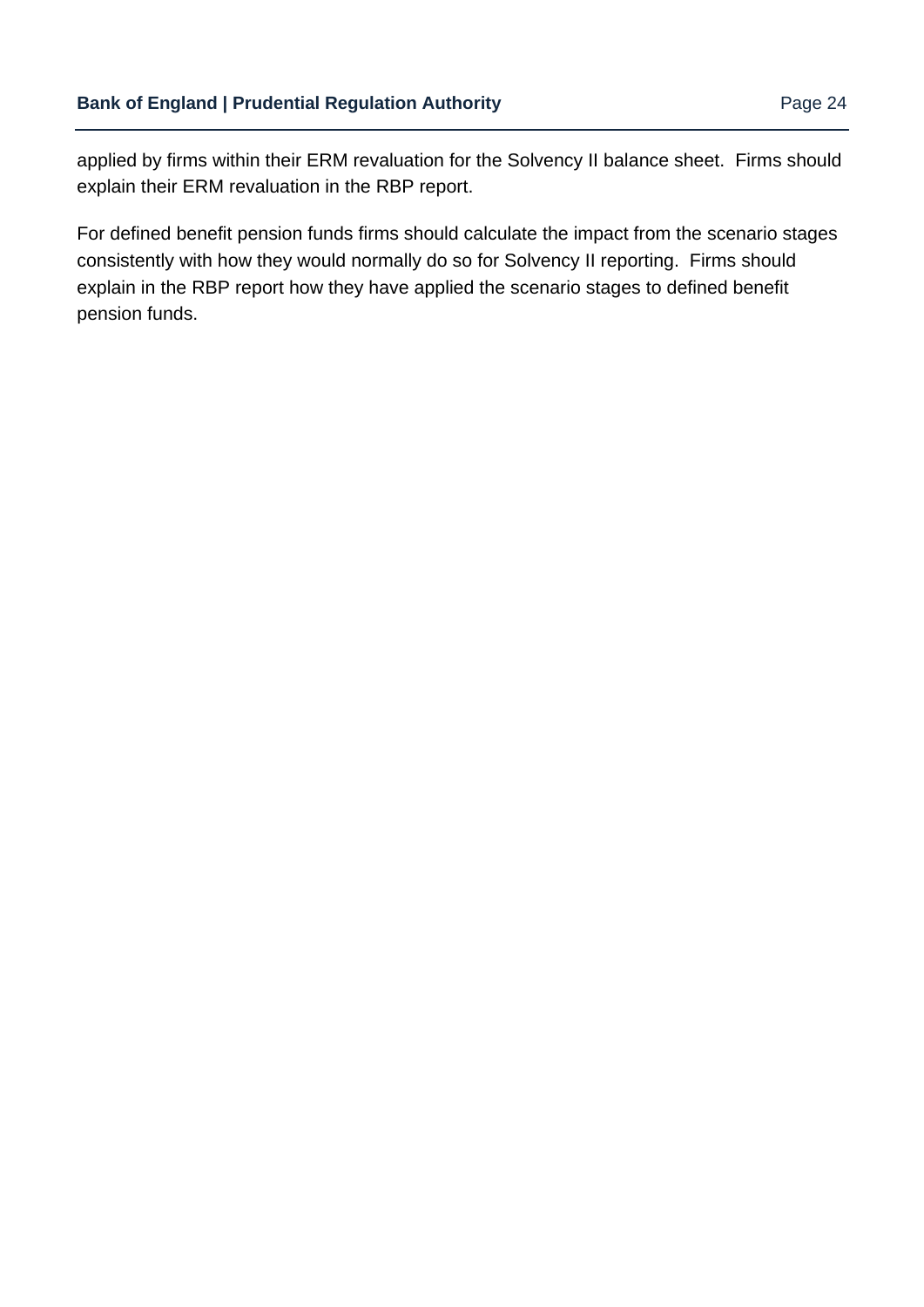applied by firms within their ERM revaluation for the Solvency II balance sheet. Firms should explain their ERM revaluation in the RBP report.

For defined benefit pension funds firms should calculate the impact from the scenario stages consistently with how they would normally do so for Solvency II reporting. Firms should explain in the RBP report how they have applied the scenario stages to defined benefit pension funds.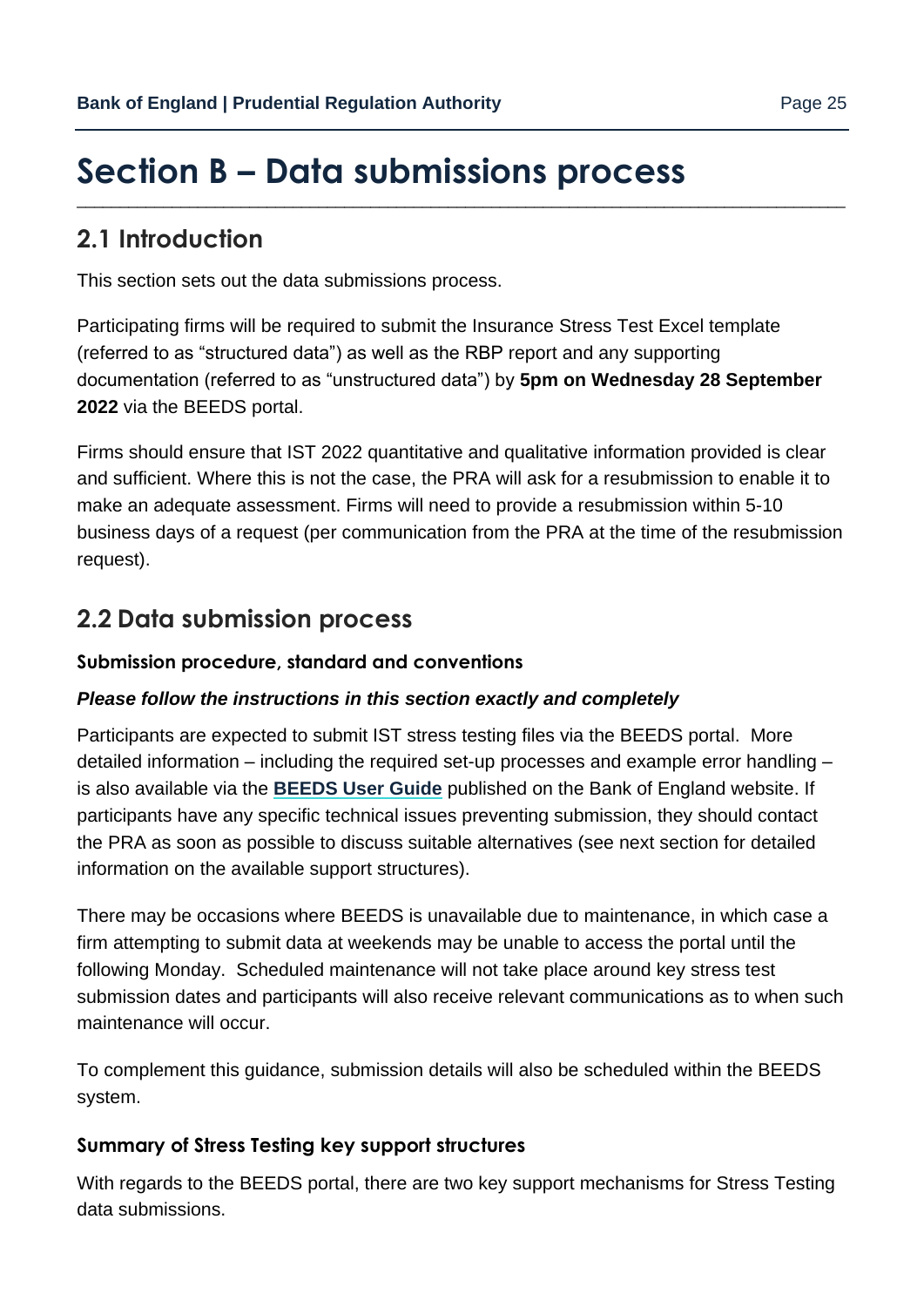# <span id="page-24-0"></span>**Section B – Data submissions process** \_\_\_\_\_\_\_\_\_\_\_\_\_\_\_\_\_\_\_\_\_\_\_\_\_\_\_\_\_\_\_\_\_\_\_\_\_\_\_\_\_\_\_\_\_\_\_\_\_\_\_\_\_\_\_\_\_\_\_\_\_\_\_\_\_\_\_\_\_\_\_\_\_\_\_\_\_\_\_\_\_\_\_\_\_\_\_\_\_

### **2.1 Introduction**

This section sets out the data submissions process.

Participating firms will be required to submit the Insurance Stress Test Excel template (referred to as "structured data") as well as the RBP report and any supporting documentation (referred to as "unstructured data") by **5pm on Wednesday 28 September 2022** via the BEEDS portal.

Firms should ensure that IST 2022 quantitative and qualitative information provided is clear and sufficient. Where this is not the case, the PRA will ask for a resubmission to enable it to make an adequate assessment. Firms will need to provide a resubmission within 5-10 business days of a request (per communication from the PRA at the time of the resubmission request).

## **2.2 Data submission process**

#### **Submission procedure, standard and conventions**

#### *Please follow the instructions in this section exactly and completely*

Participants are expected to submit IST stress testing files via the BEEDS portal. More detailed information – including the required set-up processes and example error handling – is also available via t[he](https://www.bankofengland.co.uk/statistics/data-collection/beeds) **[BEEDS User Guide](https://www.bankofengland.co.uk/-/media/boe/files/statistics/data-collection/beeds/beeds-user-guide.pdf?la=en&hash=BFF62DB00CE9949E66173DC92716A5E816D4827B)** [pu](https://www.bankofengland.co.uk/statistics/data-collection/beeds)blished on the Bank of England website. If participants have any specific technical issues preventing submission, they should contact the PRA as soon as possible to discuss suitable alternatives (see next section for detailed information on the available support structures).

There may be occasions where BEEDS is unavailable due to maintenance, in which case a firm attempting to submit data at weekends may be unable to access the portal until the following Monday. Scheduled maintenance will not take place around key stress test submission dates and participants will also receive relevant communications as to when such maintenance will occur.

To complement this guidance, submission details will also be scheduled within the BEEDS system.

#### **Summary of Stress Testing key support structures**

With regards to the BEEDS portal, there are two key support mechanisms for Stress Testing data submissions.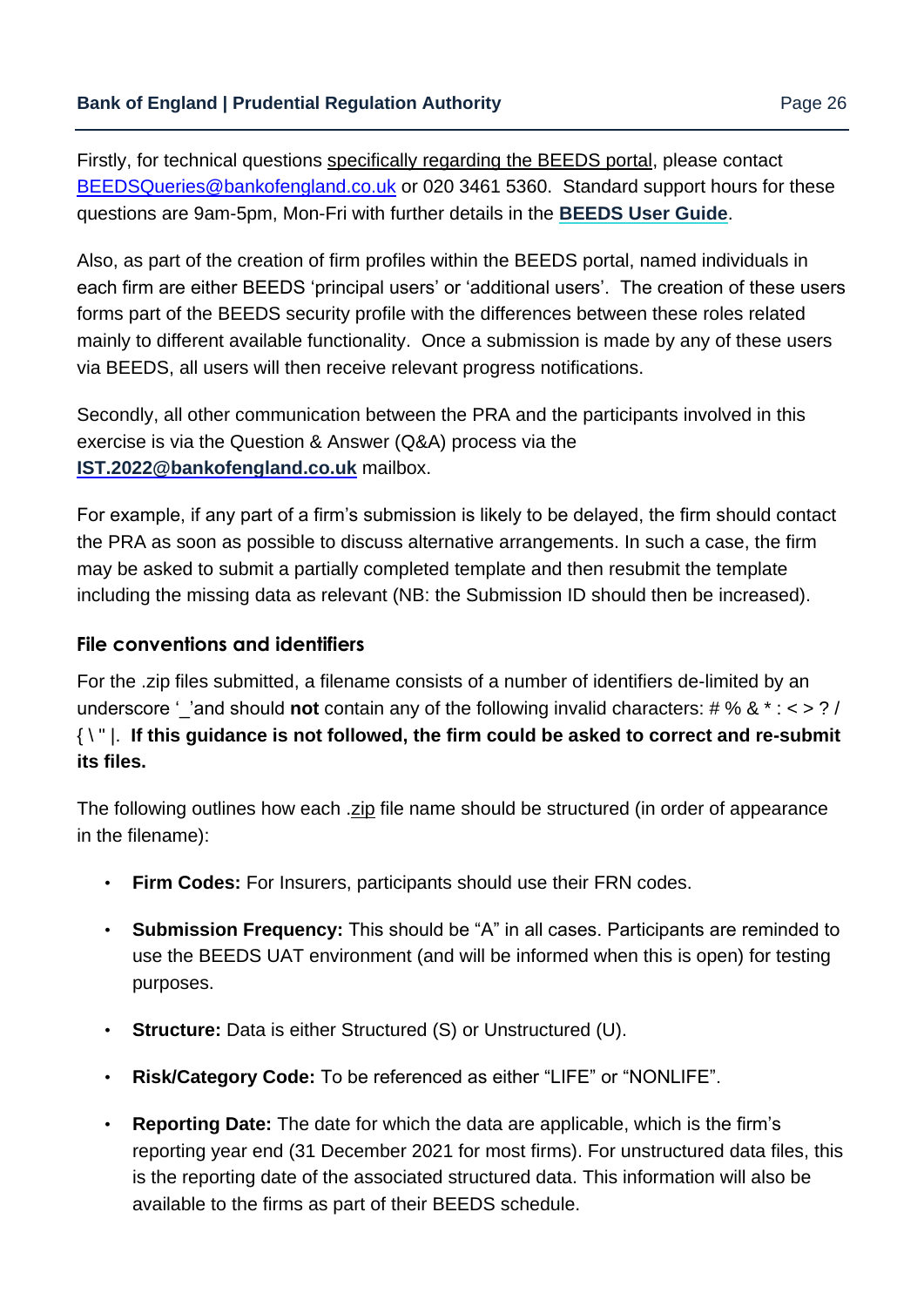Firstly, for technical questions specifically regarding the BEEDS portal, please contact BEEDSQueries@bankofengland.co.uk or 020 3461 5360. Standard support hours for these questions are 9am-5pm, Mon-Fri with further details in the **[BEEDS User Guide](https://www.bankofengland.co.uk/-/media/boe/files/statistics/data-collection/beeds/beeds-user-guide.pdf?la=en&hash=BFF62DB00CE9949E66173DC92716A5E816D4827B)**[.](https://www.bankofengland.co.uk/statistics/data-collection/beeds)

Also, as part of the creation of firm profiles within the BEEDS portal, named individuals in each firm are either BEEDS 'principal users' or 'additional users'. The creation of these users forms part of the BEEDS security profile with the differences between these roles related mainly to different available functionality. Once a submission is made by any of these users via BEEDS, all users will then receive relevant progress notifications.

Secondly, all other communication between the PRA and the participants involved in this exercise is via the Question & Answer (Q&A) process via the **[IST.2022@bankofengland.co.uk](mailto:IST.2022@bankofengland.co.uk)** mailbox.

For example, if any part of a firm's submission is likely to be delayed, the firm should contact the PRA as soon as possible to discuss alternative arrangements. In such a case, the firm may be asked to submit a partially completed template and then resubmit the template including the missing data as relevant (NB: the Submission ID should then be increased).

#### **File conventions and identifiers**

For the .zip files submitted, a filename consists of a number of identifiers de-limited by an underscore ''and should **not** contain any of the following invalid characters: # % & \* : < > ? / { \ " |. **If this guidance is not followed, the firm could be asked to correct and re-submit its files.** 

The following outlines how each .zip file name should be structured (in order of appearance in the filename):

- **Firm Codes:** For Insurers, participants should use their FRN codes.
- **Submission Frequency:** This should be "A" in all cases. Participants are reminded to use the BEEDS UAT environment (and will be informed when this is open) for testing purposes.
- **Structure:** Data is either Structured (S) or Unstructured (U).
- **Risk/Category Code:** To be referenced as either "LIFE" or "NONLIFE".
- **Reporting Date:** The date for which the data are applicable, which is the firm's reporting year end (31 December 2021 for most firms). For unstructured data files, this is the reporting date of the associated structured data. This information will also be available to the firms as part of their BEEDS schedule.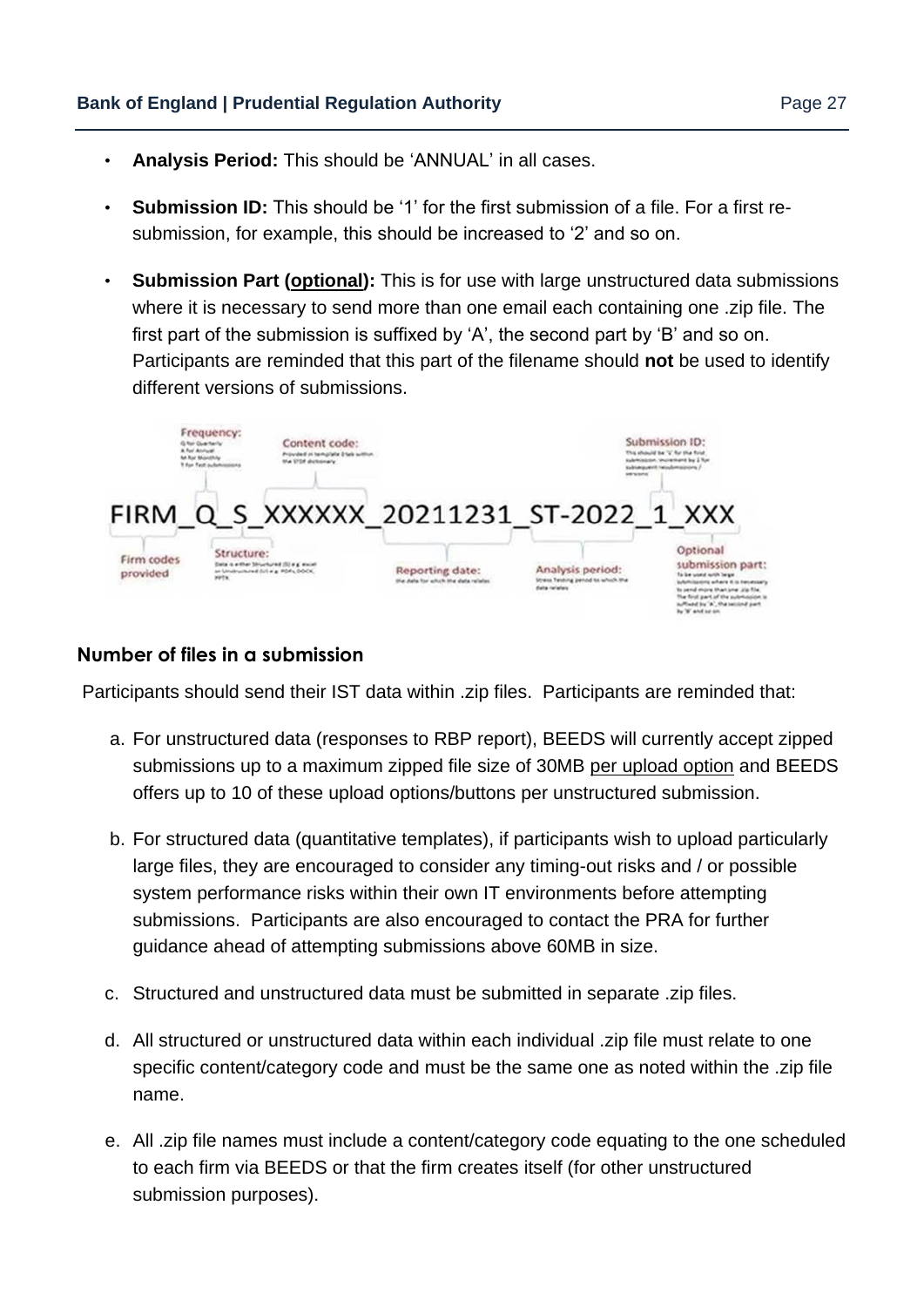- **Analysis Period:** This should be 'ANNUAL' in all cases.
- **Submission ID:** This should be '1' for the first submission of a file. For a first resubmission, for example, this should be increased to '2' and so on.
- **Submission Part (optional):** This is for use with large unstructured data submissions where it is necessary to send more than one email each containing one .zip file. The first part of the submission is suffixed by 'A', the second part by 'B' and so on. Participants are reminded that this part of the filename should **not** be used to identify different versions of submissions.



#### **Number of files in a submission**

Participants should send their IST data within .zip files. Participants are reminded that:

- a. For unstructured data (responses to RBP report), BEEDS will currently accept zipped submissions up to a maximum zipped file size of 30MB per upload option and BEEDS offers up to 10 of these upload options/buttons per unstructured submission.
- b. For structured data (quantitative templates), if participants wish to upload particularly large files, they are encouraged to consider any timing-out risks and / or possible system performance risks within their own IT environments before attempting submissions. Participants are also encouraged to contact the PRA for further guidance ahead of attempting submissions above 60MB in size.
- c. Structured and unstructured data must be submitted in separate .zip files.
- d. All structured or unstructured data within each individual .zip file must relate to one specific content/category code and must be the same one as noted within the .zip file name.
- e. All .zip file names must include a content/category code equating to the one scheduled to each firm via BEEDS or that the firm creates itself (for other unstructured submission purposes).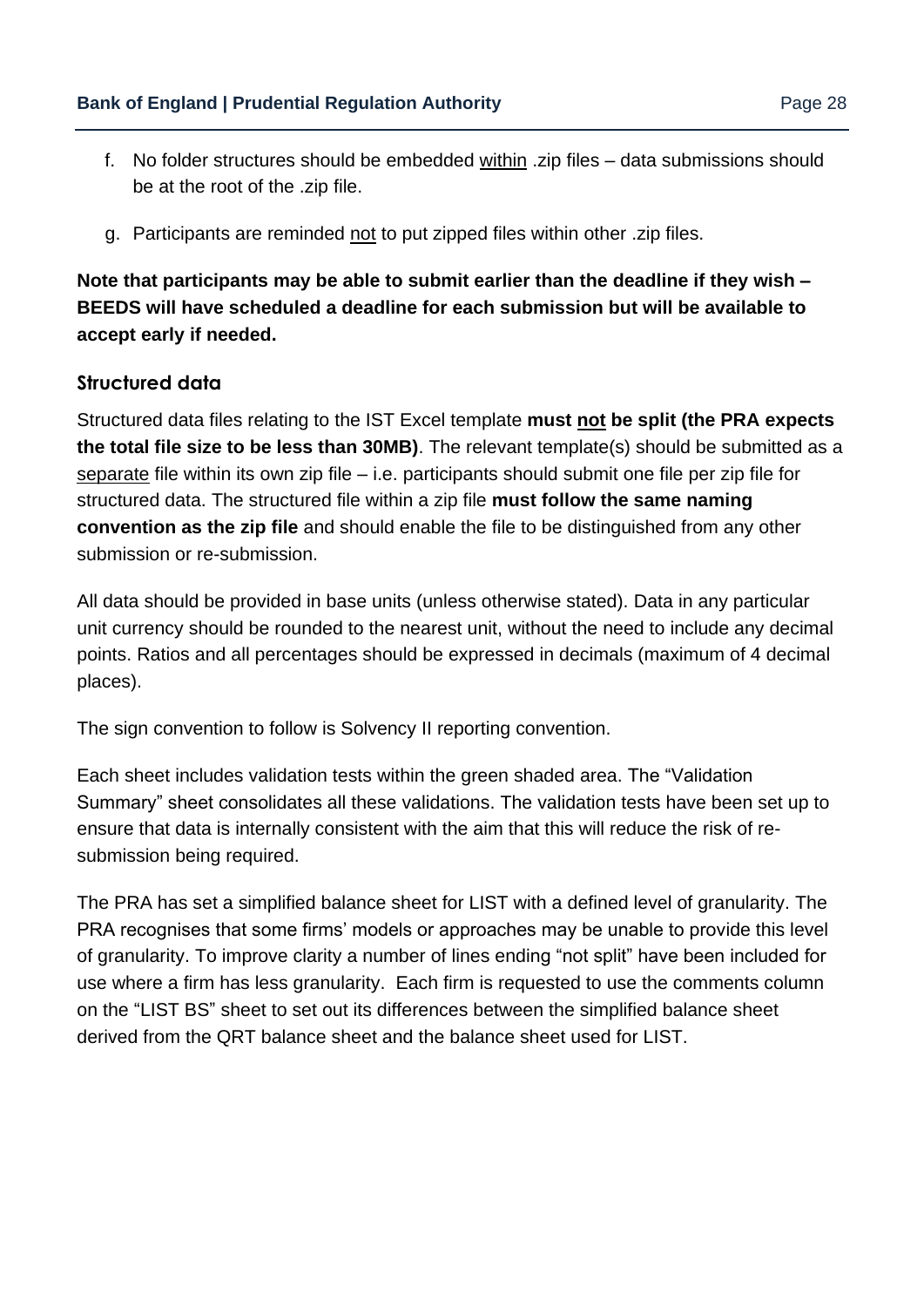- 
- f. No folder structures should be embedded within .zip files data submissions should be at the root of the .zip file.
- g. Participants are reminded not to put zipped files within other .zip files.

**Note that participants may be able to submit earlier than the deadline if they wish – BEEDS will have scheduled a deadline for each submission but will be available to accept early if needed.** 

#### **Structured data**

Structured data files relating to the IST Excel template **must not be split (the PRA expects the total file size to be less than 30MB)**. The relevant template(s) should be submitted as a separate file within its own zip file – i.e. participants should submit one file per zip file for structured data. The structured file within a zip file **must follow the same naming convention as the zip file** and should enable the file to be distinguished from any other submission or re-submission.

All data should be provided in base units (unless otherwise stated). Data in any particular unit currency should be rounded to the nearest unit, without the need to include any decimal points. Ratios and all percentages should be expressed in decimals (maximum of 4 decimal places).

The sign convention to follow is Solvency II reporting convention.

Each sheet includes validation tests within the green shaded area. The "Validation Summary" sheet consolidates all these validations. The validation tests have been set up to ensure that data is internally consistent with the aim that this will reduce the risk of resubmission being required.

The PRA has set a simplified balance sheet for LIST with a defined level of granularity. The PRA recognises that some firms' models or approaches may be unable to provide this level of granularity. To improve clarity a number of lines ending "not split" have been included for use where a firm has less granularity. Each firm is requested to use the comments column on the "LIST BS" sheet to set out its differences between the simplified balance sheet derived from the QRT balance sheet and the balance sheet used for LIST.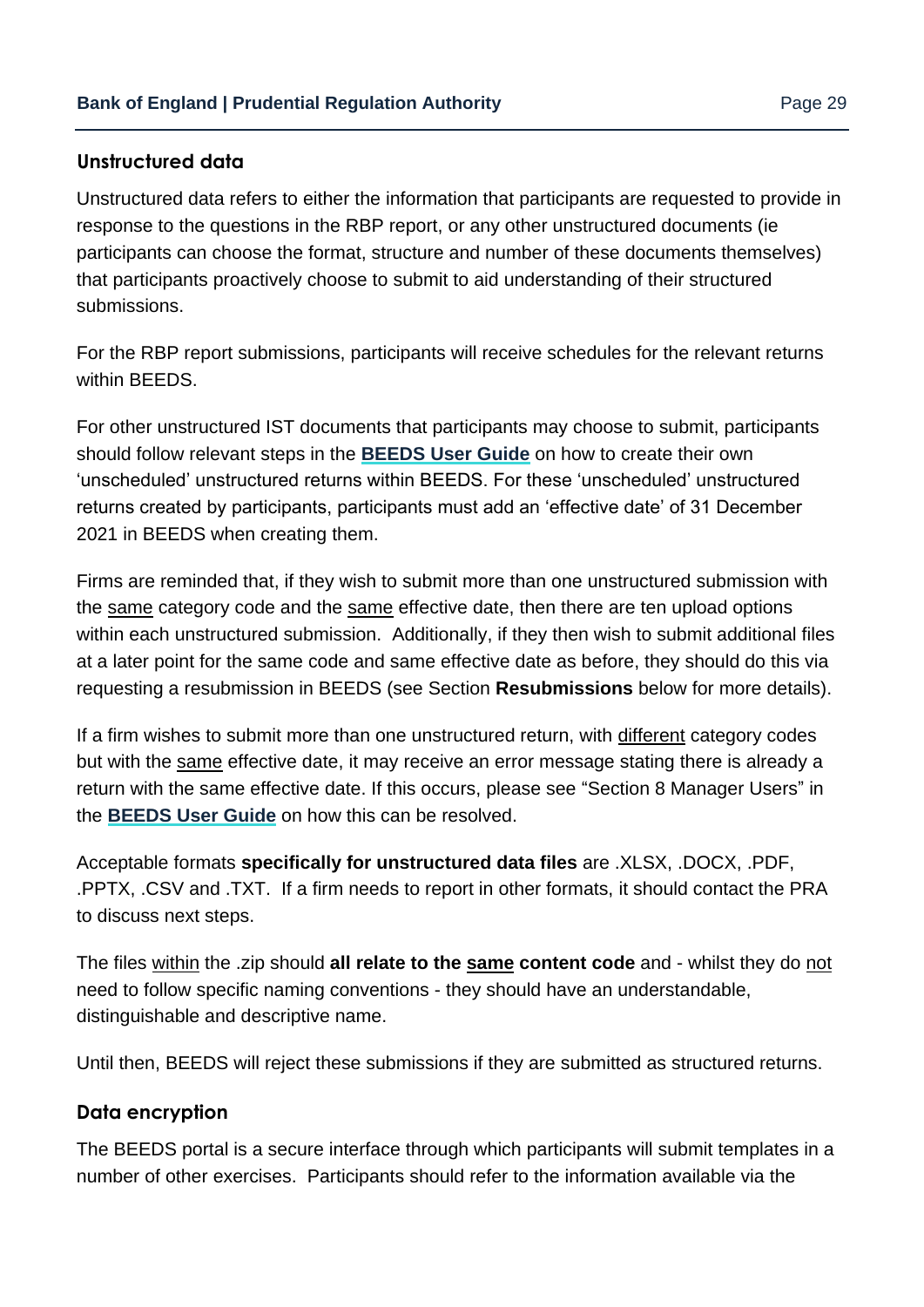#### **Unstructured data**

Unstructured data refers to either the information that participants are requested to provide in response to the questions in the RBP report, or any other unstructured documents (ie participants can choose the format, structure and number of these documents themselves) that participants proactively choose to submit to aid understanding of their structured submissions.

For the RBP report submissions, participants will receive schedules for the relevant returns within BEEDS.

For other unstructured IST documents that participants may choose to submit, participants should follow relevant steps in the **[BEEDS User Guide](https://www.bankofengland.co.uk/-/media/boe/files/statistics/data-collection/beeds/beeds-user-guide.pdf?la=en&hash=BFF62DB00CE9949E66173DC92716A5E816D4827B)** on how to create their own 'unscheduled' unstructured returns within BEEDS. For these 'unscheduled' unstructured returns created by participants, participants must add an 'effective date' of 31 December 2021 in BEEDS when creating them.

Firms are reminded that, if they wish to submit more than one unstructured submission with the same category code and the same effective date, then there are ten upload options within each unstructured submission. Additionally, if they then wish to submit additional files at a later point for the same code and same effective date as before, they should do this via requesting a resubmission in BEEDS (see Section **Resubmissions** below for more details).

If a firm wishes to submit more than one unstructured return, with different category codes but with the same effective date, it may receive an error message stating there is already a return with the same effective date. If this occurs, please see "Section 8 Manager Users" in the **[BEEDS User Guide](https://www.bankofengland.co.uk/-/media/boe/files/statistics/data-collection/beeds/beeds-user-guide.pdf?la=en&hash=BFF62DB00CE9949E66173DC92716A5E816D4827B)** [o](https://www.bankofengland.co.uk/statistics/data-collection/beeds)n how this can be resolved.

Acceptable formats **specifically for unstructured data files** are .XLSX, .DOCX, .PDF, .PPTX, .CSV and .TXT. If a firm needs to report in other formats, it should contact the PRA to discuss next steps.

The files within the .zip should **all relate to the same content code** and - whilst they do not need to follow specific naming conventions - they should have an understandable, distinguishable and descriptive name.

Until then, BEEDS will reject these submissions if they are submitted as structured returns.

#### **Data encryption**

The BEEDS portal is a secure interface through which participants will submit templates in a number of other exercises. Participants should refer to the information available via the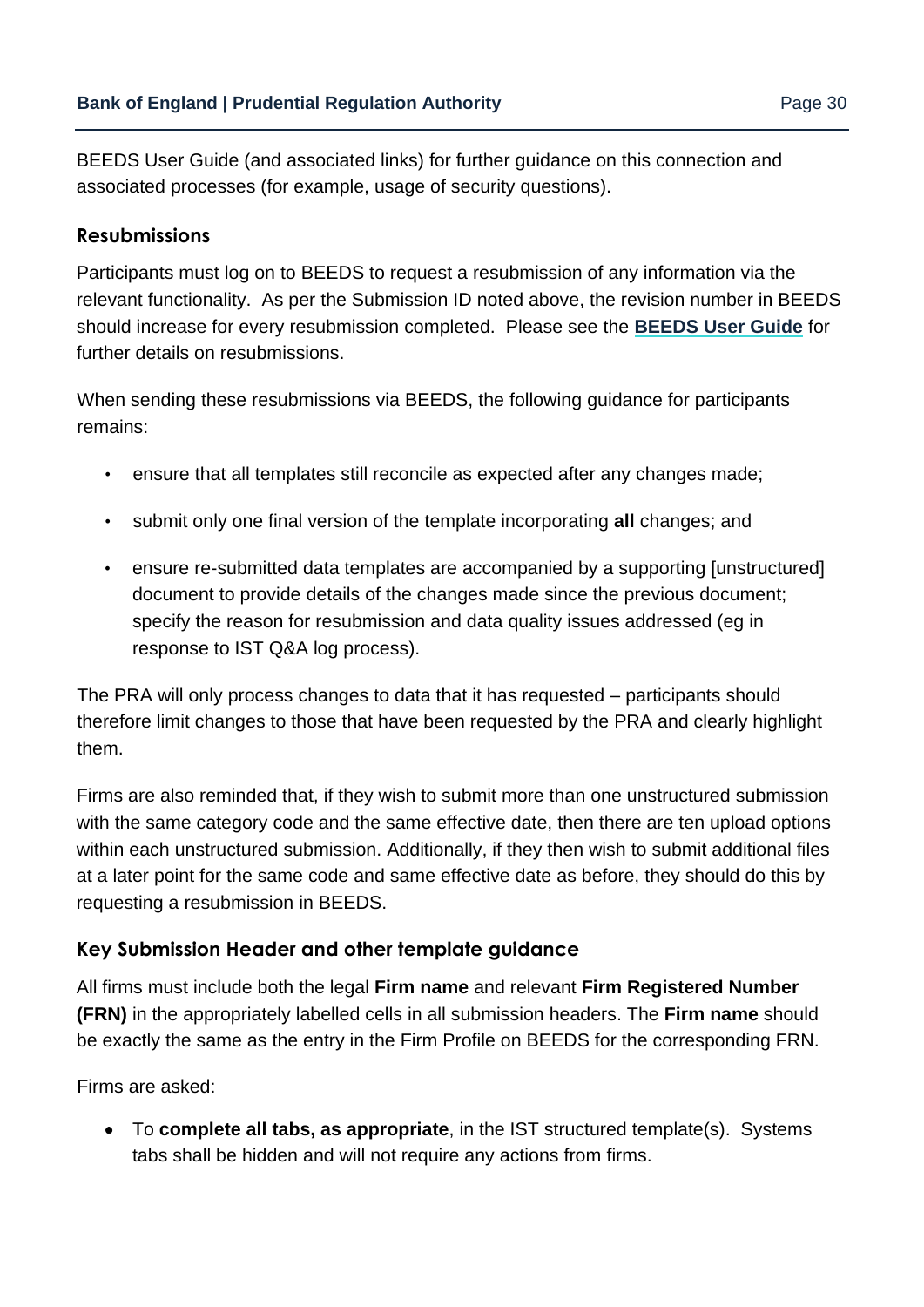[BEEDS User Guide](https://www.bankofengland.co.uk/statistics/data-collection/beeds) [\(](https://www.bankofengland.co.uk/statistics/data-collection/beeds)and associated links) for further guidance on this connection and associated processes (for example, usage of security questions).

#### **Resubmissions**

Participants must log on to BEEDS to request a resubmission of any information via the relevant functionality. As per the Submission ID noted above, the revision number in BEEDS should increase for every resubmission completed. Please see the **[BEEDS User Guide](https://www.bankofengland.co.uk/-/media/boe/files/statistics/data-collection/beeds/beeds-user-guide.pdf?la=en&hash=BFF62DB00CE9949E66173DC92716A5E816D4827B)** for further details on resubmissions.

When sending these resubmissions via BEEDS, the following guidance for participants remains:

- ensure that all templates still reconcile as expected after any changes made;
- submit only one final version of the template incorporating **all** changes; and
- ensure re-submitted data templates are accompanied by a supporting [unstructured] document to provide details of the changes made since the previous document; specify the reason for resubmission and data quality issues addressed (eg in response to IST Q&A log process).

The PRA will only process changes to data that it has requested – participants should therefore limit changes to those that have been requested by the PRA and clearly highlight them.

Firms are also reminded that, if they wish to submit more than one unstructured submission with the same category code and the same effective date, then there are ten upload options within each unstructured submission. Additionally, if they then wish to submit additional files at a later point for the same code and same effective date as before, they should do this by requesting a resubmission in BEEDS.

#### **Key Submission Header and other template guidance**

All firms must include both the legal **Firm name** and relevant **Firm Registered Number (FRN)** in the appropriately labelled cells in all submission headers. The **Firm name** should be exactly the same as the entry in the Firm Profile on BEEDS for the corresponding FRN.

Firms are asked:

• To **complete all tabs, as appropriate**, in the IST structured template(s). Systems tabs shall be hidden and will not require any actions from firms.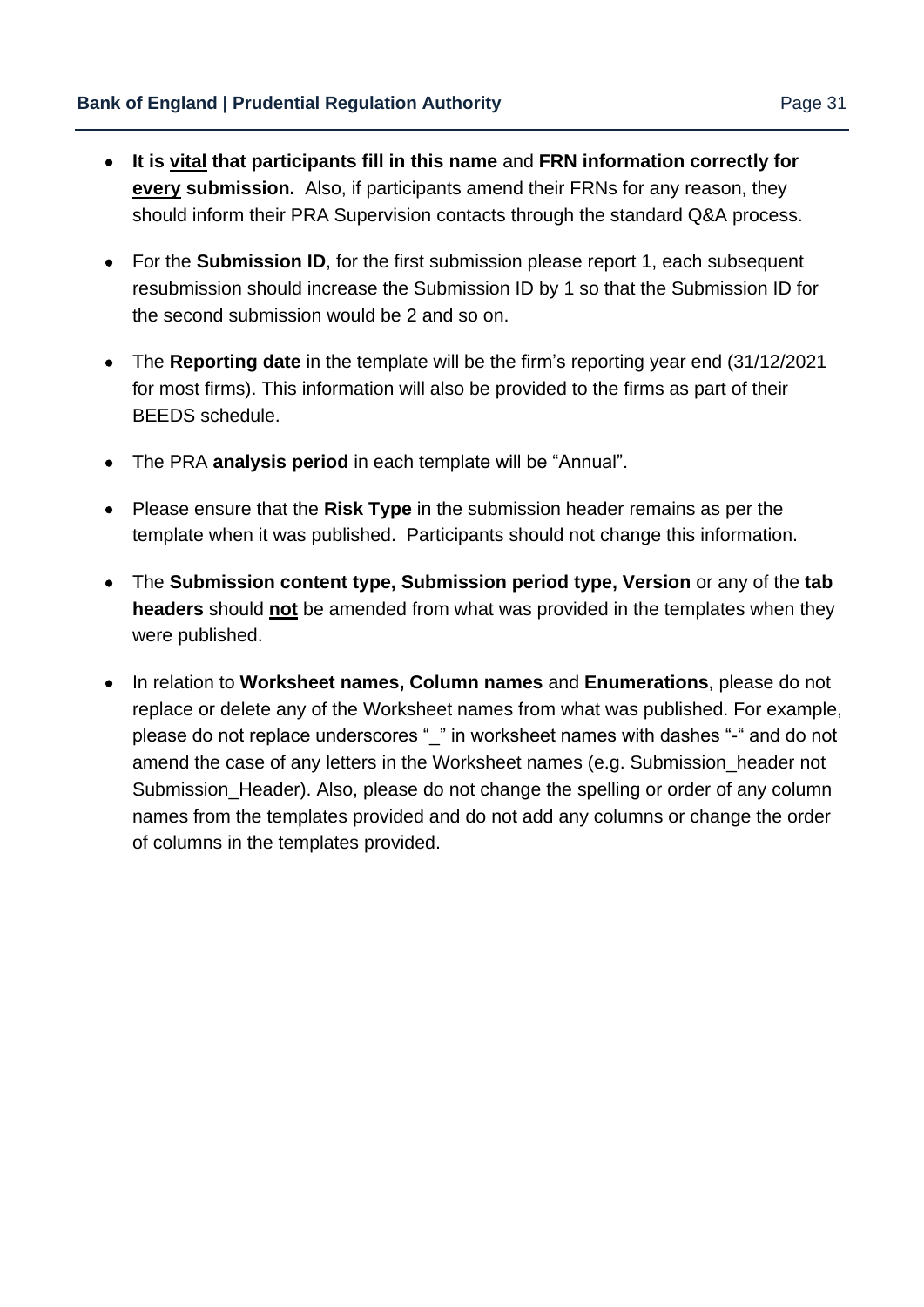- **It is vital that participants fill in this name** and **FRN information correctly for every submission.** Also, if participants amend their FRNs for any reason, they should inform their PRA Supervision contacts through the standard Q&A process.
- For the **Submission ID**, for the first submission please report 1, each subsequent resubmission should increase the Submission ID by 1 so that the Submission ID for the second submission would be 2 and so on.
- The **Reporting date** in the template will be the firm's reporting year end (31/12/2021 for most firms). This information will also be provided to the firms as part of their BEEDS schedule.
- The PRA **analysis period** in each template will be "Annual".
- Please ensure that the **Risk Type** in the submission header remains as per the template when it was published. Participants should not change this information.
- The **Submission content type, Submission period type, Version** or any of the **tab headers** should **not** be amended from what was provided in the templates when they were [published.](https://www.bankofengland.co.uk/stress-testing)
- In relation to **Worksheet names, Column names** and **Enumerations**, please do not replace or delete any of the Worksheet names from what was published. For example, please do not replace underscores " " in worksheet names with dashes "-" and do not amend the case of any letters in the Worksheet names (e.g. Submission header not Submission Header). Also, please do not change the spelling or order of any column names from the templates provided and do not add any columns or change the order of columns in the templates provided.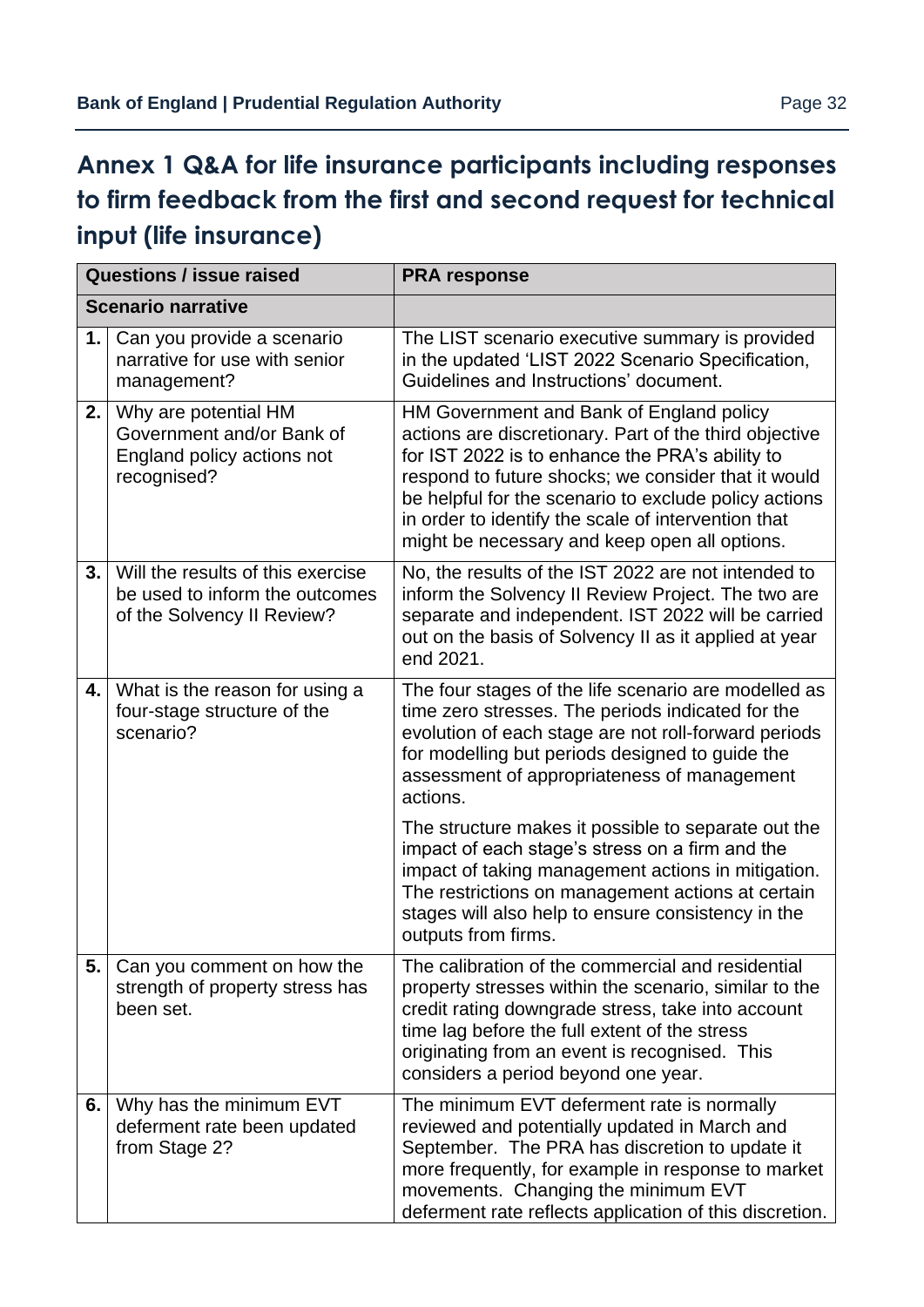# <span id="page-31-0"></span>**Annex 1 Q&A for life insurance participants including responses to firm feedback from the first and second request for technical input (life insurance)**

|    | <b>Questions / issue raised</b>                                                                   | <b>PRA response</b>                                                                                                                                                                                                                                                                                                                                                           |
|----|---------------------------------------------------------------------------------------------------|-------------------------------------------------------------------------------------------------------------------------------------------------------------------------------------------------------------------------------------------------------------------------------------------------------------------------------------------------------------------------------|
|    | <b>Scenario narrative</b>                                                                         |                                                                                                                                                                                                                                                                                                                                                                               |
| 1. | Can you provide a scenario<br>narrative for use with senior<br>management?                        | The LIST scenario executive summary is provided<br>in the updated 'LIST 2022 Scenario Specification,<br>Guidelines and Instructions' document.                                                                                                                                                                                                                                |
| 2. | Why are potential HM<br>Government and/or Bank of<br>England policy actions not<br>recognised?    | HM Government and Bank of England policy<br>actions are discretionary. Part of the third objective<br>for IST 2022 is to enhance the PRA's ability to<br>respond to future shocks; we consider that it would<br>be helpful for the scenario to exclude policy actions<br>in order to identify the scale of intervention that<br>might be necessary and keep open all options. |
| 3. | Will the results of this exercise<br>be used to inform the outcomes<br>of the Solvency II Review? | No, the results of the IST 2022 are not intended to<br>inform the Solvency II Review Project. The two are<br>separate and independent. IST 2022 will be carried<br>out on the basis of Solvency II as it applied at year<br>end 2021.                                                                                                                                         |
| 4. | What is the reason for using a<br>four-stage structure of the<br>scenario?                        | The four stages of the life scenario are modelled as<br>time zero stresses. The periods indicated for the<br>evolution of each stage are not roll-forward periods<br>for modelling but periods designed to guide the<br>assessment of appropriateness of management<br>actions.                                                                                               |
|    |                                                                                                   | The structure makes it possible to separate out the<br>impact of each stage's stress on a firm and the<br>impact of taking management actions in mitigation.<br>The restrictions on management actions at certain<br>stages will also help to ensure consistency in the<br>outputs from firms.                                                                                |
| 5. | Can you comment on how the<br>strength of property stress has<br>been set.                        | The calibration of the commercial and residential<br>property stresses within the scenario, similar to the<br>credit rating downgrade stress, take into account<br>time lag before the full extent of the stress<br>originating from an event is recognised. This<br>considers a period beyond one year.                                                                      |
| 6. | Why has the minimum EVT<br>deferment rate been updated<br>from Stage 2?                           | The minimum EVT deferment rate is normally<br>reviewed and potentially updated in March and<br>September. The PRA has discretion to update it<br>more frequently, for example in response to market<br>movements. Changing the minimum EVT<br>deferment rate reflects application of this discretion.                                                                         |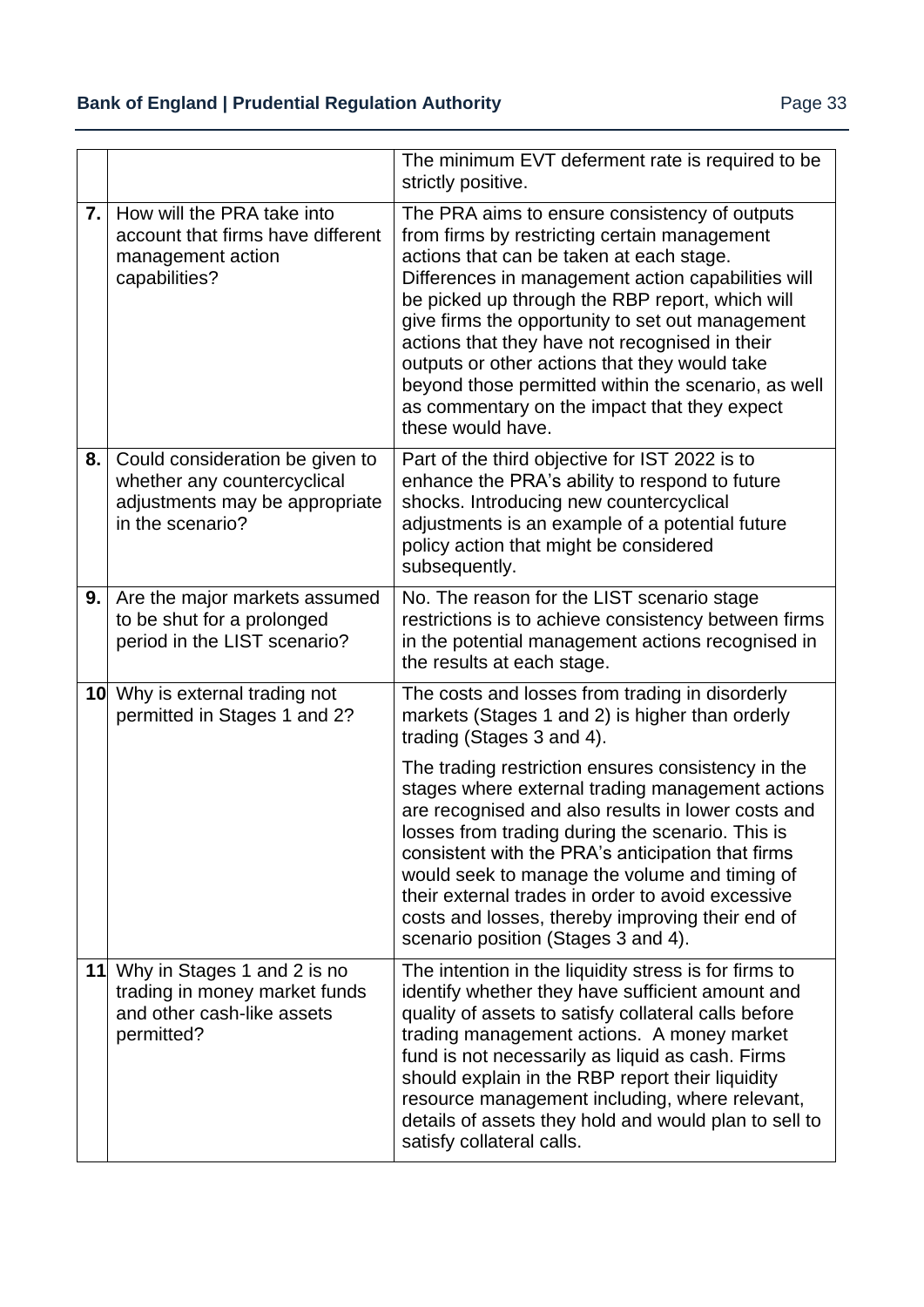|                  |                                                                                                                      | The minimum EVT deferment rate is required to be<br>strictly positive.                                                                                                                                                                                                                                                                                                                                                                                                                                                                |
|------------------|----------------------------------------------------------------------------------------------------------------------|---------------------------------------------------------------------------------------------------------------------------------------------------------------------------------------------------------------------------------------------------------------------------------------------------------------------------------------------------------------------------------------------------------------------------------------------------------------------------------------------------------------------------------------|
| $\overline{7}$ . | How will the PRA take into<br>account that firms have different<br>management action<br>capabilities?                | The PRA aims to ensure consistency of outputs<br>from firms by restricting certain management<br>actions that can be taken at each stage.<br>Differences in management action capabilities will<br>be picked up through the RBP report, which will<br>give firms the opportunity to set out management<br>actions that they have not recognised in their<br>outputs or other actions that they would take<br>beyond those permitted within the scenario, as well<br>as commentary on the impact that they expect<br>these would have. |
| 8.               | Could consideration be given to<br>whether any countercyclical<br>adjustments may be appropriate<br>in the scenario? | Part of the third objective for IST 2022 is to<br>enhance the PRA's ability to respond to future<br>shocks. Introducing new countercyclical<br>adjustments is an example of a potential future<br>policy action that might be considered<br>subsequently.                                                                                                                                                                                                                                                                             |
| 9.               | Are the major markets assumed<br>to be shut for a prolonged<br>period in the LIST scenario?                          | No. The reason for the LIST scenario stage<br>restrictions is to achieve consistency between firms<br>in the potential management actions recognised in<br>the results at each stage.                                                                                                                                                                                                                                                                                                                                                 |
|                  | 10 Why is external trading not<br>permitted in Stages 1 and 2?                                                       | The costs and losses from trading in disorderly<br>markets (Stages 1 and 2) is higher than orderly<br>trading (Stages 3 and 4).                                                                                                                                                                                                                                                                                                                                                                                                       |
|                  |                                                                                                                      | The trading restriction ensures consistency in the<br>stages where external trading management actions<br>are recognised and also results in lower costs and<br>losses from trading during the scenario. This is<br>consistent with the PRA's anticipation that firms<br>would seek to manage the volume and timing of<br>their external trades in order to avoid excessive<br>costs and losses, thereby improving their end of<br>scenario position (Stages 3 and 4).                                                                |
|                  | 11 Why in Stages 1 and 2 is no<br>trading in money market funds<br>and other cash-like assets<br>permitted?          | The intention in the liquidity stress is for firms to<br>identify whether they have sufficient amount and<br>quality of assets to satisfy collateral calls before<br>trading management actions. A money market<br>fund is not necessarily as liquid as cash. Firms<br>should explain in the RBP report their liquidity<br>resource management including, where relevant,<br>details of assets they hold and would plan to sell to<br>satisfy collateral calls.                                                                       |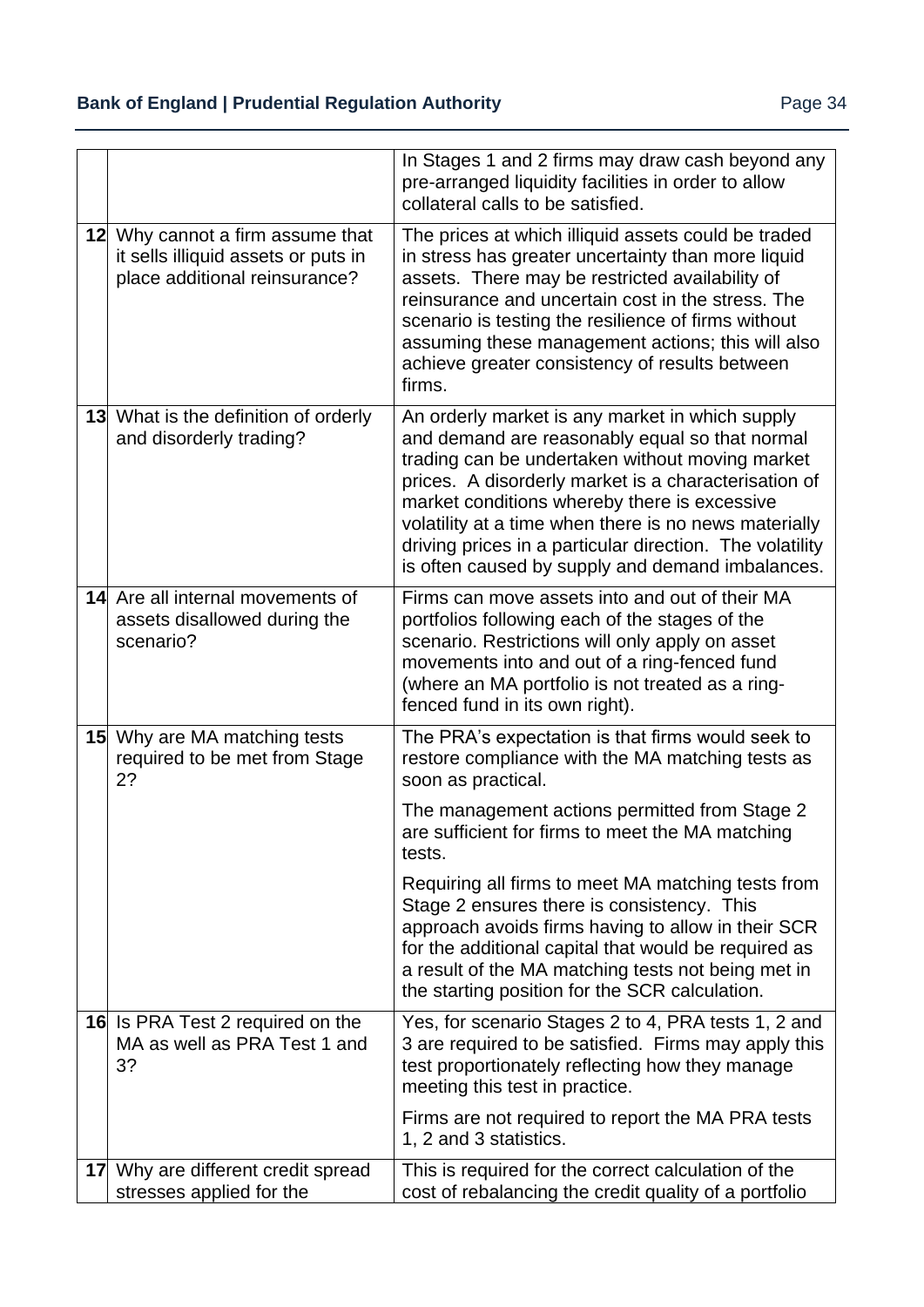|    |                                                                                                          | In Stages 1 and 2 firms may draw cash beyond any<br>pre-arranged liquidity facilities in order to allow<br>collateral calls to be satisfied.                                                                                                                                                                                                                                                                                          |
|----|----------------------------------------------------------------------------------------------------------|---------------------------------------------------------------------------------------------------------------------------------------------------------------------------------------------------------------------------------------------------------------------------------------------------------------------------------------------------------------------------------------------------------------------------------------|
|    | 12 Why cannot a firm assume that<br>it sells illiquid assets or puts in<br>place additional reinsurance? | The prices at which illiquid assets could be traded<br>in stress has greater uncertainty than more liquid<br>assets. There may be restricted availability of<br>reinsurance and uncertain cost in the stress. The<br>scenario is testing the resilience of firms without<br>assuming these management actions; this will also<br>achieve greater consistency of results between<br>firms.                                             |
|    | <b>13</b> What is the definition of orderly<br>and disorderly trading?                                   | An orderly market is any market in which supply<br>and demand are reasonably equal so that normal<br>trading can be undertaken without moving market<br>prices. A disorderly market is a characterisation of<br>market conditions whereby there is excessive<br>volatility at a time when there is no news materially<br>driving prices in a particular direction. The volatility<br>is often caused by supply and demand imbalances. |
|    | 14 Are all internal movements of<br>assets disallowed during the<br>scenario?                            | Firms can move assets into and out of their MA<br>portfolios following each of the stages of the<br>scenario. Restrictions will only apply on asset<br>movements into and out of a ring-fenced fund<br>(where an MA portfolio is not treated as a ring-<br>fenced fund in its own right).                                                                                                                                             |
|    | <b>15</b> Why are MA matching tests<br>required to be met from Stage<br>2?                               | The PRA's expectation is that firms would seek to<br>restore compliance with the MA matching tests as<br>soon as practical.                                                                                                                                                                                                                                                                                                           |
|    |                                                                                                          | The management actions permitted from Stage 2<br>are sufficient for firms to meet the MA matching<br>tests.                                                                                                                                                                                                                                                                                                                           |
|    |                                                                                                          | Requiring all firms to meet MA matching tests from<br>Stage 2 ensures there is consistency. This<br>approach avoids firms having to allow in their SCR<br>for the additional capital that would be required as<br>a result of the MA matching tests not being met in<br>the starting position for the SCR calculation.                                                                                                                |
|    | 16 Is PRA Test 2 required on the<br>MA as well as PRA Test 1 and<br>3?                                   | Yes, for scenario Stages 2 to 4, PRA tests 1, 2 and<br>3 are required to be satisfied. Firms may apply this<br>test proportionately reflecting how they manage<br>meeting this test in practice.                                                                                                                                                                                                                                      |
|    |                                                                                                          | Firms are not required to report the MA PRA tests<br>1, 2 and 3 statistics.                                                                                                                                                                                                                                                                                                                                                           |
| 17 | Why are different credit spread<br>stresses applied for the                                              | This is required for the correct calculation of the<br>cost of rebalancing the credit quality of a portfolio                                                                                                                                                                                                                                                                                                                          |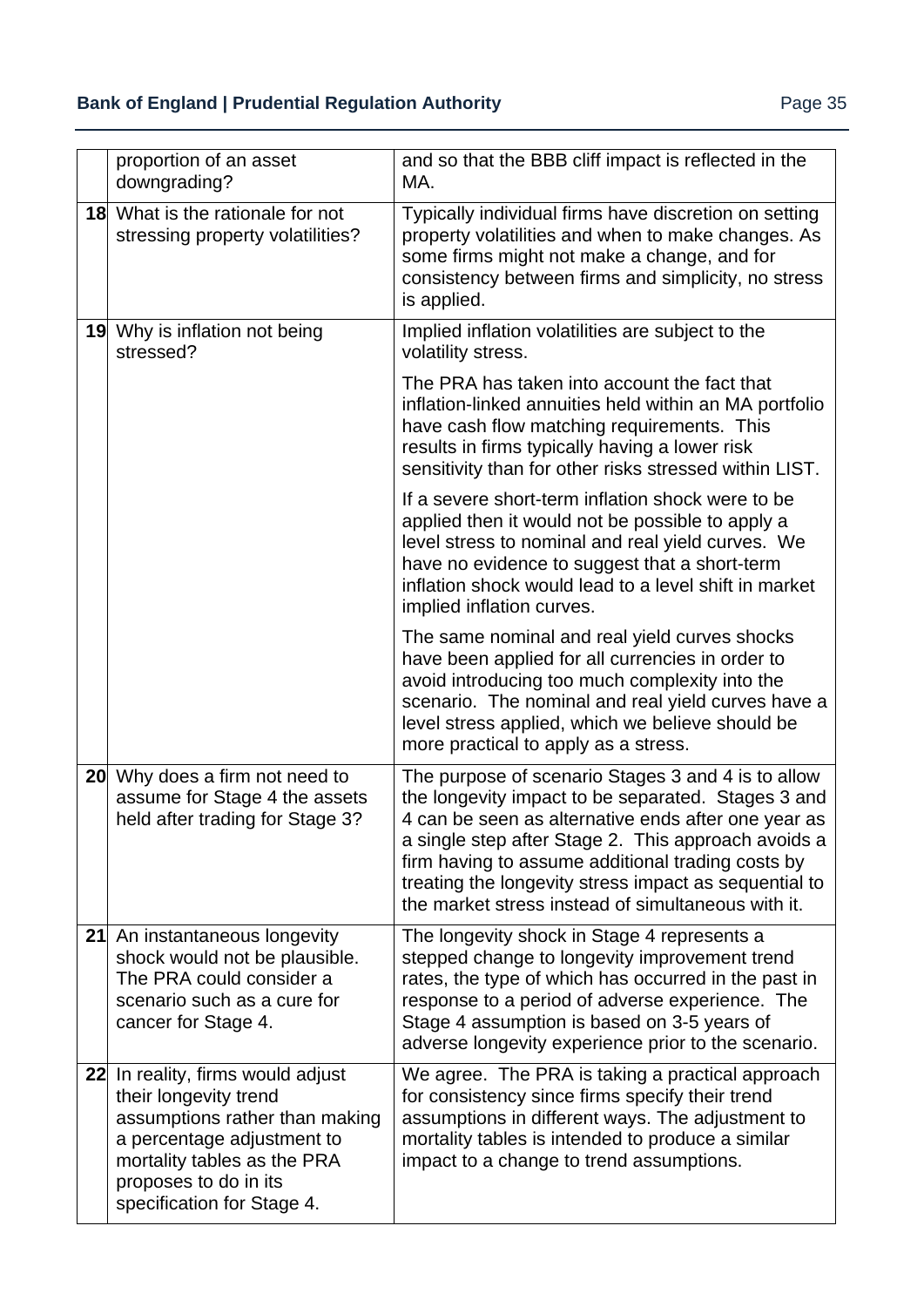| proportion of an asset<br>downgrading?                                                                                                                                                                           | and so that the BBB cliff impact is reflected in the<br>MA.                                                                                                                                                                                                                                                                                                                                |
|------------------------------------------------------------------------------------------------------------------------------------------------------------------------------------------------------------------|--------------------------------------------------------------------------------------------------------------------------------------------------------------------------------------------------------------------------------------------------------------------------------------------------------------------------------------------------------------------------------------------|
| <b>18</b> What is the rationale for not<br>stressing property volatilities?                                                                                                                                      | Typically individual firms have discretion on setting<br>property volatilities and when to make changes. As<br>some firms might not make a change, and for<br>consistency between firms and simplicity, no stress<br>is applied.                                                                                                                                                           |
| 19 Why is inflation not being<br>stressed?                                                                                                                                                                       | Implied inflation volatilities are subject to the<br>volatility stress.                                                                                                                                                                                                                                                                                                                    |
|                                                                                                                                                                                                                  | The PRA has taken into account the fact that<br>inflation-linked annuities held within an MA portfolio<br>have cash flow matching requirements. This<br>results in firms typically having a lower risk<br>sensitivity than for other risks stressed within LIST.                                                                                                                           |
|                                                                                                                                                                                                                  | If a severe short-term inflation shock were to be<br>applied then it would not be possible to apply a<br>level stress to nominal and real yield curves. We<br>have no evidence to suggest that a short-term<br>inflation shock would lead to a level shift in market<br>implied inflation curves.                                                                                          |
|                                                                                                                                                                                                                  | The same nominal and real yield curves shocks<br>have been applied for all currencies in order to<br>avoid introducing too much complexity into the<br>scenario. The nominal and real yield curves have a<br>level stress applied, which we believe should be<br>more practical to apply as a stress.                                                                                      |
| 20 Why does a firm not need to<br>assume for Stage 4 the assets<br>held after trading for Stage 3?                                                                                                               | The purpose of scenario Stages 3 and 4 is to allow<br>the longevity impact to be separated. Stages 3 and<br>4 can be seen as alternative ends after one year as<br>a single step after Stage 2. This approach avoids a<br>firm having to assume additional trading costs by<br>treating the longevity stress impact as sequential to<br>the market stress instead of simultaneous with it. |
| 21 An instantaneous longevity<br>shock would not be plausible.<br>The PRA could consider a<br>scenario such as a cure for<br>cancer for Stage 4.                                                                 | The longevity shock in Stage 4 represents a<br>stepped change to longevity improvement trend<br>rates, the type of which has occurred in the past in<br>response to a period of adverse experience. The<br>Stage 4 assumption is based on 3-5 years of<br>adverse longevity experience prior to the scenario.                                                                              |
| 22 In reality, firms would adjust<br>their longevity trend<br>assumptions rather than making<br>a percentage adjustment to<br>mortality tables as the PRA<br>proposes to do in its<br>specification for Stage 4. | We agree. The PRA is taking a practical approach<br>for consistency since firms specify their trend<br>assumptions in different ways. The adjustment to<br>mortality tables is intended to produce a similar<br>impact to a change to trend assumptions.                                                                                                                                   |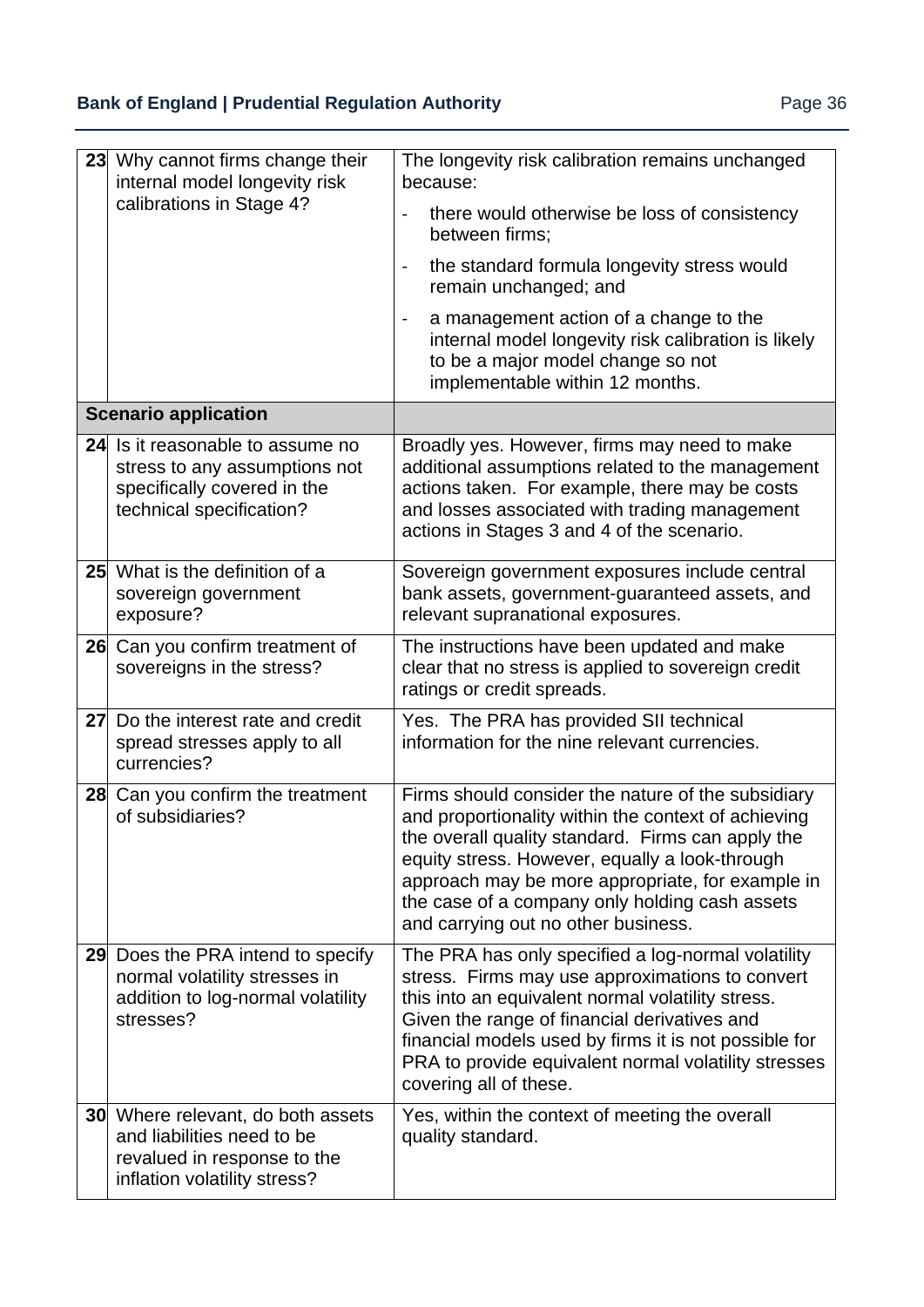| 23              | Why cannot firms change their<br>internal model longevity risk                                                                        | The longevity risk calibration remains unchanged<br>because:                                                                                                                                                                                                                                                                                                  |
|-----------------|---------------------------------------------------------------------------------------------------------------------------------------|---------------------------------------------------------------------------------------------------------------------------------------------------------------------------------------------------------------------------------------------------------------------------------------------------------------------------------------------------------------|
|                 | calibrations in Stage 4?                                                                                                              | there would otherwise be loss of consistency<br>$\overline{\phantom{0}}$<br>between firms;                                                                                                                                                                                                                                                                    |
|                 |                                                                                                                                       | the standard formula longevity stress would<br>$\overline{\phantom{0}}$<br>remain unchanged; and                                                                                                                                                                                                                                                              |
|                 |                                                                                                                                       | a management action of a change to the<br>$\blacksquare$<br>internal model longevity risk calibration is likely<br>to be a major model change so not<br>implementable within 12 months.                                                                                                                                                                       |
|                 | <b>Scenario application</b>                                                                                                           |                                                                                                                                                                                                                                                                                                                                                               |
|                 | 24 Is it reasonable to assume no<br>stress to any assumptions not<br>specifically covered in the<br>technical specification?          | Broadly yes. However, firms may need to make<br>additional assumptions related to the management<br>actions taken. For example, there may be costs<br>and losses associated with trading management<br>actions in Stages 3 and 4 of the scenario.                                                                                                             |
| 25 <sub>l</sub> | What is the definition of a<br>sovereign government<br>exposure?                                                                      | Sovereign government exposures include central<br>bank assets, government-guaranteed assets, and<br>relevant supranational exposures.                                                                                                                                                                                                                         |
|                 | 26 Can you confirm treatment of<br>sovereigns in the stress?                                                                          | The instructions have been updated and make<br>clear that no stress is applied to sovereign credit<br>ratings or credit spreads.                                                                                                                                                                                                                              |
| 27              | Do the interest rate and credit<br>spread stresses apply to all<br>currencies?                                                        | Yes. The PRA has provided SII technical<br>information for the nine relevant currencies.                                                                                                                                                                                                                                                                      |
|                 | 28 Can you confirm the treatment<br>of subsidiaries?                                                                                  | Firms should consider the nature of the subsidiary<br>and proportionality within the context of achieving<br>the overall quality standard. Firms can apply the<br>equity stress. However, equally a look-through<br>approach may be more appropriate, for example in<br>the case of a company only holding cash assets<br>and carrying out no other business. |
| 29              | Does the PRA intend to specify<br>normal volatility stresses in<br>addition to log-normal volatility<br>stresses?                     | The PRA has only specified a log-normal volatility<br>stress. Firms may use approximations to convert<br>this into an equivalent normal volatility stress.<br>Given the range of financial derivatives and<br>financial models used by firms it is not possible for<br>PRA to provide equivalent normal volatility stresses<br>covering all of these.         |
|                 | <b>30</b> Where relevant, do both assets<br>and liabilities need to be<br>revalued in response to the<br>inflation volatility stress? | Yes, within the context of meeting the overall<br>quality standard.                                                                                                                                                                                                                                                                                           |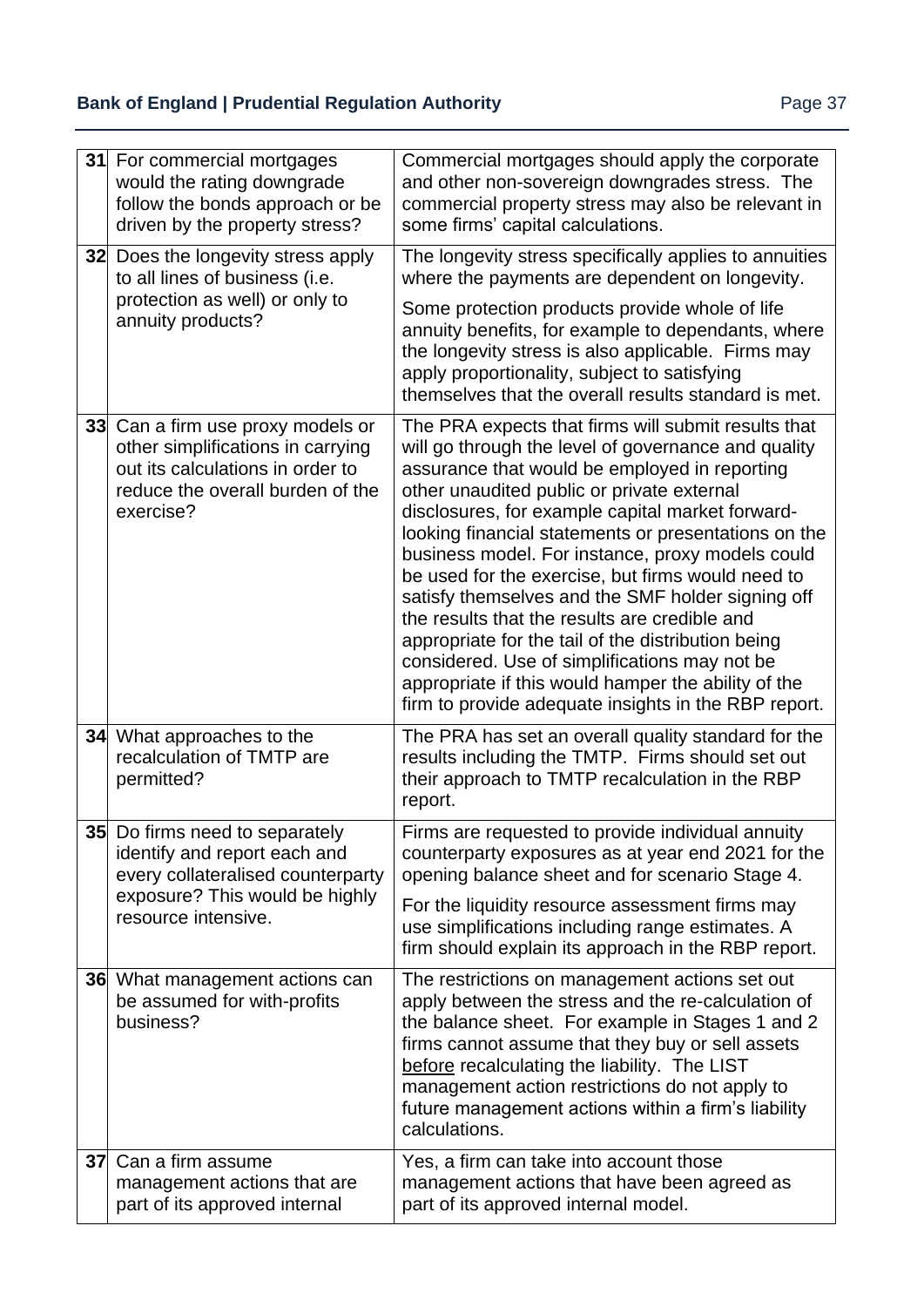## **Bank of England | Prudential Regulation Authority | Page 37 Page 37**

|    | 31 For commercial mortgages<br>would the rating downgrade<br>follow the bonds approach or be<br>driven by the property stress?                                      | Commercial mortgages should apply the corporate<br>and other non-sovereign downgrades stress. The<br>commercial property stress may also be relevant in<br>some firms' capital calculations.                                                                                                                                                                                                                                                                                                                                                                                                                                                                                                                                                               |
|----|---------------------------------------------------------------------------------------------------------------------------------------------------------------------|------------------------------------------------------------------------------------------------------------------------------------------------------------------------------------------------------------------------------------------------------------------------------------------------------------------------------------------------------------------------------------------------------------------------------------------------------------------------------------------------------------------------------------------------------------------------------------------------------------------------------------------------------------------------------------------------------------------------------------------------------------|
|    | 32 Does the longevity stress apply<br>to all lines of business (i.e.<br>protection as well) or only to<br>annuity products?                                         | The longevity stress specifically applies to annuities<br>where the payments are dependent on longevity.<br>Some protection products provide whole of life<br>annuity benefits, for example to dependants, where<br>the longevity stress is also applicable. Firms may<br>apply proportionality, subject to satisfying<br>themselves that the overall results standard is met.                                                                                                                                                                                                                                                                                                                                                                             |
|    | 33 Can a firm use proxy models or<br>other simplifications in carrying<br>out its calculations in order to<br>reduce the overall burden of the<br>exercise?         | The PRA expects that firms will submit results that<br>will go through the level of governance and quality<br>assurance that would be employed in reporting<br>other unaudited public or private external<br>disclosures, for example capital market forward-<br>looking financial statements or presentations on the<br>business model. For instance, proxy models could<br>be used for the exercise, but firms would need to<br>satisfy themselves and the SMF holder signing off<br>the results that the results are credible and<br>appropriate for the tail of the distribution being<br>considered. Use of simplifications may not be<br>appropriate if this would hamper the ability of the<br>firm to provide adequate insights in the RBP report. |
|    | 34 What approaches to the<br>recalculation of TMTP are<br>permitted?                                                                                                | The PRA has set an overall quality standard for the<br>results including the TMTP. Firms should set out<br>their approach to TMTP recalculation in the RBP<br>report.                                                                                                                                                                                                                                                                                                                                                                                                                                                                                                                                                                                      |
|    | <b>35</b> Do firms need to separately<br>identify and report each and<br>every collateralised counterparty<br>exposure? This would be highly<br>resource intensive. | Firms are requested to provide individual annuity<br>counterparty exposures as at year end 2021 for the<br>opening balance sheet and for scenario Stage 4.<br>For the liquidity resource assessment firms may<br>use simplifications including range estimates. A<br>firm should explain its approach in the RBP report.                                                                                                                                                                                                                                                                                                                                                                                                                                   |
|    | 36 What management actions can<br>be assumed for with-profits<br>business?                                                                                          | The restrictions on management actions set out<br>apply between the stress and the re-calculation of<br>the balance sheet. For example in Stages 1 and 2<br>firms cannot assume that they buy or sell assets<br>before recalculating the liability. The LIST<br>management action restrictions do not apply to<br>future management actions within a firm's liability<br>calculations.                                                                                                                                                                                                                                                                                                                                                                     |
| 37 | Can a firm assume<br>management actions that are<br>part of its approved internal                                                                                   | Yes, a firm can take into account those<br>management actions that have been agreed as<br>part of its approved internal model.                                                                                                                                                                                                                                                                                                                                                                                                                                                                                                                                                                                                                             |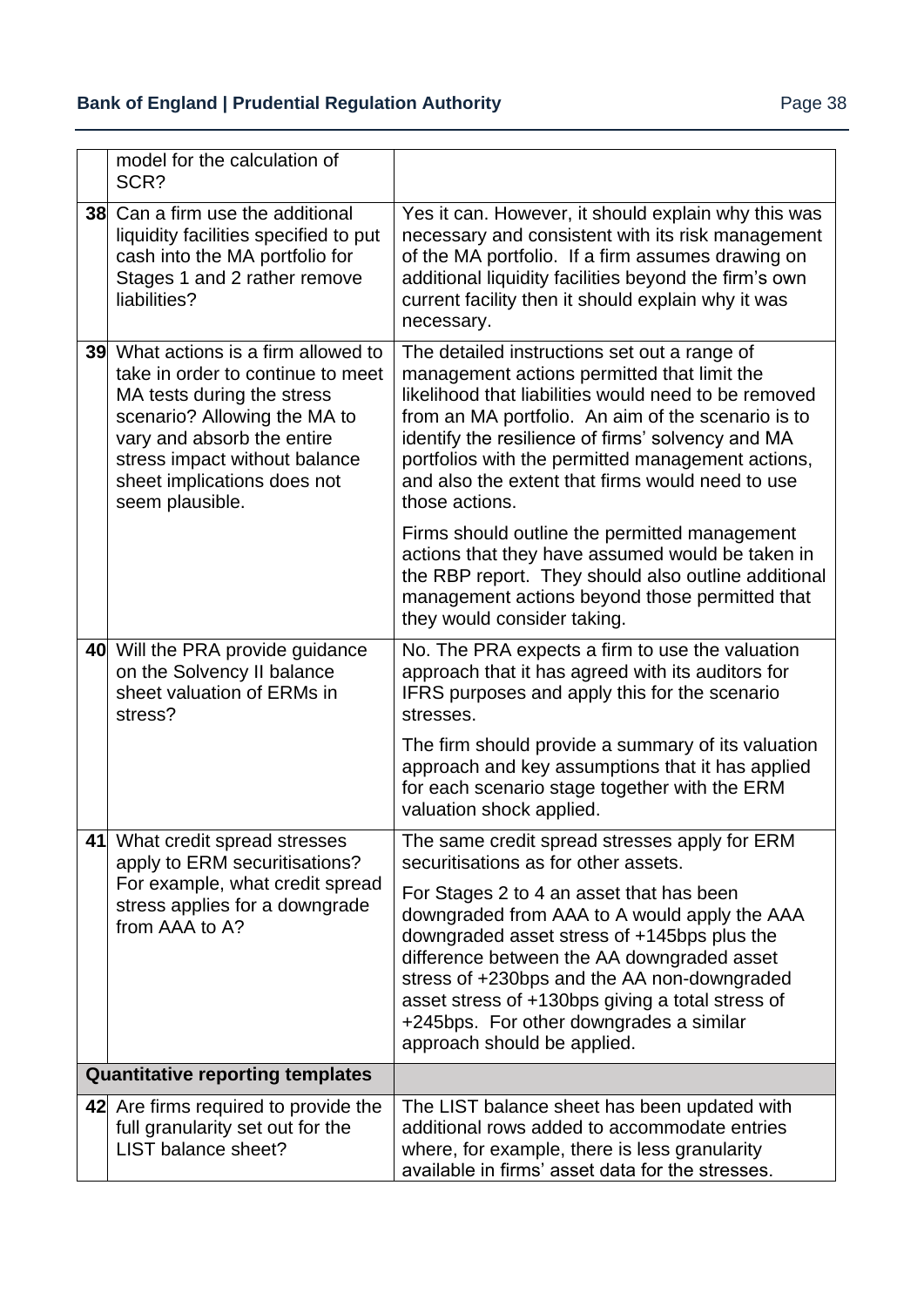| model for the calculation of<br>SCR?                                                                                                                                                                                                                     |                                                                                                                                                                                                                                                                                                                                                                                           |
|----------------------------------------------------------------------------------------------------------------------------------------------------------------------------------------------------------------------------------------------------------|-------------------------------------------------------------------------------------------------------------------------------------------------------------------------------------------------------------------------------------------------------------------------------------------------------------------------------------------------------------------------------------------|
| <b>38</b> Can a firm use the additional<br>liquidity facilities specified to put<br>cash into the MA portfolio for<br>Stages 1 and 2 rather remove<br>liabilities?                                                                                       | Yes it can. However, it should explain why this was<br>necessary and consistent with its risk management<br>of the MA portfolio. If a firm assumes drawing on<br>additional liquidity facilities beyond the firm's own<br>current facility then it should explain why it was<br>necessary.                                                                                                |
| 39 What actions is a firm allowed to<br>take in order to continue to meet<br>MA tests during the stress<br>scenario? Allowing the MA to<br>vary and absorb the entire<br>stress impact without balance<br>sheet implications does not<br>seem plausible. | The detailed instructions set out a range of<br>management actions permitted that limit the<br>likelihood that liabilities would need to be removed<br>from an MA portfolio. An aim of the scenario is to<br>identify the resilience of firms' solvency and MA<br>portfolios with the permitted management actions,<br>and also the extent that firms would need to use<br>those actions. |
|                                                                                                                                                                                                                                                          | Firms should outline the permitted management<br>actions that they have assumed would be taken in<br>the RBP report. They should also outline additional<br>management actions beyond those permitted that<br>they would consider taking.                                                                                                                                                 |
| 40 Will the PRA provide guidance<br>on the Solvency II balance<br>sheet valuation of ERMs in<br>stress?                                                                                                                                                  | No. The PRA expects a firm to use the valuation<br>approach that it has agreed with its auditors for<br>IFRS purposes and apply this for the scenario<br>stresses.                                                                                                                                                                                                                        |
|                                                                                                                                                                                                                                                          | The firm should provide a summary of its valuation<br>approach and key assumptions that it has applied<br>for each scenario stage together with the ERM<br>valuation shock applied.                                                                                                                                                                                                       |
| 41 What credit spread stresses<br>apply to ERM securitisations?                                                                                                                                                                                          | The same credit spread stresses apply for ERM<br>securitisations as for other assets.                                                                                                                                                                                                                                                                                                     |
| For example, what credit spread<br>stress applies for a downgrade<br>from AAA to A?                                                                                                                                                                      | For Stages 2 to 4 an asset that has been<br>downgraded from AAA to A would apply the AAA<br>downgraded asset stress of +145bps plus the<br>difference between the AA downgraded asset<br>stress of +230bps and the AA non-downgraded<br>asset stress of +130bps giving a total stress of<br>+245bps. For other downgrades a similar<br>approach should be applied.                        |
| <b>Quantitative reporting templates</b>                                                                                                                                                                                                                  |                                                                                                                                                                                                                                                                                                                                                                                           |
| 42 Are firms required to provide the<br>full granularity set out for the<br>LIST balance sheet?                                                                                                                                                          | The LIST balance sheet has been updated with<br>additional rows added to accommodate entries<br>where, for example, there is less granularity<br>available in firms' asset data for the stresses.                                                                                                                                                                                         |

 $\overline{a}$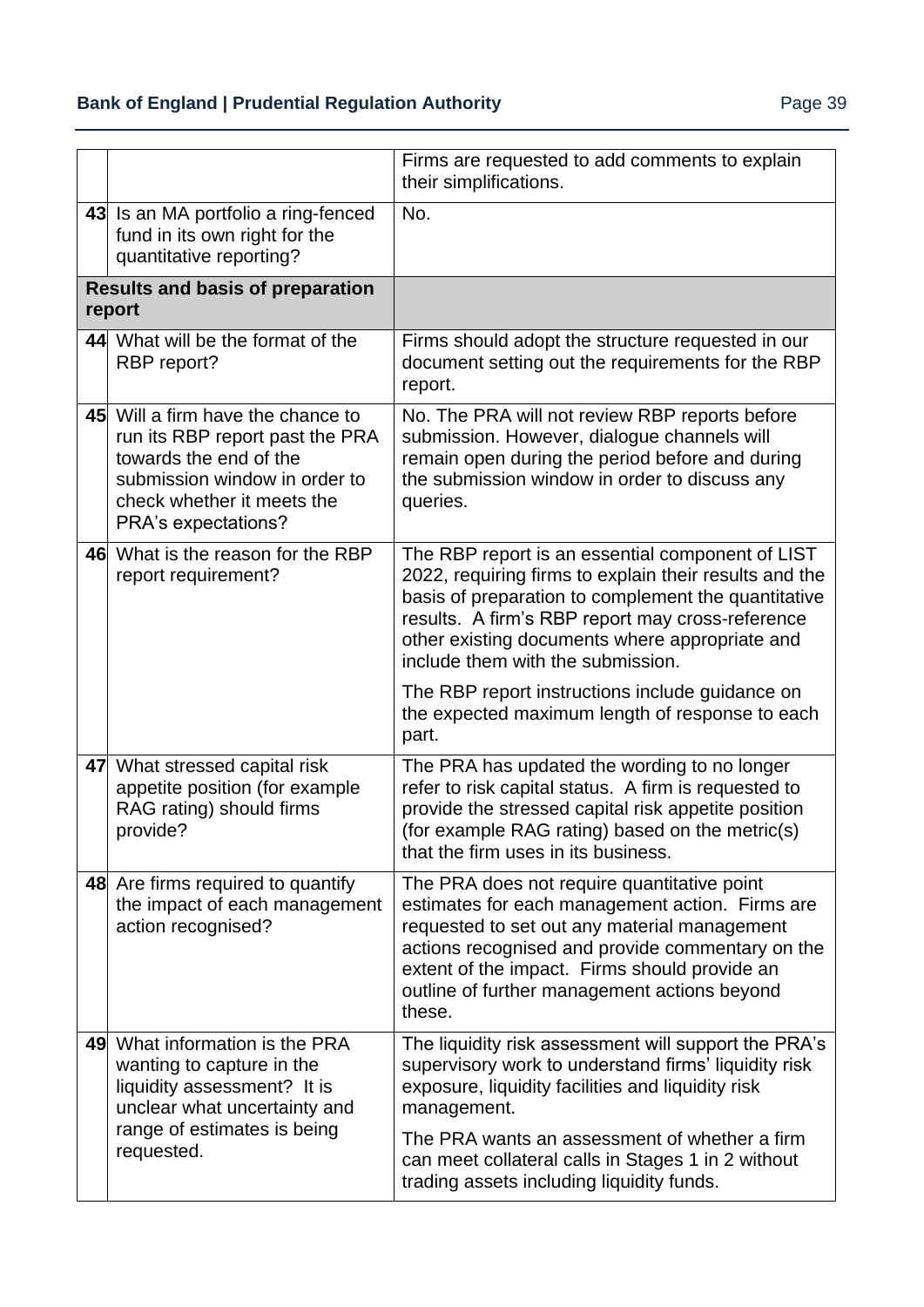## **Bank of England | Prudential Regulation Authority** Page 39

|                                                   |                                                                                                                                                                                      | Firms are requested to add comments to explain<br>their simplifications.                                                                                                                                                                                                                                      |
|---------------------------------------------------|--------------------------------------------------------------------------------------------------------------------------------------------------------------------------------------|---------------------------------------------------------------------------------------------------------------------------------------------------------------------------------------------------------------------------------------------------------------------------------------------------------------|
|                                                   | 43 Is an MA portfolio a ring-fenced<br>fund in its own right for the<br>quantitative reporting?                                                                                      | No.                                                                                                                                                                                                                                                                                                           |
| <b>Results and basis of preparation</b><br>report |                                                                                                                                                                                      |                                                                                                                                                                                                                                                                                                               |
|                                                   | 44 What will be the format of the<br>RBP report?                                                                                                                                     | Firms should adopt the structure requested in our<br>document setting out the requirements for the RBP<br>report.                                                                                                                                                                                             |
|                                                   | 45 Will a firm have the chance to<br>run its RBP report past the PRA<br>towards the end of the<br>submission window in order to<br>check whether it meets the<br>PRA's expectations? | No. The PRA will not review RBP reports before<br>submission. However, dialogue channels will<br>remain open during the period before and during<br>the submission window in order to discuss any<br>queries.                                                                                                 |
|                                                   | 46 What is the reason for the RBP<br>report requirement?                                                                                                                             | The RBP report is an essential component of LIST<br>2022, requiring firms to explain their results and the<br>basis of preparation to complement the quantitative<br>results. A firm's RBP report may cross-reference<br>other existing documents where appropriate and<br>include them with the submission.  |
|                                                   |                                                                                                                                                                                      | The RBP report instructions include guidance on<br>the expected maximum length of response to each<br>part.                                                                                                                                                                                                   |
|                                                   | 47 What stressed capital risk<br>appetite position (for example<br>RAG rating) should firms<br>provide?                                                                              | The PRA has updated the wording to no longer<br>refer to risk capital status. A firm is requested to<br>provide the stressed capital risk appetite position<br>(for example RAG rating) based on the metric(s)<br>that the firm uses in its business.                                                         |
|                                                   | 48 Are firms required to quantify<br>the impact of each management<br>action recognised?                                                                                             | The PRA does not require quantitative point<br>estimates for each management action. Firms are<br>requested to set out any material management<br>actions recognised and provide commentary on the<br>extent of the impact. Firms should provide an<br>outline of further management actions beyond<br>these. |
|                                                   | 49 What information is the PRA<br>wanting to capture in the<br>liquidity assessment? It is<br>unclear what uncertainty and<br>range of estimates is being                            | The liquidity risk assessment will support the PRA's<br>supervisory work to understand firms' liquidity risk<br>exposure, liquidity facilities and liquidity risk<br>management.<br>The PRA wants an assessment of whether a firm                                                                             |
|                                                   | requested.                                                                                                                                                                           | can meet collateral calls in Stages 1 in 2 without<br>trading assets including liquidity funds.                                                                                                                                                                                                               |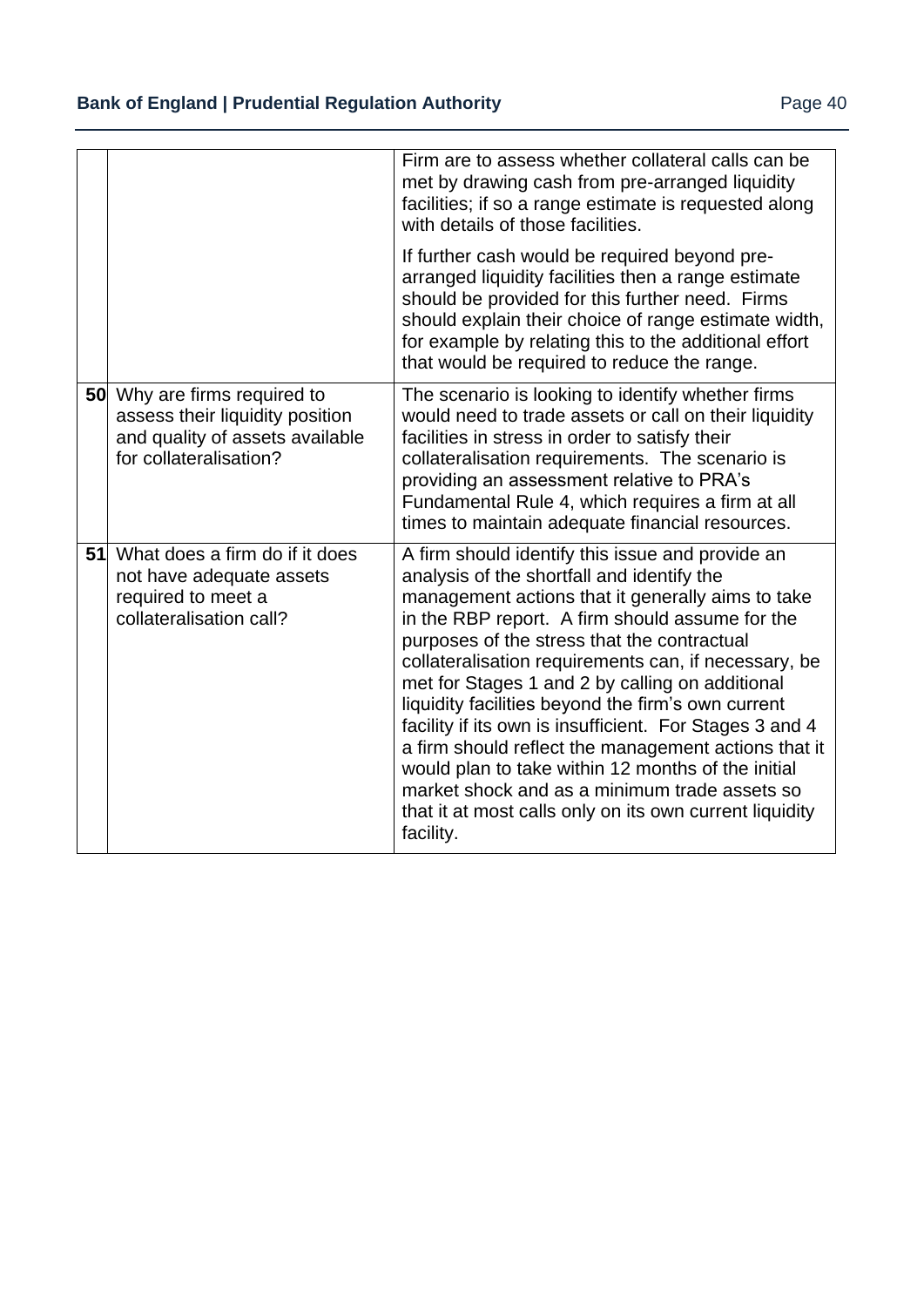|    |                                                                                                                              | Firm are to assess whether collateral calls can be<br>met by drawing cash from pre-arranged liquidity<br>facilities; if so a range estimate is requested along<br>with details of those facilities.                                                                                                                                                                                                                                                                                                                                                                                                                                                                                                                      |
|----|------------------------------------------------------------------------------------------------------------------------------|--------------------------------------------------------------------------------------------------------------------------------------------------------------------------------------------------------------------------------------------------------------------------------------------------------------------------------------------------------------------------------------------------------------------------------------------------------------------------------------------------------------------------------------------------------------------------------------------------------------------------------------------------------------------------------------------------------------------------|
|    |                                                                                                                              | If further cash would be required beyond pre-<br>arranged liquidity facilities then a range estimate<br>should be provided for this further need. Firms<br>should explain their choice of range estimate width,<br>for example by relating this to the additional effort<br>that would be required to reduce the range.                                                                                                                                                                                                                                                                                                                                                                                                  |
|    | 50 Why are firms required to<br>assess their liquidity position<br>and quality of assets available<br>for collateralisation? | The scenario is looking to identify whether firms<br>would need to trade assets or call on their liquidity<br>facilities in stress in order to satisfy their<br>collateralisation requirements. The scenario is<br>providing an assessment relative to PRA's<br>Fundamental Rule 4, which requires a firm at all<br>times to maintain adequate financial resources.                                                                                                                                                                                                                                                                                                                                                      |
| 51 | What does a firm do if it does<br>not have adequate assets<br>required to meet a<br>collateralisation call?                  | A firm should identify this issue and provide an<br>analysis of the shortfall and identify the<br>management actions that it generally aims to take<br>in the RBP report. A firm should assume for the<br>purposes of the stress that the contractual<br>collateralisation requirements can, if necessary, be<br>met for Stages 1 and 2 by calling on additional<br>liquidity facilities beyond the firm's own current<br>facility if its own is insufficient. For Stages 3 and 4<br>a firm should reflect the management actions that it<br>would plan to take within 12 months of the initial<br>market shock and as a minimum trade assets so<br>that it at most calls only on its own current liquidity<br>facility. |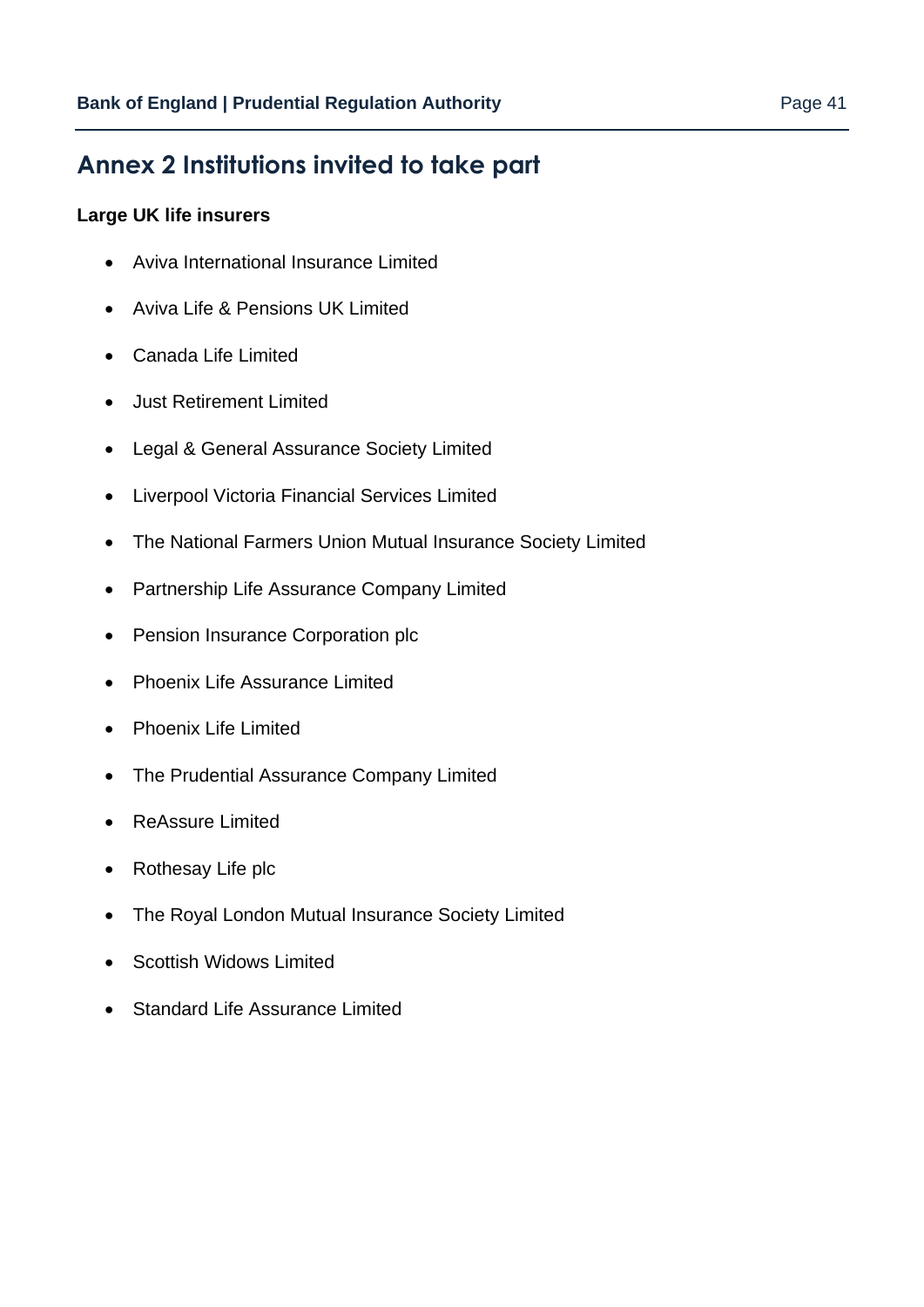# <span id="page-40-0"></span>**Annex 2 Institutions invited to take part**

#### **Large UK life insurers**

- Aviva International Insurance Limited
- Aviva Life & Pensions UK Limited
- Canada Life Limited
- Just Retirement Limited
- Legal & General Assurance Society Limited
- Liverpool Victoria Financial Services Limited
- The National Farmers Union Mutual Insurance Society Limited
- Partnership Life Assurance Company Limited
- Pension Insurance Corporation plc
- Phoenix Life Assurance Limited
- Phoenix Life Limited
- The Prudential Assurance Company Limited
- ReAssure Limited
- Rothesay Life plc
- The Royal London Mutual Insurance Society Limited
- Scottish Widows Limited
- Standard Life Assurance Limited